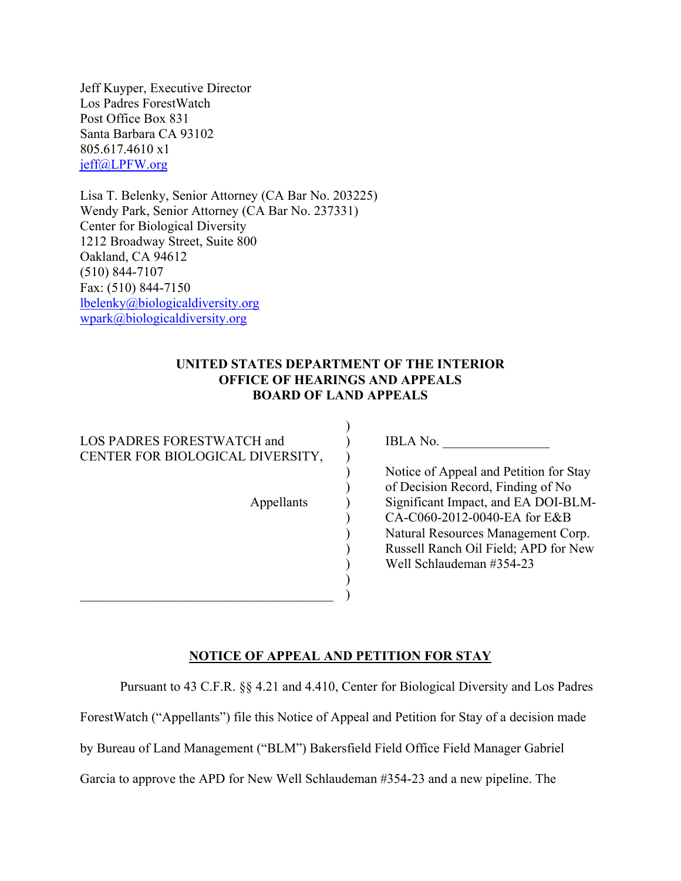Jeff Kuyper, Executive Director Los Padres ForestWatch Post Office Box 831 Santa Barbara CA 93102 805.617.4610 x1 jeff@LPFW.org

Lisa T. Belenky, Senior Attorney (CA Bar No. 203225) Wendy Park, Senior Attorney (CA Bar No. 237331) Center for Biological Diversity 1212 Broadway Street, Suite 800 Oakland, CA 94612 (510) 844-7107 Fax: (510) 844-7150 lbelenky@biologicaldiversity.org wpark@biologicaldiversity.org

### **UNITED STATES DEPARTMENT OF THE INTERIOR OFFICE OF HEARINGS AND APPEALS BOARD OF LAND APPEALS**

)

| LOS PADRES FORESTWATCH and<br>CENTER FOR BIOLOGICAL DIVERSITY, |  |  |  |  |  |  |  |
|----------------------------------------------------------------|--|--|--|--|--|--|--|
| Appellants                                                     |  |  |  |  |  |  |  |
|                                                                |  |  |  |  |  |  |  |

IBLA No. \_\_\_\_\_\_\_\_\_\_\_\_\_\_\_\_

Notice of Appeal and Petition for Stay of Decision Record, Finding of No Significant Impact, and EA DOI-BLM-CA-C060-2012-0040-EA for E&B Natural Resources Management Corp. Russell Ranch Oil Field; APD for New Well Schlaudeman #354-23

# **NOTICE OF APPEAL AND PETITION FOR STAY**

)

Pursuant to 43 C.F.R. §§ 4.21 and 4.410, Center for Biological Diversity and Los Padres

ForestWatch ("Appellants") file this Notice of Appeal and Petition for Stay of a decision made

by Bureau of Land Management ("BLM") Bakersfield Field Office Field Manager Gabriel

Garcia to approve the APD for New Well Schlaudeman #354-23 and a new pipeline. The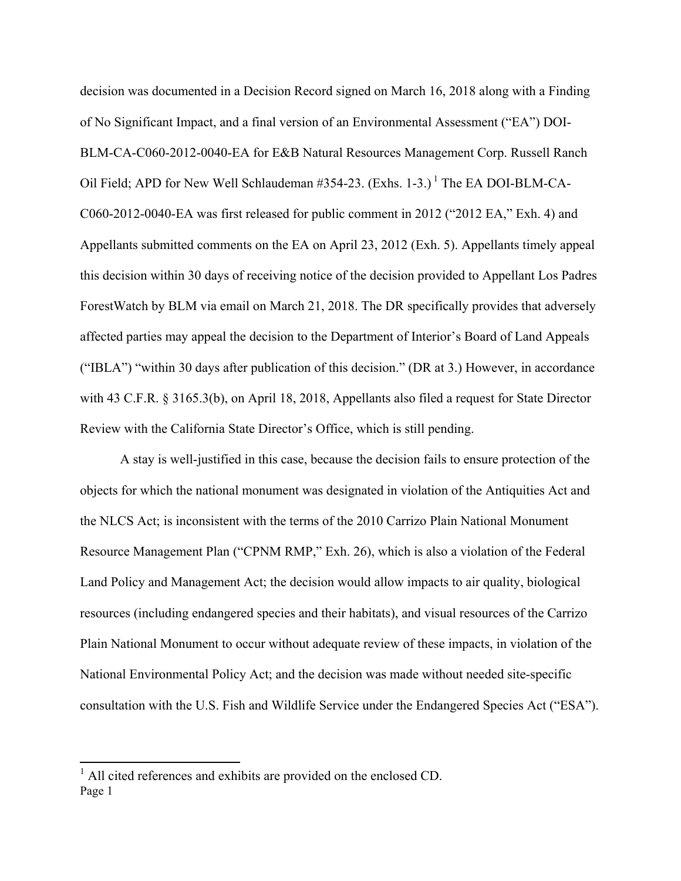decision was documented in a Decision Record signed on March 16, 2018 along with a Finding of No Significant Impact, and a final version of an Environmental Assessment ("EA") DOI-BLM-CA-C060-2012-0040-EA for E&B Natural Resources Management Corp. Russell Ranch Oil Field; APD for New Well Schlaudeman  $\#354-23$ . (Exhs. 1-3.)<sup>1</sup> The EA DOI-BLM-CA-C060-2012-0040-EA was first released for public comment in 2012 ("2012 EA," Exh. 4) and Appellants submitted comments on the EA on April 23, 2012 (Exh. 5). Appellants timely appeal this decision within 30 days of receiving notice of the decision provided to Appellant Los Padres ForestWatch by BLM via email on March 21, 2018. The DR specifically provides that adversely affected parties may appeal the decision to the Department of Interior's Board of Land Appeals ("IBLA") "within 30 days after publication of this decision." (DR at 3.) However, in accordance with 43 C.F.R. § 3165.3(b), on April 18, 2018, Appellants also filed a request for State Director Review with the California State Director's Office, which is still pending.

A stay is well-justified in this case, because the decision fails to ensure protection of the objects for which the national monument was designated in violation of the Antiquities Act and the NLCS Act; is inconsistent with the terms of the 2010 Carrizo Plain National Monument Resource Management Plan ("CPNM RMP," Exh. 26), which is also a violation of the Federal Land Policy and Management Act; the decision would allow impacts to air quality, biological resources (including endangered species and their habitats), and visual resources of the Carrizo Plain National Monument to occur without adequate review of these impacts, in violation of the National Environmental Policy Act; and the decision was made without needed site-specific consultation with the U.S. Fish and Wildlife Service under the Endangered Species Act ("ESA").

Page 1 1 All cited references and exhibits are provided on the enclosed CD.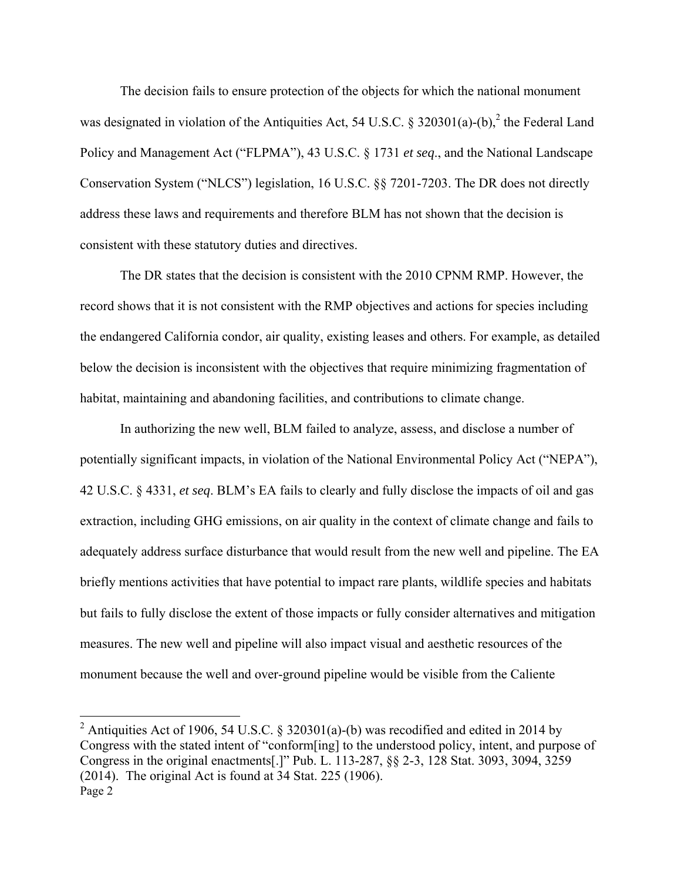The decision fails to ensure protection of the objects for which the national monument was designated in violation of the Antiquities Act, 54 U.S.C. § 320301(a)-(b),<sup>2</sup> the Federal Land Policy and Management Act ("FLPMA"), 43 U.S.C. § 1731 *et seq*., and the National Landscape Conservation System ("NLCS") legislation, 16 U.S.C. §§ 7201-7203. The DR does not directly address these laws and requirements and therefore BLM has not shown that the decision is consistent with these statutory duties and directives.

The DR states that the decision is consistent with the 2010 CPNM RMP. However, the record shows that it is not consistent with the RMP objectives and actions for species including the endangered California condor, air quality, existing leases and others. For example, as detailed below the decision is inconsistent with the objectives that require minimizing fragmentation of habitat, maintaining and abandoning facilities, and contributions to climate change.

In authorizing the new well, BLM failed to analyze, assess, and disclose a number of potentially significant impacts, in violation of the National Environmental Policy Act ("NEPA"), 42 U.S.C. § 4331, *et seq*. BLM's EA fails to clearly and fully disclose the impacts of oil and gas extraction, including GHG emissions, on air quality in the context of climate change and fails to adequately address surface disturbance that would result from the new well and pipeline. The EA briefly mentions activities that have potential to impact rare plants, wildlife species and habitats but fails to fully disclose the extent of those impacts or fully consider alternatives and mitigation measures. The new well and pipeline will also impact visual and aesthetic resources of the monument because the well and over-ground pipeline would be visible from the Caliente

Page 2 <sup>2</sup> Antiquities Act of 1906, 54 U.S.C. § 320301(a)-(b) was recodified and edited in 2014 by Congress with the stated intent of "conform[ing] to the understood policy, intent, and purpose of Congress in the original enactments[.]" Pub. L. 113-287, §§ 2-3, 128 Stat. 3093, 3094, 3259 (2014). The original Act is found at 34 Stat. 225 (1906).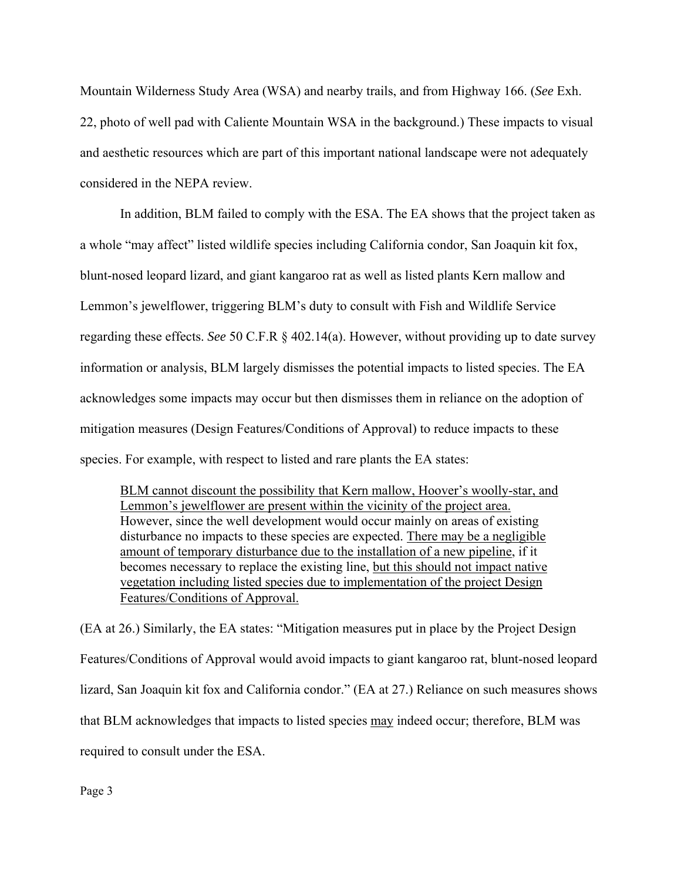Mountain Wilderness Study Area (WSA) and nearby trails, and from Highway 166. (*See* Exh. 22, photo of well pad with Caliente Mountain WSA in the background.) These impacts to visual and aesthetic resources which are part of this important national landscape were not adequately considered in the NEPA review.

In addition, BLM failed to comply with the ESA. The EA shows that the project taken as a whole "may affect" listed wildlife species including California condor, San Joaquin kit fox, blunt-nosed leopard lizard, and giant kangaroo rat as well as listed plants Kern mallow and Lemmon's jewelflower, triggering BLM's duty to consult with Fish and Wildlife Service regarding these effects. *See* 50 C.F.R § 402.14(a). However, without providing up to date survey information or analysis, BLM largely dismisses the potential impacts to listed species. The EA acknowledges some impacts may occur but then dismisses them in reliance on the adoption of mitigation measures (Design Features/Conditions of Approval) to reduce impacts to these species. For example, with respect to listed and rare plants the EA states:

BLM cannot discount the possibility that Kern mallow, Hoover's woolly-star, and Lemmon's jewelflower are present within the vicinity of the project area. However, since the well development would occur mainly on areas of existing disturbance no impacts to these species are expected. There may be a negligible amount of temporary disturbance due to the installation of a new pipeline, if it becomes necessary to replace the existing line, but this should not impact native vegetation including listed species due to implementation of the project Design Features/Conditions of Approval.

(EA at 26.) Similarly, the EA states: "Mitigation measures put in place by the Project Design Features/Conditions of Approval would avoid impacts to giant kangaroo rat, blunt-nosed leopard lizard, San Joaquin kit fox and California condor." (EA at 27.) Reliance on such measures shows that BLM acknowledges that impacts to listed species may indeed occur; therefore, BLM was required to consult under the ESA.

Page 3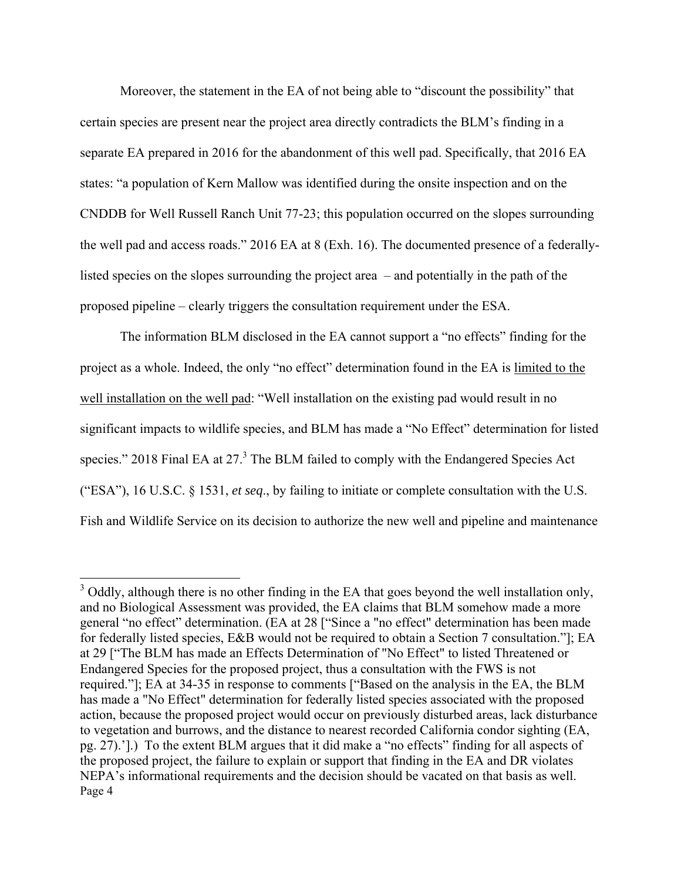Moreover, the statement in the EA of not being able to "discount the possibility" that certain species are present near the project area directly contradicts the BLM's finding in a separate EA prepared in 2016 for the abandonment of this well pad. Specifically, that 2016 EA states: "a population of Kern Mallow was identified during the onsite inspection and on the CNDDB for Well Russell Ranch Unit 77-23; this population occurred on the slopes surrounding the well pad and access roads." 2016 EA at 8 (Exh. 16). The documented presence of a federallylisted species on the slopes surrounding the project area – and potentially in the path of the proposed pipeline – clearly triggers the consultation requirement under the ESA.

The information BLM disclosed in the EA cannot support a "no effects" finding for the project as a whole. Indeed, the only "no effect" determination found in the EA is limited to the well installation on the well pad: "Well installation on the existing pad would result in no significant impacts to wildlife species, and BLM has made a "No Effect" determination for listed species." 2018 Final EA at 27. $3$  The BLM failed to comply with the Endangered Species Act ("ESA"), 16 U.S.C. § 1531, *et seq*., by failing to initiate or complete consultation with the U.S. Fish and Wildlife Service on its decision to authorize the new well and pipeline and maintenance

Page 4  $3$  Oddly, although there is no other finding in the EA that goes beyond the well installation only, and no Biological Assessment was provided, the EA claims that BLM somehow made a more general "no effect" determination. (EA at 28 ["Since a "no effect" determination has been made for federally listed species, E&B would not be required to obtain a Section 7 consultation."]; EA at 29 ["The BLM has made an Effects Determination of "No Effect" to listed Threatened or Endangered Species for the proposed project, thus a consultation with the FWS is not required."]; EA at 34-35 in response to comments ["Based on the analysis in the EA, the BLM has made a "No Effect" determination for federally listed species associated with the proposed action, because the proposed project would occur on previously disturbed areas, lack disturbance to vegetation and burrows, and the distance to nearest recorded California condor sighting (EA, pg. 27).'].) To the extent BLM argues that it did make a "no effects" finding for all aspects of the proposed project, the failure to explain or support that finding in the EA and DR violates NEPA's informational requirements and the decision should be vacated on that basis as well.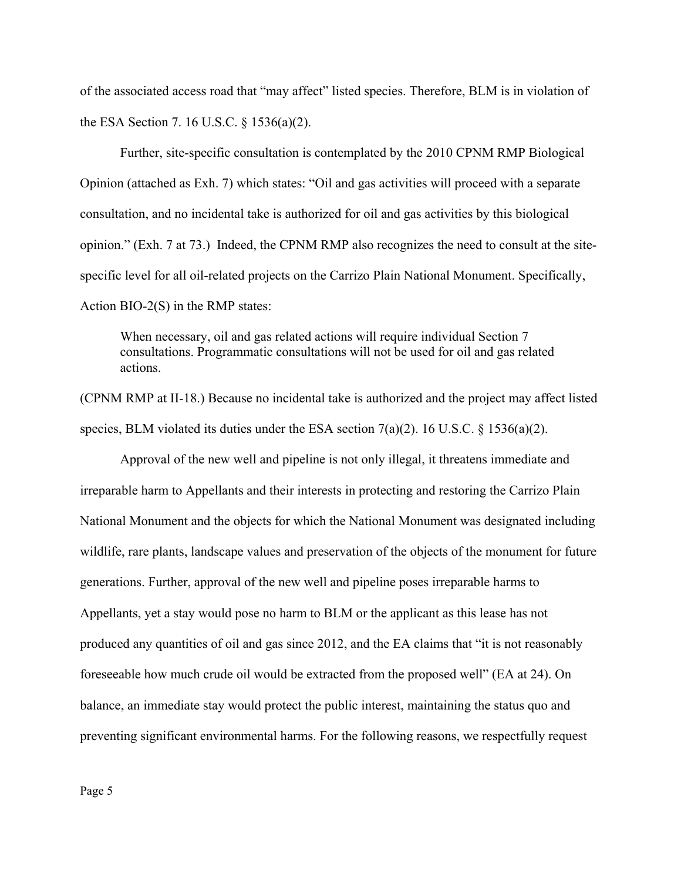of the associated access road that "may affect" listed species. Therefore, BLM is in violation of the ESA Section 7. 16 U.S.C. § 1536(a)(2).

Further, site-specific consultation is contemplated by the 2010 CPNM RMP Biological Opinion (attached as Exh. 7) which states: "Oil and gas activities will proceed with a separate consultation, and no incidental take is authorized for oil and gas activities by this biological opinion." (Exh. 7 at 73.) Indeed, the CPNM RMP also recognizes the need to consult at the sitespecific level for all oil-related projects on the Carrizo Plain National Monument. Specifically, Action BIO-2(S) in the RMP states:

When necessary, oil and gas related actions will require individual Section 7 consultations. Programmatic consultations will not be used for oil and gas related actions.

(CPNM RMP at II-18.) Because no incidental take is authorized and the project may affect listed species, BLM violated its duties under the ESA section  $7(a)(2)$ . 16 U.S.C. § 1536(a)(2).

Approval of the new well and pipeline is not only illegal, it threatens immediate and irreparable harm to Appellants and their interests in protecting and restoring the Carrizo Plain National Monument and the objects for which the National Monument was designated including wildlife, rare plants, landscape values and preservation of the objects of the monument for future generations. Further, approval of the new well and pipeline poses irreparable harms to Appellants, yet a stay would pose no harm to BLM or the applicant as this lease has not produced any quantities of oil and gas since 2012, and the EA claims that "it is not reasonably foreseeable how much crude oil would be extracted from the proposed well" (EA at 24). On balance, an immediate stay would protect the public interest, maintaining the status quo and preventing significant environmental harms. For the following reasons, we respectfully request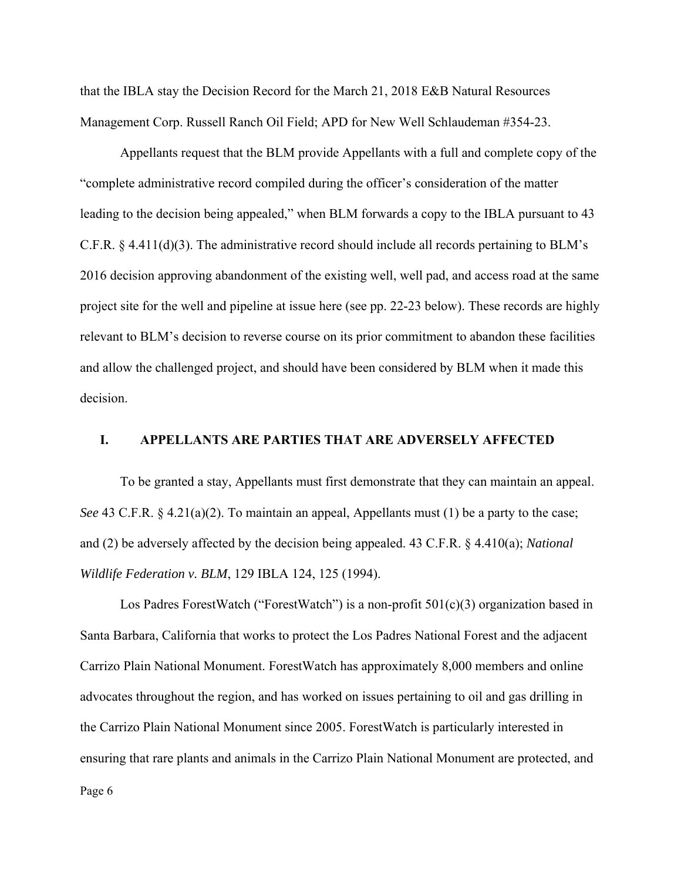that the IBLA stay the Decision Record for the March 21, 2018 E&B Natural Resources Management Corp. Russell Ranch Oil Field; APD for New Well Schlaudeman #354-23.

Appellants request that the BLM provide Appellants with a full and complete copy of the "complete administrative record compiled during the officer's consideration of the matter leading to the decision being appealed," when BLM forwards a copy to the IBLA pursuant to 43 C.F.R. § 4.411(d)(3). The administrative record should include all records pertaining to BLM's 2016 decision approving abandonment of the existing well, well pad, and access road at the same project site for the well and pipeline at issue here (see pp. 22-23 below). These records are highly relevant to BLM's decision to reverse course on its prior commitment to abandon these facilities and allow the challenged project, and should have been considered by BLM when it made this decision.

### **I. APPELLANTS ARE PARTIES THAT ARE ADVERSELY AFFECTED**

To be granted a stay, Appellants must first demonstrate that they can maintain an appeal. *See* 43 C.F.R. § 4.21(a)(2). To maintain an appeal, Appellants must (1) be a party to the case; and (2) be adversely affected by the decision being appealed. 43 C.F.R. § 4.410(a); *National Wildlife Federation v. BLM*, 129 IBLA 124, 125 (1994).

Los Padres ForestWatch ("ForestWatch") is a non-profit 501(c)(3) organization based in Santa Barbara, California that works to protect the Los Padres National Forest and the adjacent Carrizo Plain National Monument. ForestWatch has approximately 8,000 members and online advocates throughout the region, and has worked on issues pertaining to oil and gas drilling in the Carrizo Plain National Monument since 2005. ForestWatch is particularly interested in ensuring that rare plants and animals in the Carrizo Plain National Monument are protected, and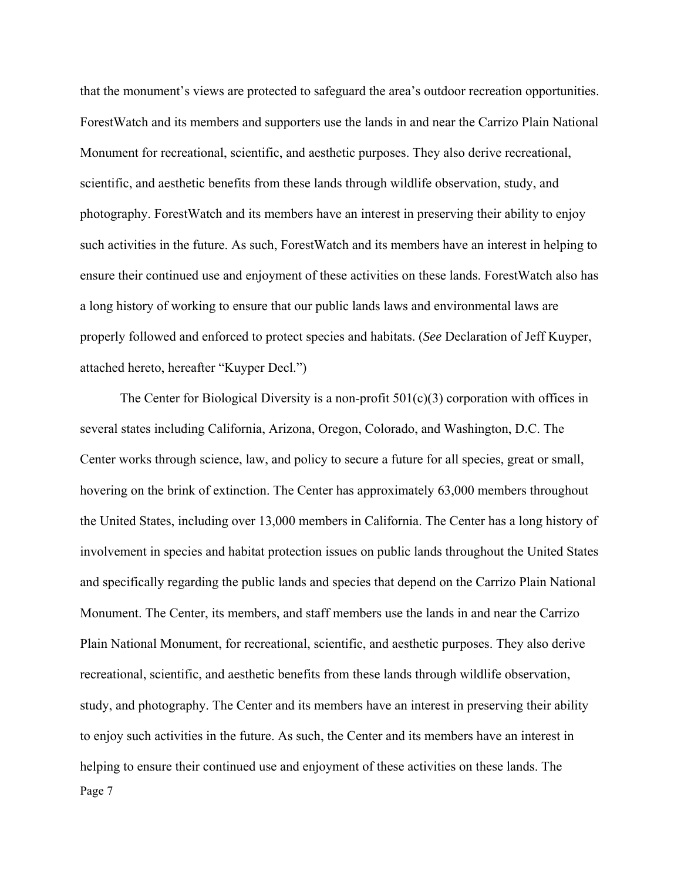that the monument's views are protected to safeguard the area's outdoor recreation opportunities. ForestWatch and its members and supporters use the lands in and near the Carrizo Plain National Monument for recreational, scientific, and aesthetic purposes. They also derive recreational, scientific, and aesthetic benefits from these lands through wildlife observation, study, and photography. ForestWatch and its members have an interest in preserving their ability to enjoy such activities in the future. As such, ForestWatch and its members have an interest in helping to ensure their continued use and enjoyment of these activities on these lands. ForestWatch also has a long history of working to ensure that our public lands laws and environmental laws are properly followed and enforced to protect species and habitats. (*See* Declaration of Jeff Kuyper, attached hereto, hereafter "Kuyper Decl.")

Page 7 The Center for Biological Diversity is a non-profit  $501(c)(3)$  corporation with offices in several states including California, Arizona, Oregon, Colorado, and Washington, D.C. The Center works through science, law, and policy to secure a future for all species, great or small, hovering on the brink of extinction. The Center has approximately 63,000 members throughout the United States, including over 13,000 members in California. The Center has a long history of involvement in species and habitat protection issues on public lands throughout the United States and specifically regarding the public lands and species that depend on the Carrizo Plain National Monument. The Center, its members, and staff members use the lands in and near the Carrizo Plain National Monument, for recreational, scientific, and aesthetic purposes. They also derive recreational, scientific, and aesthetic benefits from these lands through wildlife observation, study, and photography. The Center and its members have an interest in preserving their ability to enjoy such activities in the future. As such, the Center and its members have an interest in helping to ensure their continued use and enjoyment of these activities on these lands. The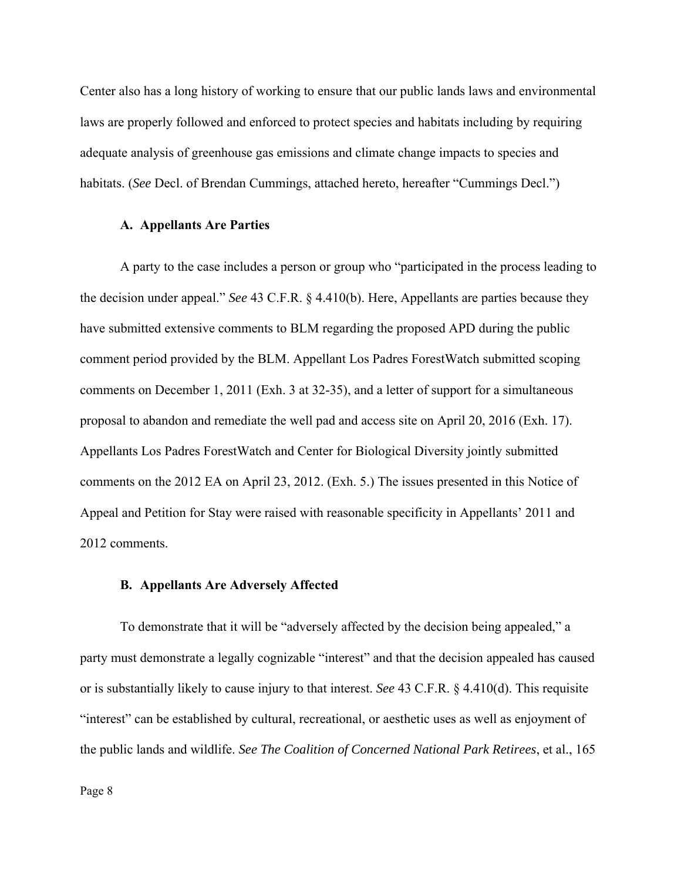Center also has a long history of working to ensure that our public lands laws and environmental laws are properly followed and enforced to protect species and habitats including by requiring adequate analysis of greenhouse gas emissions and climate change impacts to species and habitats. (*See* Decl. of Brendan Cummings, attached hereto, hereafter "Cummings Decl.")

#### **A. Appellants Are Parties**

A party to the case includes a person or group who "participated in the process leading to the decision under appeal." *See* 43 C.F.R. § 4.410(b). Here, Appellants are parties because they have submitted extensive comments to BLM regarding the proposed APD during the public comment period provided by the BLM. Appellant Los Padres ForestWatch submitted scoping comments on December 1, 2011 (Exh. 3 at 32-35), and a letter of support for a simultaneous proposal to abandon and remediate the well pad and access site on April 20, 2016 (Exh. 17). Appellants Los Padres ForestWatch and Center for Biological Diversity jointly submitted comments on the 2012 EA on April 23, 2012. (Exh. 5.) The issues presented in this Notice of Appeal and Petition for Stay were raised with reasonable specificity in Appellants' 2011 and 2012 comments.

#### **B. Appellants Are Adversely Affected**

To demonstrate that it will be "adversely affected by the decision being appealed," a party must demonstrate a legally cognizable "interest" and that the decision appealed has caused or is substantially likely to cause injury to that interest. *See* 43 C.F.R. § 4.410(d). This requisite "interest" can be established by cultural, recreational, or aesthetic uses as well as enjoyment of the public lands and wildlife. *See The Coalition of Concerned National Park Retirees*, et al., 165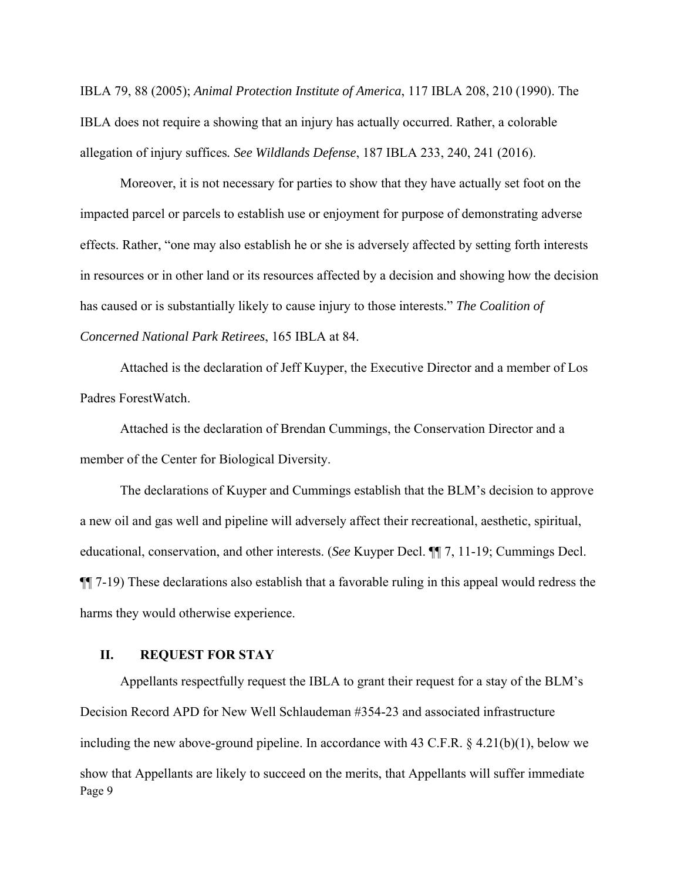IBLA 79, 88 (2005); *Animal Protection Institute of America*, 117 IBLA 208, 210 (1990). The IBLA does not require a showing that an injury has actually occurred. Rather, a colorable allegation of injury suffices*. See Wildlands Defense*, 187 IBLA 233, 240, 241 (2016).

Moreover, it is not necessary for parties to show that they have actually set foot on the impacted parcel or parcels to establish use or enjoyment for purpose of demonstrating adverse effects. Rather, "one may also establish he or she is adversely affected by setting forth interests in resources or in other land or its resources affected by a decision and showing how the decision has caused or is substantially likely to cause injury to those interests." *The Coalition of Concerned National Park Retirees*, 165 IBLA at 84.

Attached is the declaration of Jeff Kuyper, the Executive Director and a member of Los Padres ForestWatch.

Attached is the declaration of Brendan Cummings, the Conservation Director and a member of the Center for Biological Diversity.

The declarations of Kuyper and Cummings establish that the BLM's decision to approve a new oil and gas well and pipeline will adversely affect their recreational, aesthetic, spiritual, educational, conservation, and other interests. (*See* Kuyper Decl. ¶¶ 7, 11-19; Cummings Decl. ¶¶ 7-19) These declarations also establish that a favorable ruling in this appeal would redress the harms they would otherwise experience.

### **II. REQUEST FOR STAY**

Page 9 Appellants respectfully request the IBLA to grant their request for a stay of the BLM's Decision Record APD for New Well Schlaudeman #354-23 and associated infrastructure including the new above-ground pipeline. In accordance with 43 C.F.R.  $\S$  4.21(b)(1), below we show that Appellants are likely to succeed on the merits, that Appellants will suffer immediate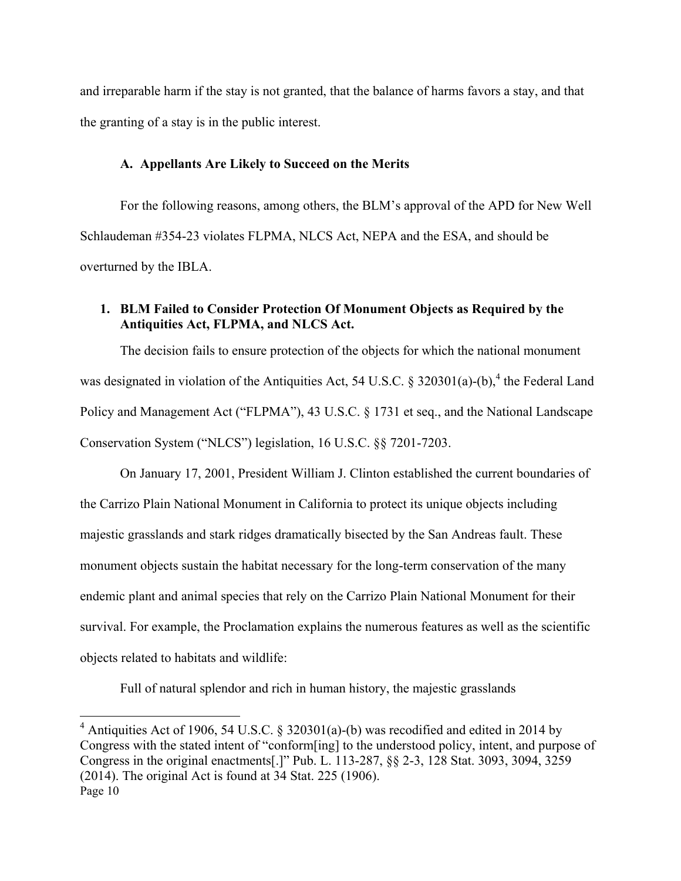and irreparable harm if the stay is not granted, that the balance of harms favors a stay, and that the granting of a stay is in the public interest.

### **A. Appellants Are Likely to Succeed on the Merits**

For the following reasons, among others, the BLM's approval of the APD for New Well Schlaudeman #354-23 violates FLPMA, NLCS Act, NEPA and the ESA, and should be overturned by the IBLA.

# **1. BLM Failed to Consider Protection Of Monument Objects as Required by the Antiquities Act, FLPMA, and NLCS Act.**

The decision fails to ensure protection of the objects for which the national monument was designated in violation of the Antiquities Act, 54 U.S.C. § 320301(a)-(b),<sup>4</sup> the Federal Land Policy and Management Act ("FLPMA"), 43 U.S.C. § 1731 et seq., and the National Landscape Conservation System ("NLCS") legislation, 16 U.S.C. §§ 7201-7203.

On January 17, 2001, President William J. Clinton established the current boundaries of the Carrizo Plain National Monument in California to protect its unique objects including majestic grasslands and stark ridges dramatically bisected by the San Andreas fault. These monument objects sustain the habitat necessary for the long-term conservation of the many endemic plant and animal species that rely on the Carrizo Plain National Monument for their survival. For example, the Proclamation explains the numerous features as well as the scientific objects related to habitats and wildlife:

Full of natural splendor and rich in human history, the majestic grasslands

Page 10 <sup>4</sup> Antiquities Act of 1906, 54 U.S.C. § 320301(a)-(b) was recodified and edited in 2014 by Congress with the stated intent of "conform[ing] to the understood policy, intent, and purpose of Congress in the original enactments[.]" Pub. L. 113-287, §§ 2-3, 128 Stat. 3093, 3094, 3259 (2014). The original Act is found at 34 Stat. 225 (1906).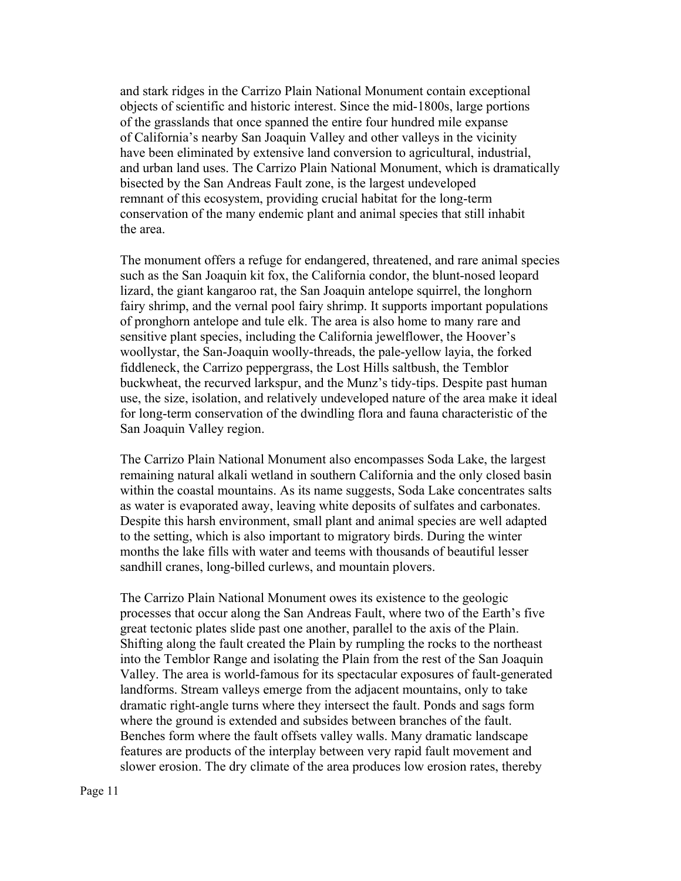and stark ridges in the Carrizo Plain National Monument contain exceptional objects of scientific and historic interest. Since the mid-1800s, large portions of the grasslands that once spanned the entire four hundred mile expanse of California's nearby San Joaquin Valley and other valleys in the vicinity have been eliminated by extensive land conversion to agricultural, industrial, and urban land uses. The Carrizo Plain National Monument, which is dramatically bisected by the San Andreas Fault zone, is the largest undeveloped remnant of this ecosystem, providing crucial habitat for the long-term conservation of the many endemic plant and animal species that still inhabit the area.

The monument offers a refuge for endangered, threatened, and rare animal species such as the San Joaquin kit fox, the California condor, the blunt-nosed leopard lizard, the giant kangaroo rat, the San Joaquin antelope squirrel, the longhorn fairy shrimp, and the vernal pool fairy shrimp. It supports important populations of pronghorn antelope and tule elk. The area is also home to many rare and sensitive plant species, including the California jewelflower, the Hoover's woollystar, the San-Joaquin woolly-threads, the pale-yellow layia, the forked fiddleneck, the Carrizo peppergrass, the Lost Hills saltbush, the Temblor buckwheat, the recurved larkspur, and the Munz's tidy-tips. Despite past human use, the size, isolation, and relatively undeveloped nature of the area make it ideal for long-term conservation of the dwindling flora and fauna characteristic of the San Joaquin Valley region.

The Carrizo Plain National Monument also encompasses Soda Lake, the largest remaining natural alkali wetland in southern California and the only closed basin within the coastal mountains. As its name suggests, Soda Lake concentrates salts as water is evaporated away, leaving white deposits of sulfates and carbonates. Despite this harsh environment, small plant and animal species are well adapted to the setting, which is also important to migratory birds. During the winter months the lake fills with water and teems with thousands of beautiful lesser sandhill cranes, long-billed curlews, and mountain plovers.

The Carrizo Plain National Monument owes its existence to the geologic processes that occur along the San Andreas Fault, where two of the Earth's five great tectonic plates slide past one another, parallel to the axis of the Plain. Shifting along the fault created the Plain by rumpling the rocks to the northeast into the Temblor Range and isolating the Plain from the rest of the San Joaquin Valley. The area is world-famous for its spectacular exposures of fault-generated landforms. Stream valleys emerge from the adjacent mountains, only to take dramatic right-angle turns where they intersect the fault. Ponds and sags form where the ground is extended and subsides between branches of the fault. Benches form where the fault offsets valley walls. Many dramatic landscape features are products of the interplay between very rapid fault movement and slower erosion. The dry climate of the area produces low erosion rates, thereby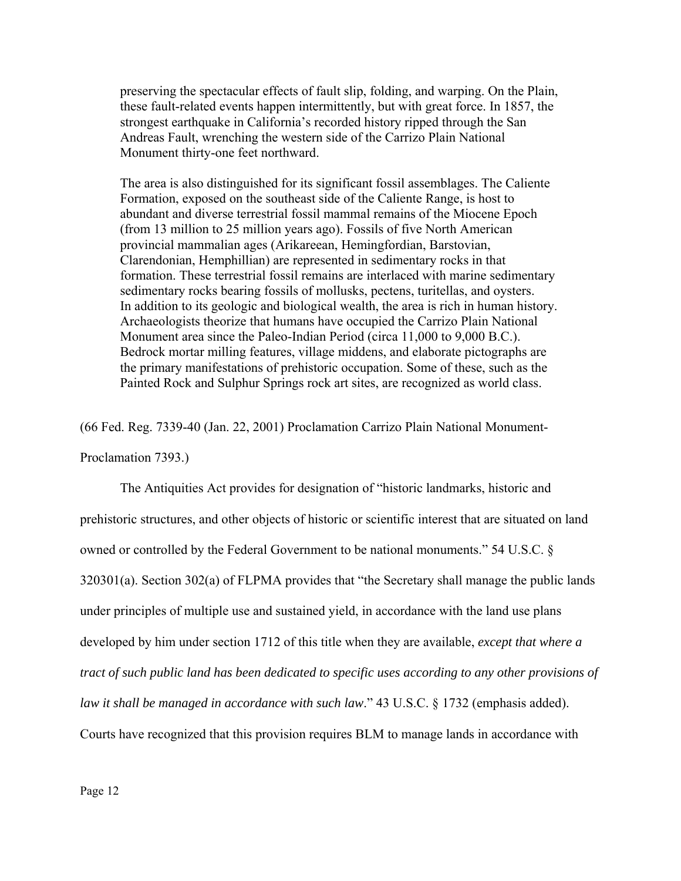preserving the spectacular effects of fault slip, folding, and warping. On the Plain, these fault-related events happen intermittently, but with great force. In 1857, the strongest earthquake in California's recorded history ripped through the San Andreas Fault, wrenching the western side of the Carrizo Plain National Monument thirty-one feet northward.

The area is also distinguished for its significant fossil assemblages. The Caliente Formation, exposed on the southeast side of the Caliente Range, is host to abundant and diverse terrestrial fossil mammal remains of the Miocene Epoch (from 13 million to 25 million years ago). Fossils of five North American provincial mammalian ages (Arikareean, Hemingfordian, Barstovian, Clarendonian, Hemphillian) are represented in sedimentary rocks in that formation. These terrestrial fossil remains are interlaced with marine sedimentary sedimentary rocks bearing fossils of mollusks, pectens, turitellas, and oysters. In addition to its geologic and biological wealth, the area is rich in human history. Archaeologists theorize that humans have occupied the Carrizo Plain National Monument area since the Paleo-Indian Period (circa 11,000 to 9,000 B.C.). Bedrock mortar milling features, village middens, and elaborate pictographs are the primary manifestations of prehistoric occupation. Some of these, such as the Painted Rock and Sulphur Springs rock art sites, are recognized as world class.

(66 Fed. Reg. 7339-40 (Jan. 22, 2001) Proclamation Carrizo Plain National Monument-

Proclamation 7393.)

The Antiquities Act provides for designation of "historic landmarks, historic and prehistoric structures, and other objects of historic or scientific interest that are situated on land owned or controlled by the Federal Government to be national monuments." 54 U.S.C. § 320301(a). Section 302(a) of FLPMA provides that "the Secretary shall manage the public lands under principles of multiple use and sustained yield, in accordance with the land use plans developed by him under section 1712 of this title when they are available, *except that where a tract of such public land has been dedicated to specific uses according to any other provisions of law it shall be managed in accordance with such law*." 43 U.S.C. § 1732 (emphasis added). Courts have recognized that this provision requires BLM to manage lands in accordance with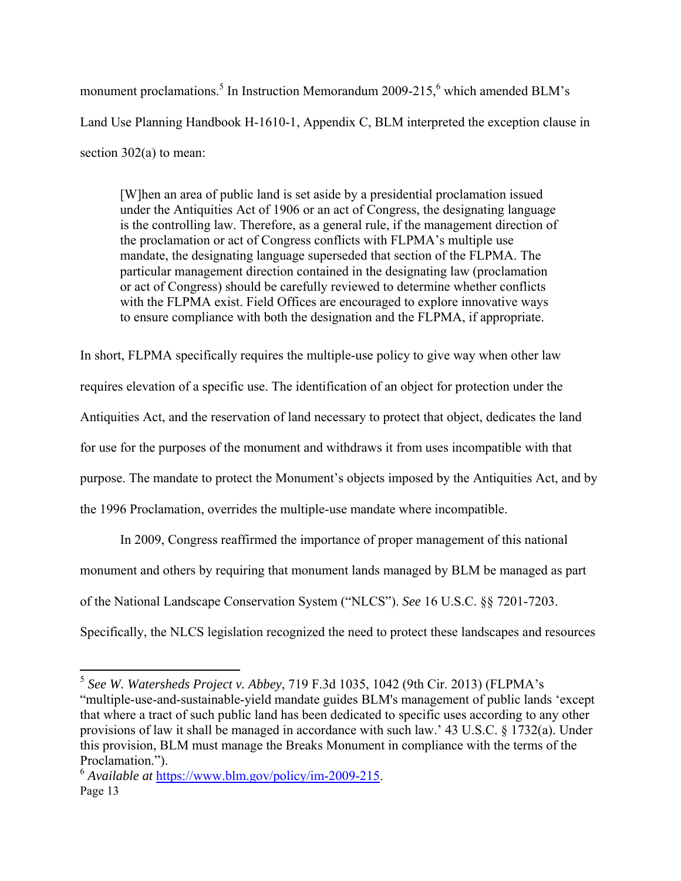monument proclamations.<sup>5</sup> In Instruction Memorandum 2009-215,<sup>6</sup> which amended BLM's Land Use Planning Handbook H-1610-1, Appendix C, BLM interpreted the exception clause in section 302(a) to mean:

[W]hen an area of public land is set aside by a presidential proclamation issued under the Antiquities Act of 1906 or an act of Congress, the designating language is the controlling law. Therefore, as a general rule, if the management direction of the proclamation or act of Congress conflicts with FLPMA's multiple use mandate, the designating language superseded that section of the FLPMA. The particular management direction contained in the designating law (proclamation or act of Congress) should be carefully reviewed to determine whether conflicts with the FLPMA exist. Field Offices are encouraged to explore innovative ways to ensure compliance with both the designation and the FLPMA, if appropriate.

In short, FLPMA specifically requires the multiple-use policy to give way when other law requires elevation of a specific use. The identification of an object for protection under the Antiquities Act, and the reservation of land necessary to protect that object, dedicates the land for use for the purposes of the monument and withdraws it from uses incompatible with that purpose. The mandate to protect the Monument's objects imposed by the Antiquities Act, and by the 1996 Proclamation, overrides the multiple-use mandate where incompatible.

In 2009, Congress reaffirmed the importance of proper management of this national

monument and others by requiring that monument lands managed by BLM be managed as part

of the National Landscape Conservation System ("NLCS"). *See* 16 U.S.C. §§ 7201-7203.

Specifically, the NLCS legislation recognized the need to protect these landscapes and resources

<sup>5</sup> *See W. Watersheds Project v. Abbey*, 719 F.3d 1035, 1042 (9th Cir. 2013) (FLPMA's "multiple-use-and-sustainable-yield mandate guides BLM's management of public lands 'except that where a tract of such public land has been dedicated to specific uses according to any other provisions of law it shall be managed in accordance with such law.' 43 U.S.C. § 1732(a). Under this provision, BLM must manage the Breaks Monument in compliance with the terms of the Proclamation.").

Page 13 <sup>6</sup> *Available at* https://www.blm.gov/policy/im-2009-215.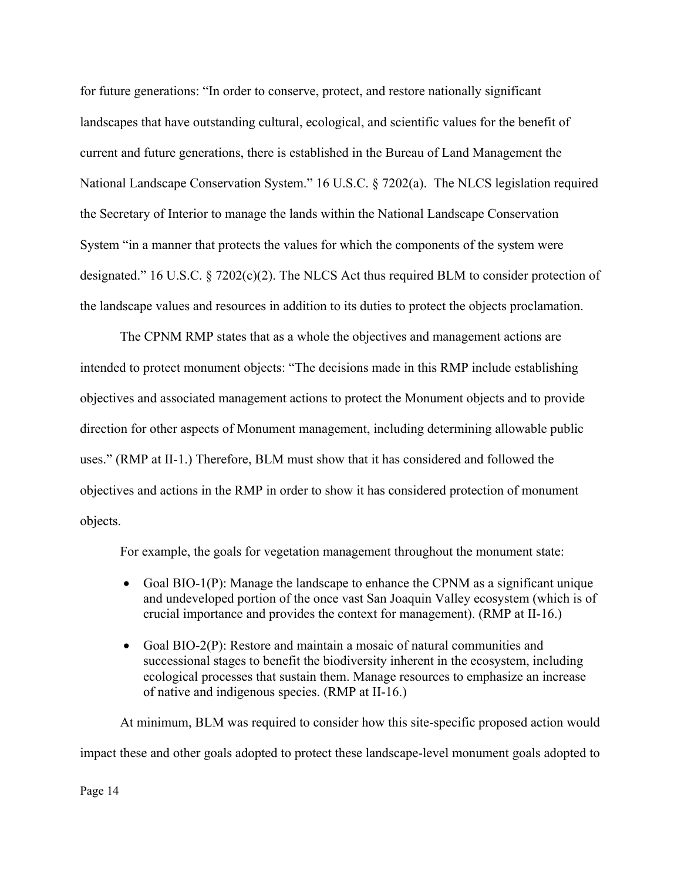for future generations: "In order to conserve, protect, and restore nationally significant landscapes that have outstanding cultural, ecological, and scientific values for the benefit of current and future generations, there is established in the Bureau of Land Management the National Landscape Conservation System." 16 U.S.C. § 7202(a). The NLCS legislation required the Secretary of Interior to manage the lands within the National Landscape Conservation System "in a manner that protects the values for which the components of the system were designated." 16 U.S.C. § 7202(c)(2). The NLCS Act thus required BLM to consider protection of the landscape values and resources in addition to its duties to protect the objects proclamation.

The CPNM RMP states that as a whole the objectives and management actions are intended to protect monument objects: "The decisions made in this RMP include establishing objectives and associated management actions to protect the Monument objects and to provide direction for other aspects of Monument management, including determining allowable public uses." (RMP at II-1.) Therefore, BLM must show that it has considered and followed the objectives and actions in the RMP in order to show it has considered protection of monument objects.

For example, the goals for vegetation management throughout the monument state:

- Goal BIO-1(P): Manage the landscape to enhance the CPNM as a significant unique and undeveloped portion of the once vast San Joaquin Valley ecosystem (which is of crucial importance and provides the context for management). (RMP at II-16.)
- Goal BIO-2(P): Restore and maintain a mosaic of natural communities and successional stages to benefit the biodiversity inherent in the ecosystem, including ecological processes that sustain them. Manage resources to emphasize an increase of native and indigenous species. (RMP at II-16.)

At minimum, BLM was required to consider how this site-specific proposed action would impact these and other goals adopted to protect these landscape-level monument goals adopted to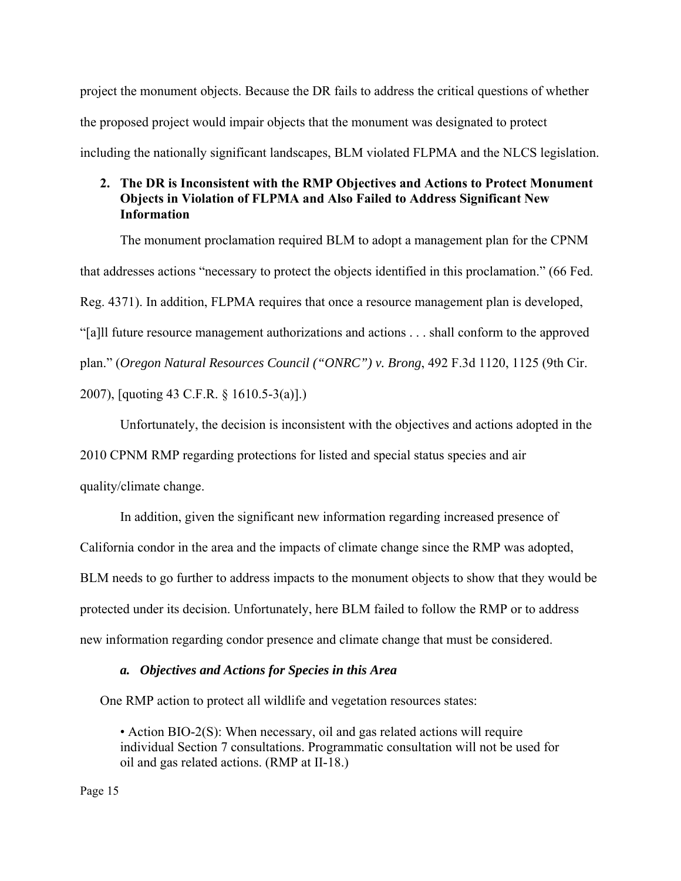project the monument objects. Because the DR fails to address the critical questions of whether the proposed project would impair objects that the monument was designated to protect including the nationally significant landscapes, BLM violated FLPMA and the NLCS legislation.

# **2. The DR is Inconsistent with the RMP Objectives and Actions to Protect Monument Objects in Violation of FLPMA and Also Failed to Address Significant New Information**

The monument proclamation required BLM to adopt a management plan for the CPNM that addresses actions "necessary to protect the objects identified in this proclamation." (66 Fed. Reg. 4371). In addition, FLPMA requires that once a resource management plan is developed, "[a]ll future resource management authorizations and actions . . . shall conform to the approved plan." (*Oregon Natural Resources Council ("ONRC") v. Brong*, 492 F.3d 1120, 1125 (9th Cir. 2007), [quoting 43 C.F.R. § 1610.5-3(a)].)

Unfortunately, the decision is inconsistent with the objectives and actions adopted in the

2010 CPNM RMP regarding protections for listed and special status species and air

quality/climate change.

 In addition, given the significant new information regarding increased presence of California condor in the area and the impacts of climate change since the RMP was adopted, BLM needs to go further to address impacts to the monument objects to show that they would be protected under its decision. Unfortunately, here BLM failed to follow the RMP or to address new information regarding condor presence and climate change that must be considered.

#### *a. Objectives and Actions for Species in this Area*

One RMP action to protect all wildlife and vegetation resources states:

• Action BIO-2(S): When necessary, oil and gas related actions will require individual Section 7 consultations. Programmatic consultation will not be used for oil and gas related actions. (RMP at II-18.)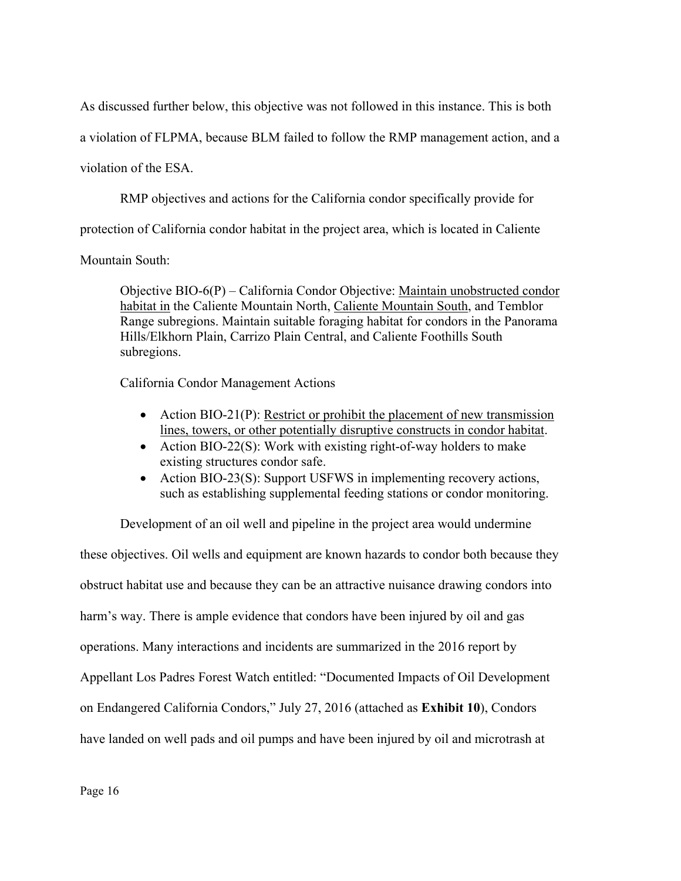As discussed further below, this objective was not followed in this instance. This is both

a violation of FLPMA, because BLM failed to follow the RMP management action, and a

violation of the ESA.

RMP objectives and actions for the California condor specifically provide for

protection of California condor habitat in the project area, which is located in Caliente

Mountain South:

Objective BIO-6(P) – California Condor Objective: Maintain unobstructed condor habitat in the Caliente Mountain North, Caliente Mountain South, and Temblor Range subregions. Maintain suitable foraging habitat for condors in the Panorama Hills/Elkhorn Plain, Carrizo Plain Central, and Caliente Foothills South subregions.

California Condor Management Actions

- Action BIO-21(P): Restrict or prohibit the placement of new transmission lines, towers, or other potentially disruptive constructs in condor habitat.
- Action BIO-22(S): Work with existing right-of-way holders to make existing structures condor safe.
- Action BIO-23(S): Support USFWS in implementing recovery actions, such as establishing supplemental feeding stations or condor monitoring.

Development of an oil well and pipeline in the project area would undermine these objectives. Oil wells and equipment are known hazards to condor both because they obstruct habitat use and because they can be an attractive nuisance drawing condors into harm's way. There is ample evidence that condors have been injured by oil and gas operations. Many interactions and incidents are summarized in the 2016 report by Appellant Los Padres Forest Watch entitled: "Documented Impacts of Oil Development on Endangered California Condors," July 27, 2016 (attached as **Exhibit 10**), Condors have landed on well pads and oil pumps and have been injured by oil and microtrash at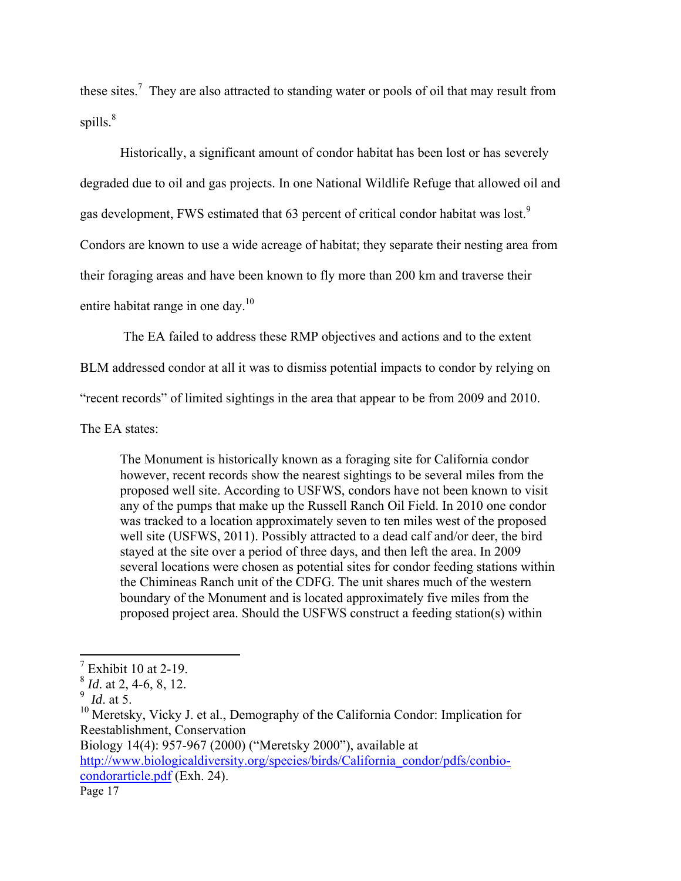these sites.<sup>7</sup> They are also attracted to standing water or pools of oil that may result from spills. $8^8$ 

Historically, a significant amount of condor habitat has been lost or has severely degraded due to oil and gas projects. In one National Wildlife Refuge that allowed oil and gas development, FWS estimated that 63 percent of critical condor habitat was lost.<sup>9</sup> Condors are known to use a wide acreage of habitat; they separate their nesting area from their foraging areas and have been known to fly more than 200 km and traverse their entire habitat range in one day.<sup>10</sup>

The EA failed to address these RMP objectives and actions and to the extent

BLM addressed condor at all it was to dismiss potential impacts to condor by relying on

"recent records" of limited sightings in the area that appear to be from 2009 and 2010.

The EA states:

The Monument is historically known as a foraging site for California condor however, recent records show the nearest sightings to be several miles from the proposed well site. According to USFWS, condors have not been known to visit any of the pumps that make up the Russell Ranch Oil Field. In 2010 one condor was tracked to a location approximately seven to ten miles west of the proposed well site (USFWS, 2011). Possibly attracted to a dead calf and/or deer, the bird stayed at the site over a period of three days, and then left the area. In 2009 several locations were chosen as potential sites for condor feeding stations within the Chimineas Ranch unit of the CDFG. The unit shares much of the western boundary of the Monument and is located approximately five miles from the proposed project area. Should the USFWS construct a feeding station(s) within

Biology 14(4): 957-967 (2000) ("Meretsky 2000"), available at

Page 17 http://www.biologicaldiversity.org/species/birds/California\_condor/pdfs/conbiocondorarticle.pdf (Exh. 24).

 $7$  Exhibit 10 at 2-19.

<sup>8</sup> *Id*. at 2, 4-6, 8, 12.

<sup>9</sup> *Id*. at 5.

<sup>&</sup>lt;sup>10</sup> Meretsky, Vicky J. et al., Demography of the California Condor: Implication for Reestablishment, Conservation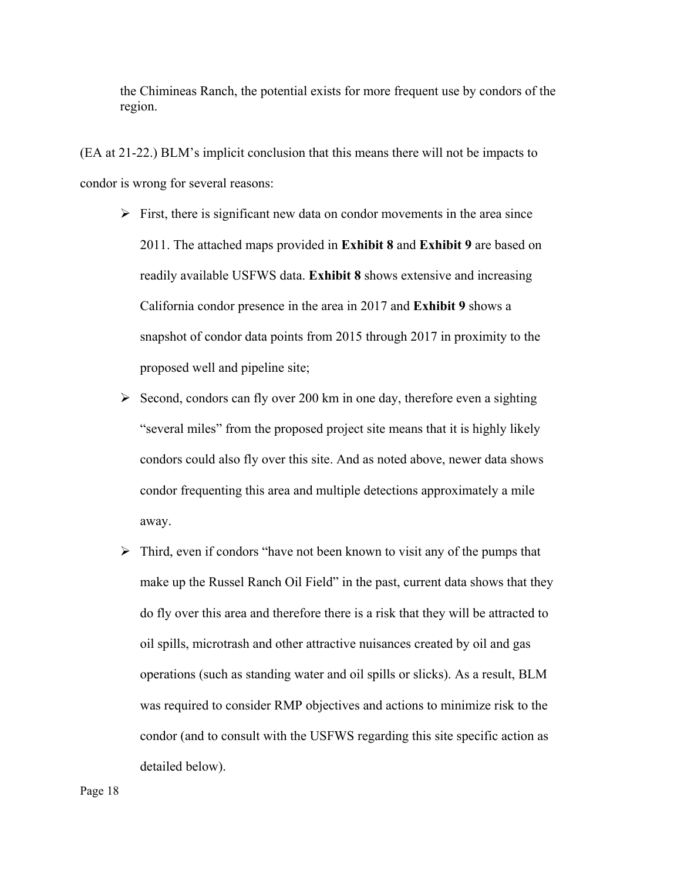the Chimineas Ranch, the potential exists for more frequent use by condors of the region.

(EA at 21-22.) BLM's implicit conclusion that this means there will not be impacts to condor is wrong for several reasons:

- $\triangleright$  First, there is significant new data on condor movements in the area since 2011. The attached maps provided in **Exhibit 8** and **Exhibit 9** are based on readily available USFWS data. **Exhibit 8** shows extensive and increasing California condor presence in the area in 2017 and **Exhibit 9** shows a snapshot of condor data points from 2015 through 2017 in proximity to the proposed well and pipeline site;
- $\triangleright$  Second, condors can fly over 200 km in one day, therefore even a sighting "several miles" from the proposed project site means that it is highly likely condors could also fly over this site. And as noted above, newer data shows condor frequenting this area and multiple detections approximately a mile away.
- $\triangleright$  Third, even if condors "have not been known to visit any of the pumps that make up the Russel Ranch Oil Field" in the past, current data shows that they do fly over this area and therefore there is a risk that they will be attracted to oil spills, microtrash and other attractive nuisances created by oil and gas operations (such as standing water and oil spills or slicks). As a result, BLM was required to consider RMP objectives and actions to minimize risk to the condor (and to consult with the USFWS regarding this site specific action as detailed below).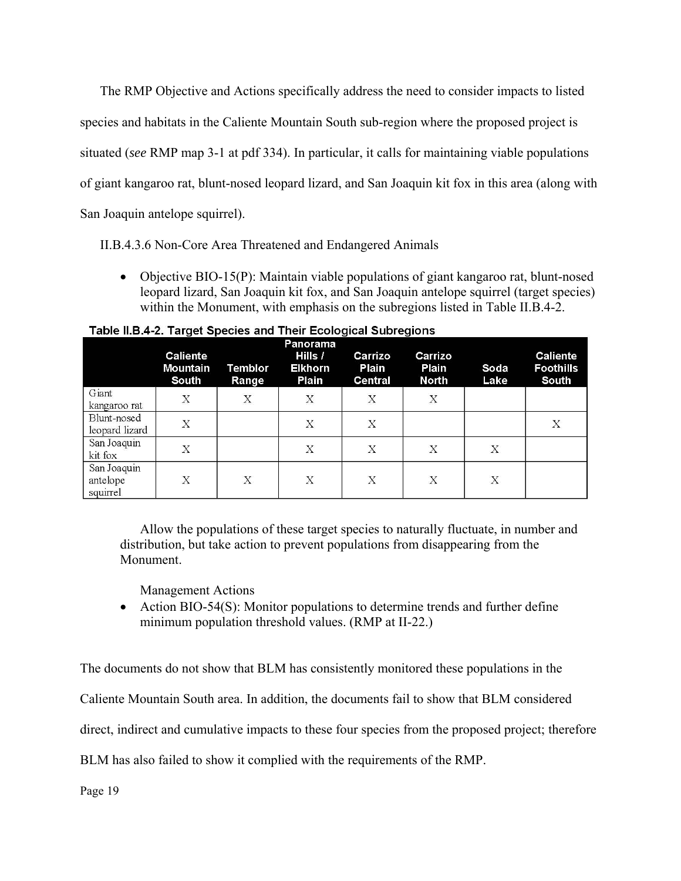The RMP Objective and Actions specifically address the need to consider impacts to listed species and habitats in the Caliente Mountain South sub-region where the proposed project is situated (*see* RMP map 3-1 at pdf 334). In particular, it calls for maintaining viable populations of giant kangaroo rat, blunt-nosed leopard lizard, and San Joaquin kit fox in this area (along with San Joaquin antelope squirrel).

II.B.4.3.6 Non-Core Area Threatened and Endangered Animals

 Objective BIO-15(P): Maintain viable populations of giant kangaroo rat, blunt-nosed leopard lizard, San Joaquin kit fox, and San Joaquin antelope squirrel (target species) within the Monument, with emphasis on the subregions listed in Table II.B.4-2.

|                                     | <b>Caliente</b><br><b>Mountain</b><br>South | Temblor<br>Range          | Panorama<br>Hills /<br><b>Elkhorn</b><br>Plain | Carrizo<br>Plain<br><b>Central</b> | Carrizo<br>Plain<br><b>North</b> | Soda<br>Lake | <b>Caliente</b><br><b>Foothills</b><br>South |
|-------------------------------------|---------------------------------------------|---------------------------|------------------------------------------------|------------------------------------|----------------------------------|--------------|----------------------------------------------|
| Giant<br>kangaroo rat               | X                                           | $\boldsymbol{\mathrm{X}}$ | X                                              | $\boldsymbol{\mathrm{X}}$          | X                                |              |                                              |
| Blunt-nosed<br>leopard lizard       | X                                           |                           | Χ                                              | Х                                  |                                  |              | Х                                            |
| San Joaquin<br>kit fox              | Х                                           |                           | Χ                                              | Х                                  | Х                                | X            |                                              |
| San Joaquin<br>antelope<br>squirrel | Х                                           | X                         | X                                              | X                                  | Χ                                | X            |                                              |

Table II.B.4-2. Target Species and Their Ecological Subregions

Allow the populations of these target species to naturally fluctuate, in number and distribution, but take action to prevent populations from disappearing from the Monument.

Management Actions

 Action BIO-54(S): Monitor populations to determine trends and further define minimum population threshold values. (RMP at II-22.)

The documents do not show that BLM has consistently monitored these populations in the

Caliente Mountain South area. In addition, the documents fail to show that BLM considered

direct, indirect and cumulative impacts to these four species from the proposed project; therefore

BLM has also failed to show it complied with the requirements of the RMP.

Page 19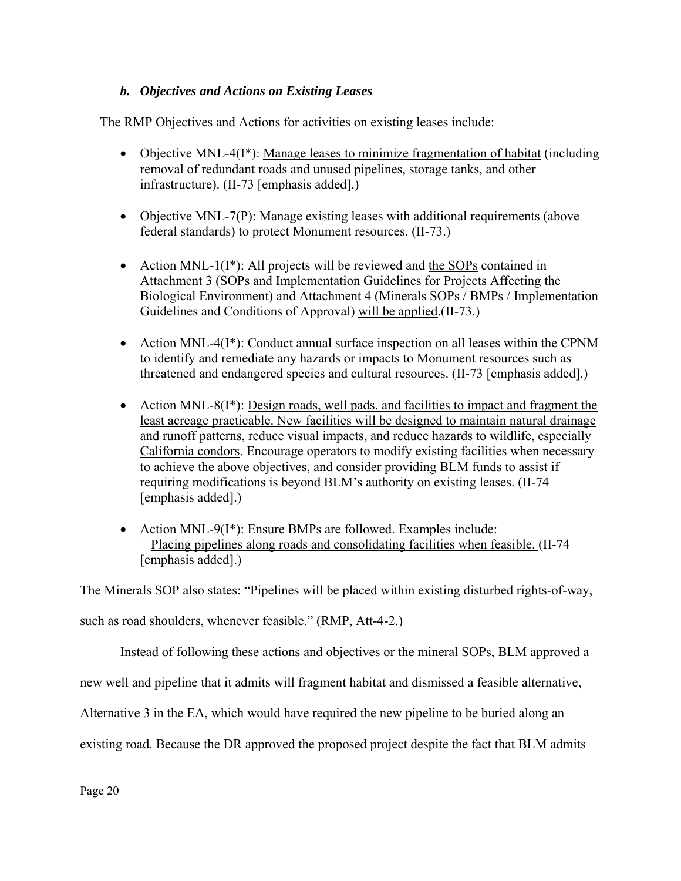# *b. Objectives and Actions on Existing Leases*

The RMP Objectives and Actions for activities on existing leases include:

- Objective MNL-4(I<sup>\*</sup>): Manage leases to minimize fragmentation of habitat (including removal of redundant roads and unused pipelines, storage tanks, and other infrastructure). (II-73 [emphasis added].)
- Objective MNL-7(P): Manage existing leases with additional requirements (above federal standards) to protect Monument resources. (II-73.)
- Action MNL-1 $(I^*)$ : All projects will be reviewed and the SOPs contained in Attachment 3 (SOPs and Implementation Guidelines for Projects Affecting the Biological Environment) and Attachment 4 (Minerals SOPs / BMPs / Implementation Guidelines and Conditions of Approval) will be applied.(II-73.)
- Action MNL-4(I<sup>\*</sup>): Conduct annual surface inspection on all leases within the CPNM to identify and remediate any hazards or impacts to Monument resources such as threatened and endangered species and cultural resources. (II-73 [emphasis added].)
- Action MNL-8(I<sup>\*</sup>): <u>Design roads, well pads, and facilities to impact and fragment the</u> least acreage practicable. New facilities will be designed to maintain natural drainage and runoff patterns, reduce visual impacts, and reduce hazards to wildlife, especially California condors. Encourage operators to modify existing facilities when necessary to achieve the above objectives, and consider providing BLM funds to assist if requiring modifications is beyond BLM's authority on existing leases. (II-74 [emphasis added].)
- Action MNL-9(I<sup>\*</sup>): Ensure BMPs are followed. Examples include: − Placing pipelines along roads and consolidating facilities when feasible. (II-74 [emphasis added].)

The Minerals SOP also states: "Pipelines will be placed within existing disturbed rights-of-way,

such as road shoulders, whenever feasible." (RMP, Att-4-2.)

Instead of following these actions and objectives or the mineral SOPs, BLM approved a

new well and pipeline that it admits will fragment habitat and dismissed a feasible alternative,

Alternative 3 in the EA, which would have required the new pipeline to be buried along an

existing road. Because the DR approved the proposed project despite the fact that BLM admits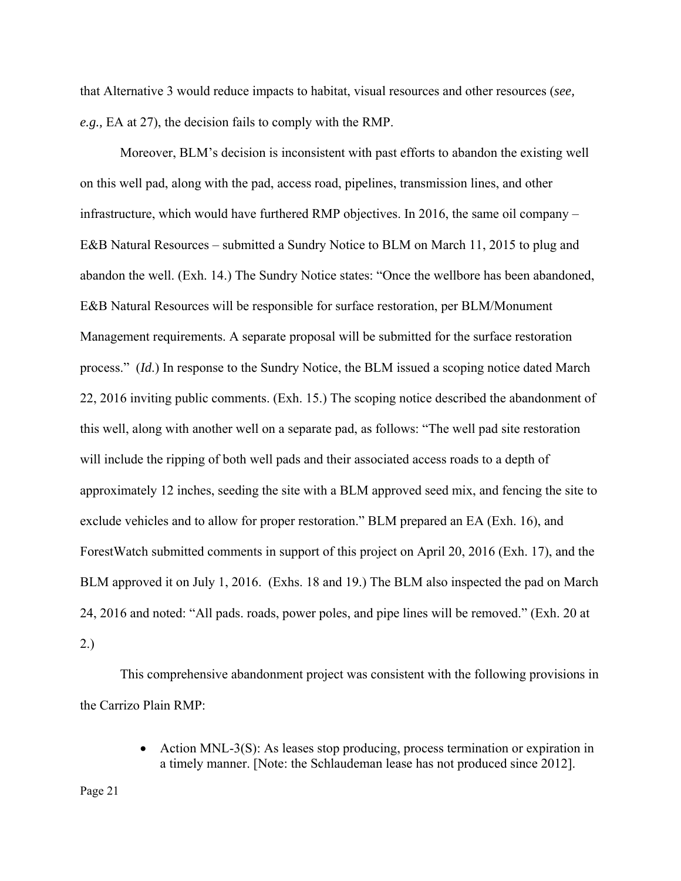that Alternative 3 would reduce impacts to habitat, visual resources and other resources (*see, e.g.,* EA at 27), the decision fails to comply with the RMP.

Moreover, BLM's decision is inconsistent with past efforts to abandon the existing well on this well pad, along with the pad, access road, pipelines, transmission lines, and other infrastructure, which would have furthered RMP objectives. In 2016, the same oil company – E&B Natural Resources – submitted a Sundry Notice to BLM on March 11, 2015 to plug and abandon the well. (Exh. 14.) The Sundry Notice states: "Once the wellbore has been abandoned, E&B Natural Resources will be responsible for surface restoration, per BLM/Monument Management requirements. A separate proposal will be submitted for the surface restoration process." (*Id*.) In response to the Sundry Notice, the BLM issued a scoping notice dated March 22, 2016 inviting public comments. (Exh. 15.) The scoping notice described the abandonment of this well, along with another well on a separate pad, as follows: "The well pad site restoration will include the ripping of both well pads and their associated access roads to a depth of approximately 12 inches, seeding the site with a BLM approved seed mix, and fencing the site to exclude vehicles and to allow for proper restoration." BLM prepared an EA (Exh. 16), and ForestWatch submitted comments in support of this project on April 20, 2016 (Exh. 17), and the BLM approved it on July 1, 2016. (Exhs. 18 and 19.) The BLM also inspected the pad on March 24, 2016 and noted: "All pads. roads, power poles, and pipe lines will be removed." (Exh. 20 at 2.)

This comprehensive abandonment project was consistent with the following provisions in the Carrizo Plain RMP:

> Action MNL-3(S): As leases stop producing, process termination or expiration in a timely manner. [Note: the Schlaudeman lease has not produced since 2012].

Page 21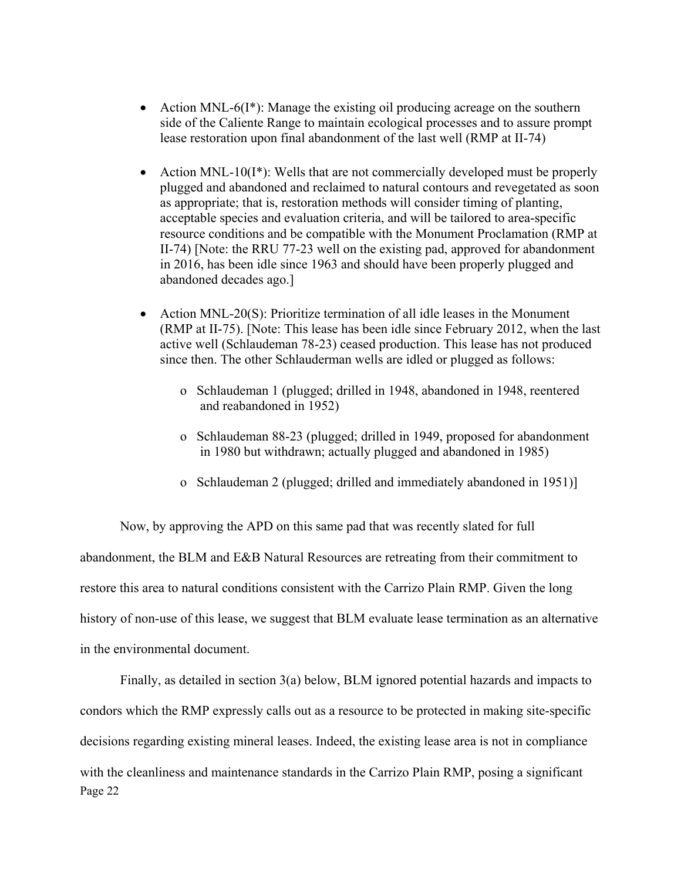- Action MNL-6(I<sup>\*</sup>): Manage the existing oil producing acreage on the southern side of the Caliente Range to maintain ecological processes and to assure prompt lease restoration upon final abandonment of the last well (RMP at II-74)
- Action MNL-10( $I^*$ ): Wells that are not commercially developed must be properly plugged and abandoned and reclaimed to natural contours and revegetated as soon as appropriate; that is, restoration methods will consider timing of planting, acceptable species and evaluation criteria, and will be tailored to area-specific resource conditions and be compatible with the Monument Proclamation (RMP at II-74) [Note: the RRU 77-23 well on the existing pad, approved for abandonment in 2016, has been idle since 1963 and should have been properly plugged and abandoned decades ago.]
- Action MNL-20(S): Prioritize termination of all idle leases in the Monument (RMP at II-75). [Note: This lease has been idle since February 2012, when the last active well (Schlaudeman 78-23) ceased production. This lease has not produced since then. The other Schlauderman wells are idled or plugged as follows:
	- o Schlaudeman 1 (plugged; drilled in 1948, abandoned in 1948, reentered and reabandoned in 1952)
	- o Schlaudeman 88-23 (plugged; drilled in 1949, proposed for abandonment in 1980 but withdrawn; actually plugged and abandoned in 1985)
	- o Schlaudeman 2 (plugged; drilled and immediately abandoned in 1951)]

Now, by approving the APD on this same pad that was recently slated for full abandonment, the BLM and E&B Natural Resources are retreating from their commitment to restore this area to natural conditions consistent with the Carrizo Plain RMP. Given the long history of non-use of this lease, we suggest that BLM evaluate lease termination as an alternative in the environmental document.

Page 22 Finally, as detailed in section 3(a) below, BLM ignored potential hazards and impacts to condors which the RMP expressly calls out as a resource to be protected in making site-specific decisions regarding existing mineral leases. Indeed, the existing lease area is not in compliance with the cleanliness and maintenance standards in the Carrizo Plain RMP, posing a significant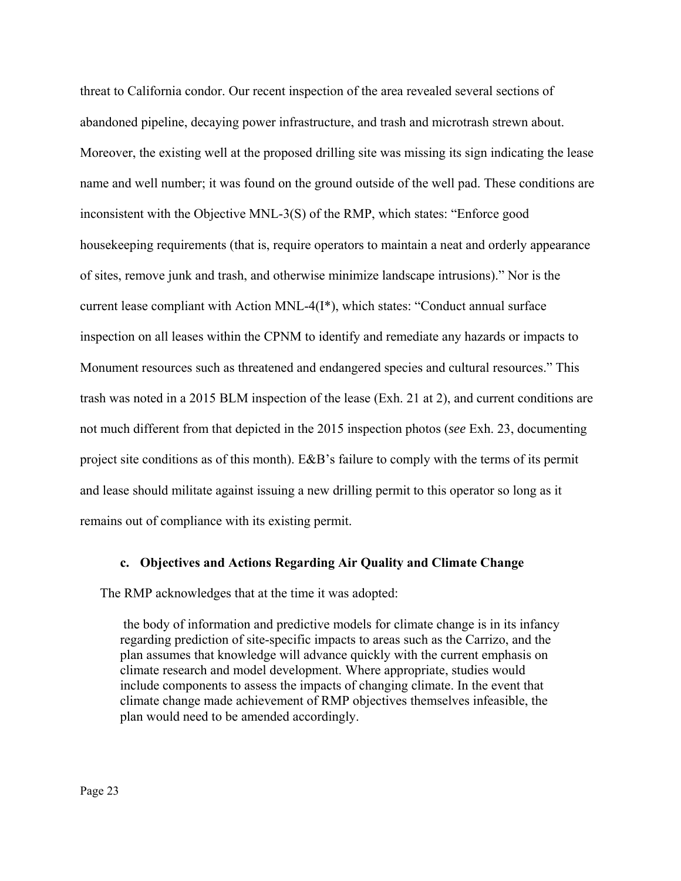threat to California condor. Our recent inspection of the area revealed several sections of abandoned pipeline, decaying power infrastructure, and trash and microtrash strewn about. Moreover, the existing well at the proposed drilling site was missing its sign indicating the lease name and well number; it was found on the ground outside of the well pad. These conditions are inconsistent with the Objective MNL-3(S) of the RMP, which states: "Enforce good housekeeping requirements (that is, require operators to maintain a neat and orderly appearance of sites, remove junk and trash, and otherwise minimize landscape intrusions)." Nor is the current lease compliant with Action MNL-4(I\*), which states: "Conduct annual surface inspection on all leases within the CPNM to identify and remediate any hazards or impacts to Monument resources such as threatened and endangered species and cultural resources." This trash was noted in a 2015 BLM inspection of the lease (Exh. 21 at 2), and current conditions are not much different from that depicted in the 2015 inspection photos (*see* Exh. 23, documenting project site conditions as of this month). E&B's failure to comply with the terms of its permit and lease should militate against issuing a new drilling permit to this operator so long as it remains out of compliance with its existing permit.

#### **c. Objectives and Actions Regarding Air Quality and Climate Change**

The RMP acknowledges that at the time it was adopted:

 the body of information and predictive models for climate change is in its infancy regarding prediction of site-specific impacts to areas such as the Carrizo, and the plan assumes that knowledge will advance quickly with the current emphasis on climate research and model development. Where appropriate, studies would include components to assess the impacts of changing climate. In the event that climate change made achievement of RMP objectives themselves infeasible, the plan would need to be amended accordingly.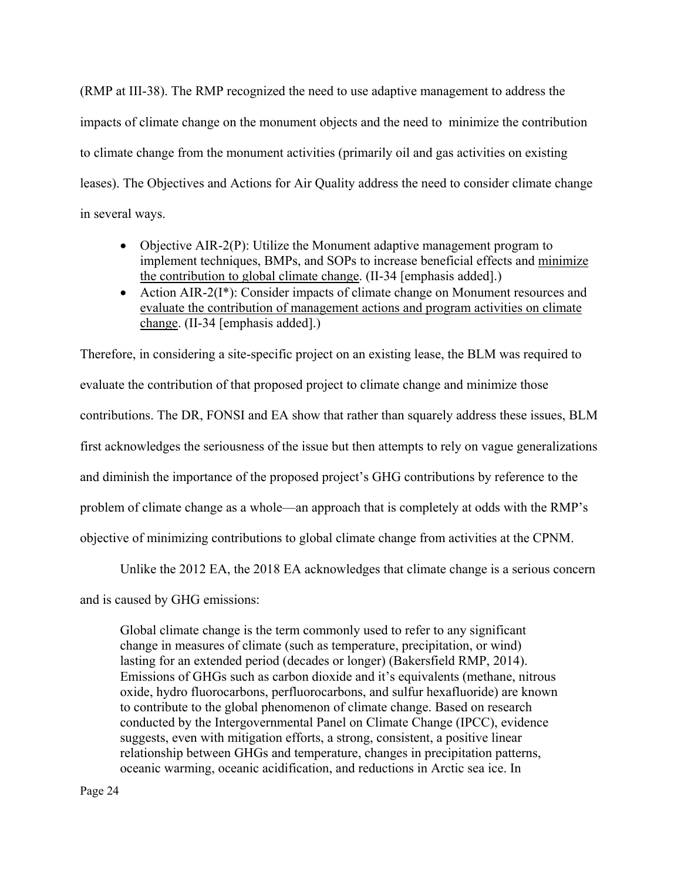(RMP at III-38). The RMP recognized the need to use adaptive management to address the impacts of climate change on the monument objects and the need to minimize the contribution to climate change from the monument activities (primarily oil and gas activities on existing leases). The Objectives and Actions for Air Quality address the need to consider climate change in several ways.

- Objective AIR-2(P): Utilize the Monument adaptive management program to implement techniques, BMPs, and SOPs to increase beneficial effects and minimize the contribution to global climate change. (II-34 [emphasis added].)
- Action AIR-2(I<sup>\*</sup>): Consider impacts of climate change on Monument resources and evaluate the contribution of management actions and program activities on climate change. (II-34 [emphasis added].)

Therefore, in considering a site-specific project on an existing lease, the BLM was required to evaluate the contribution of that proposed project to climate change and minimize those contributions. The DR, FONSI and EA show that rather than squarely address these issues, BLM first acknowledges the seriousness of the issue but then attempts to rely on vague generalizations and diminish the importance of the proposed project's GHG contributions by reference to the problem of climate change as a whole—an approach that is completely at odds with the RMP's objective of minimizing contributions to global climate change from activities at the CPNM.

Unlike the 2012 EA, the 2018 EA acknowledges that climate change is a serious concern

and is caused by GHG emissions:

Global climate change is the term commonly used to refer to any significant change in measures of climate (such as temperature, precipitation, or wind) lasting for an extended period (decades or longer) (Bakersfield RMP, 2014). Emissions of GHGs such as carbon dioxide and it's equivalents (methane, nitrous oxide, hydro fluorocarbons, perfluorocarbons, and sulfur hexafluoride) are known to contribute to the global phenomenon of climate change. Based on research conducted by the Intergovernmental Panel on Climate Change (IPCC), evidence suggests, even with mitigation efforts, a strong, consistent, a positive linear relationship between GHGs and temperature, changes in precipitation patterns, oceanic warming, oceanic acidification, and reductions in Arctic sea ice. In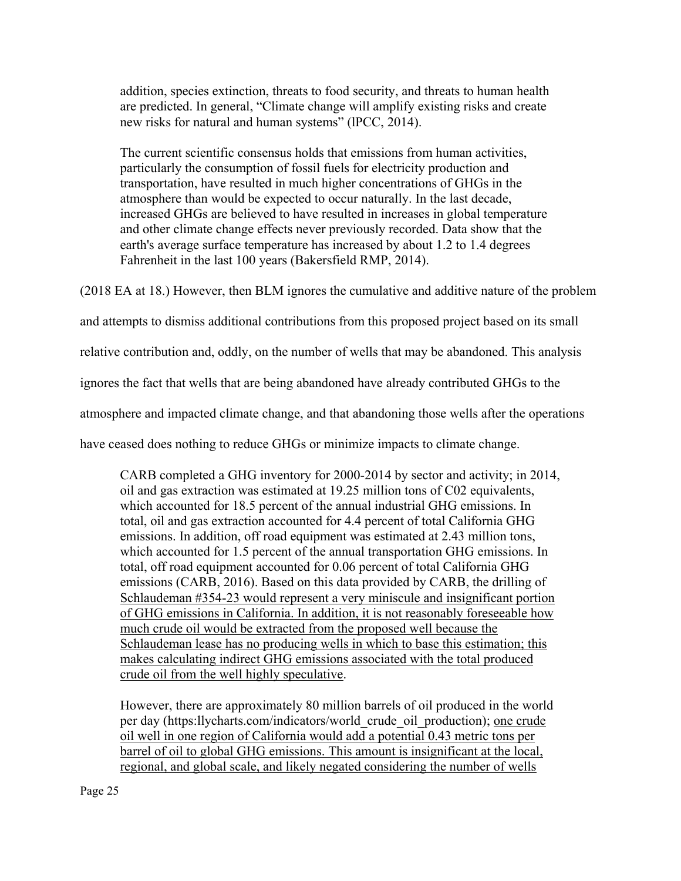addition, species extinction, threats to food security, and threats to human health are predicted. In general, "Climate change will amplify existing risks and create new risks for natural and human systems" (lPCC, 2014).

The current scientific consensus holds that emissions from human activities, particularly the consumption of fossil fuels for electricity production and transportation, have resulted in much higher concentrations of GHGs in the atmosphere than would be expected to occur naturally. In the last decade, increased GHGs are believed to have resulted in increases in global temperature and other climate change effects never previously recorded. Data show that the earth's average surface temperature has increased by about 1.2 to 1.4 degrees Fahrenheit in the last 100 years (Bakersfield RMP, 2014).

(2018 EA at 18.) However, then BLM ignores the cumulative and additive nature of the problem

and attempts to dismiss additional contributions from this proposed project based on its small

relative contribution and, oddly, on the number of wells that may be abandoned. This analysis

ignores the fact that wells that are being abandoned have already contributed GHGs to the

atmosphere and impacted climate change, and that abandoning those wells after the operations

have ceased does nothing to reduce GHGs or minimize impacts to climate change.

CARB completed a GHG inventory for 2000-2014 by sector and activity; in 2014, oil and gas extraction was estimated at 19.25 million tons of C02 equivalents, which accounted for 18.5 percent of the annual industrial GHG emissions. In total, oil and gas extraction accounted for 4.4 percent of total California GHG emissions. In addition, off road equipment was estimated at 2.43 million tons, which accounted for 1.5 percent of the annual transportation GHG emissions. In total, off road equipment accounted for 0.06 percent of total California GHG emissions (CARB, 2016). Based on this data provided by CARB, the drilling of Schlaudeman #354-23 would represent a very miniscule and insignificant portion of GHG emissions in California. In addition, it is not reasonably foreseeable how much crude oil would be extracted from the proposed well because the Schlaudeman lease has no producing wells in which to base this estimation; this makes calculating indirect GHG emissions associated with the total produced crude oil from the well highly speculative.

However, there are approximately 80 million barrels of oil produced in the world per day (https:llycharts.com/indicators/world\_crude\_oil\_production); <u>one crude</u> oil well in one region of California would add a potential 0.43 metric tons per barrel of oil to global GHG emissions. This amount is insignificant at the local, regional, and global scale, and likely negated considering the number of wells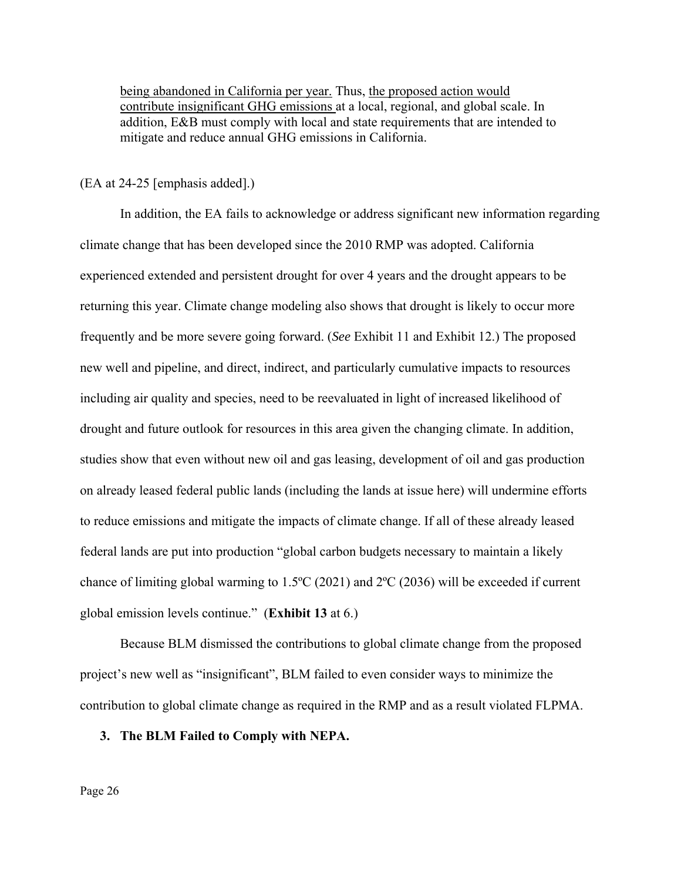being abandoned in California per year. Thus, the proposed action would contribute insignificant GHG emissions at a local, regional, and global scale. In addition, E&B must comply with local and state requirements that are intended to mitigate and reduce annual GHG emissions in California.

#### (EA at 24-25 [emphasis added].)

In addition, the EA fails to acknowledge or address significant new information regarding climate change that has been developed since the 2010 RMP was adopted. California experienced extended and persistent drought for over 4 years and the drought appears to be returning this year. Climate change modeling also shows that drought is likely to occur more frequently and be more severe going forward. (*See* Exhibit 11 and Exhibit 12.) The proposed new well and pipeline, and direct, indirect, and particularly cumulative impacts to resources including air quality and species, need to be reevaluated in light of increased likelihood of drought and future outlook for resources in this area given the changing climate. In addition, studies show that even without new oil and gas leasing, development of oil and gas production on already leased federal public lands (including the lands at issue here) will undermine efforts to reduce emissions and mitigate the impacts of climate change. If all of these already leased federal lands are put into production "global carbon budgets necessary to maintain a likely chance of limiting global warming to 1.5ºC (2021) and 2ºC (2036) will be exceeded if current global emission levels continue." (**Exhibit 13** at 6.)

Because BLM dismissed the contributions to global climate change from the proposed project's new well as "insignificant", BLM failed to even consider ways to minimize the contribution to global climate change as required in the RMP and as a result violated FLPMA.

#### **3. The BLM Failed to Comply with NEPA.**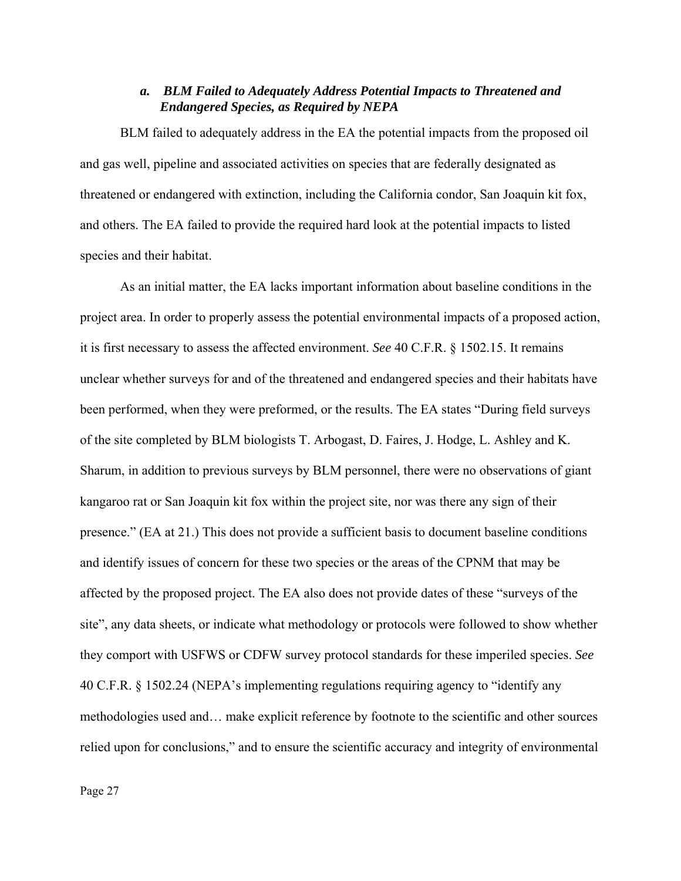## *a. BLM Failed to Adequately Address Potential Impacts to Threatened and Endangered Species, as Required by NEPA*

BLM failed to adequately address in the EA the potential impacts from the proposed oil and gas well, pipeline and associated activities on species that are federally designated as threatened or endangered with extinction, including the California condor, San Joaquin kit fox, and others. The EA failed to provide the required hard look at the potential impacts to listed species and their habitat.

As an initial matter, the EA lacks important information about baseline conditions in the project area. In order to properly assess the potential environmental impacts of a proposed action, it is first necessary to assess the affected environment. *See* 40 C.F.R. § 1502.15. It remains unclear whether surveys for and of the threatened and endangered species and their habitats have been performed, when they were preformed, or the results. The EA states "During field surveys of the site completed by BLM biologists T. Arbogast, D. Faires, J. Hodge, L. Ashley and K. Sharum, in addition to previous surveys by BLM personnel, there were no observations of giant kangaroo rat or San Joaquin kit fox within the project site, nor was there any sign of their presence." (EA at 21.) This does not provide a sufficient basis to document baseline conditions and identify issues of concern for these two species or the areas of the CPNM that may be affected by the proposed project. The EA also does not provide dates of these "surveys of the site", any data sheets, or indicate what methodology or protocols were followed to show whether they comport with USFWS or CDFW survey protocol standards for these imperiled species. *See* 40 C.F.R. § 1502.24 (NEPA's implementing regulations requiring agency to "identify any methodologies used and… make explicit reference by footnote to the scientific and other sources relied upon for conclusions," and to ensure the scientific accuracy and integrity of environmental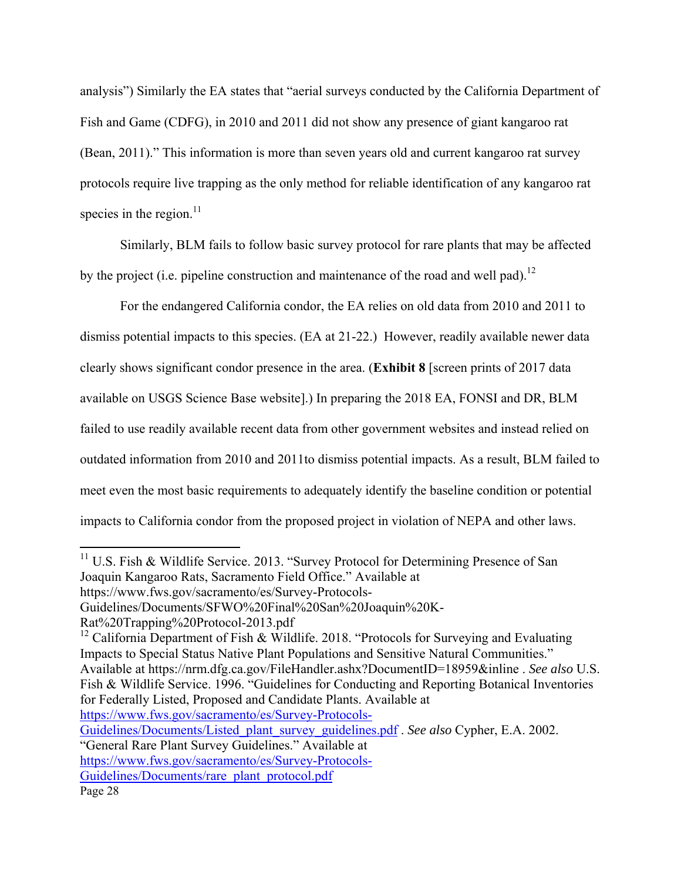analysis") Similarly the EA states that "aerial surveys conducted by the California Department of Fish and Game (CDFG), in 2010 and 2011 did not show any presence of giant kangaroo rat (Bean, 2011)." This information is more than seven years old and current kangaroo rat survey protocols require live trapping as the only method for reliable identification of any kangaroo rat species in the region. $^{11}$ 

Similarly, BLM fails to follow basic survey protocol for rare plants that may be affected by the project (i.e. pipeline construction and maintenance of the road and well pad).<sup>12</sup>

For the endangered California condor, the EA relies on old data from 2010 and 2011 to dismiss potential impacts to this species. (EA at 21-22.) However, readily available newer data clearly shows significant condor presence in the area. (**Exhibit 8** [screen prints of 2017 data available on USGS Science Base website].) In preparing the 2018 EA, FONSI and DR, BLM failed to use readily available recent data from other government websites and instead relied on outdated information from 2010 and 2011to dismiss potential impacts. As a result, BLM failed to meet even the most basic requirements to adequately identify the baseline condition or potential impacts to California condor from the proposed project in violation of NEPA and other laws.

<sup>12</sup> California Department of Fish & Wildlife. 2018. "Protocols for Surveying and Evaluating Impacts to Special Status Native Plant Populations and Sensitive Natural Communities." Available at https://nrm.dfg.ca.gov/FileHandler.ashx?DocumentID=18959&inline . *See also* U.S. Fish & Wildlife Service. 1996. "Guidelines for Conducting and Reporting Botanical Inventories for Federally Listed, Proposed and Candidate Plants. Available at https://www.fws.gov/sacramento/es/Survey-Protocols-

Guidelines/Documents/Listed\_plant\_survey\_guidelines.pdf . *See also* Cypher, E.A. 2002.

 $11$  U.S. Fish & Wildlife Service. 2013. "Survey Protocol for Determining Presence of San Joaquin Kangaroo Rats, Sacramento Field Office." Available at

https://www.fws.gov/sacramento/es/Survey-Protocols-

Guidelines/Documents/SFWO%20Final%20San%20Joaquin%20K-

Rat%20Trapping%20Protocol-2013.pdf

<sup>&</sup>quot;General Rare Plant Survey Guidelines." Available at

https://www.fws.gov/sacramento/es/Survey-Protocols-

Guidelines/Documents/rare\_plant\_protocol.pdf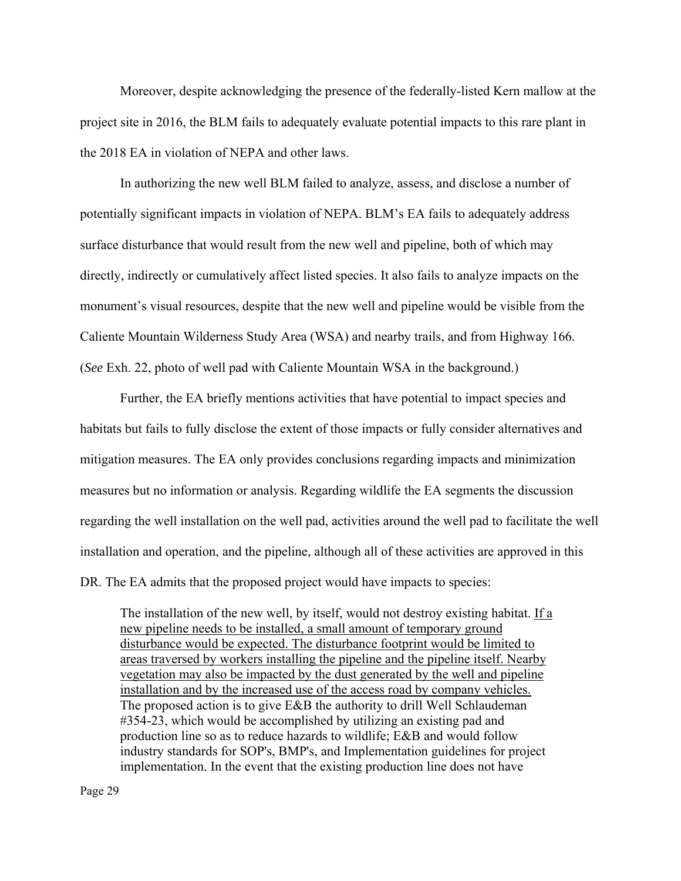Moreover, despite acknowledging the presence of the federally-listed Kern mallow at the project site in 2016, the BLM fails to adequately evaluate potential impacts to this rare plant in the 2018 EA in violation of NEPA and other laws.

In authorizing the new well BLM failed to analyze, assess, and disclose a number of potentially significant impacts in violation of NEPA. BLM's EA fails to adequately address surface disturbance that would result from the new well and pipeline, both of which may directly, indirectly or cumulatively affect listed species. It also fails to analyze impacts on the monument's visual resources, despite that the new well and pipeline would be visible from the Caliente Mountain Wilderness Study Area (WSA) and nearby trails, and from Highway 166. (*See* Exh. 22, photo of well pad with Caliente Mountain WSA in the background.)

Further, the EA briefly mentions activities that have potential to impact species and habitats but fails to fully disclose the extent of those impacts or fully consider alternatives and mitigation measures. The EA only provides conclusions regarding impacts and minimization measures but no information or analysis. Regarding wildlife the EA segments the discussion regarding the well installation on the well pad, activities around the well pad to facilitate the well installation and operation, and the pipeline, although all of these activities are approved in this DR. The EA admits that the proposed project would have impacts to species:

The installation of the new well, by itself, would not destroy existing habitat. If a new pipeline needs to be installed, a small amount of temporary ground disturbance would be expected. The disturbance footprint would be limited to areas traversed by workers installing the pipeline and the pipeline itself. Nearby vegetation may also be impacted by the dust generated by the well and pipeline installation and by the increased use of the access road by company vehicles. The proposed action is to give E&B the authority to drill Well Schlaudeman #354-23, which would be accomplished by utilizing an existing pad and production line so as to reduce hazards to wildlife; E&B and would follow industry standards for SOP's, BMP's, and Implementation guidelines for project implementation. In the event that the existing production line does not have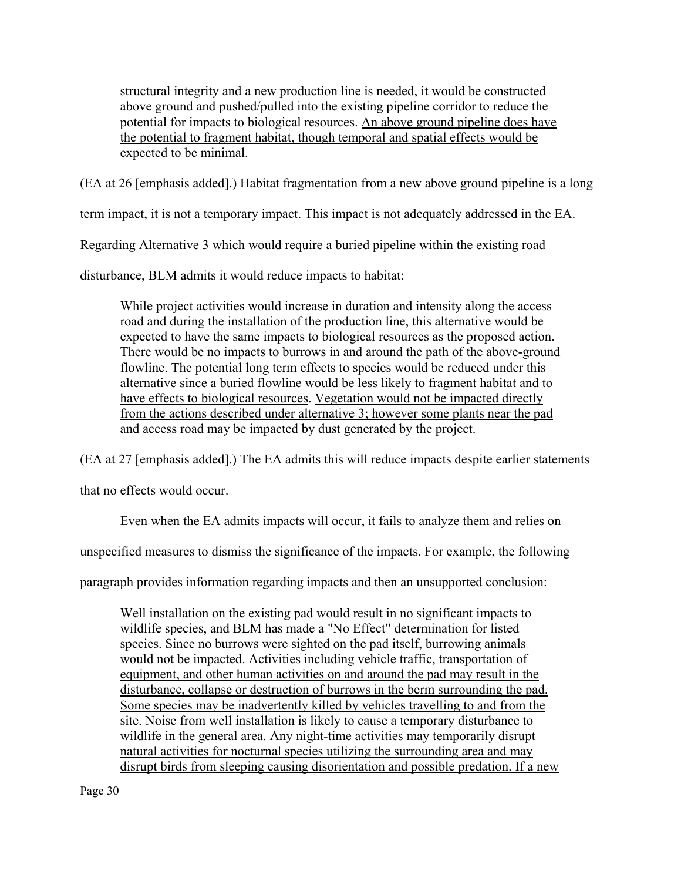structural integrity and a new production line is needed, it would be constructed above ground and pushed/pulled into the existing pipeline corridor to reduce the potential for impacts to biological resources. An above ground pipeline does have the potential to fragment habitat, though temporal and spatial effects would be expected to be minimal.

(EA at 26 [emphasis added].) Habitat fragmentation from a new above ground pipeline is a long

term impact, it is not a temporary impact. This impact is not adequately addressed in the EA.

Regarding Alternative 3 which would require a buried pipeline within the existing road

disturbance, BLM admits it would reduce impacts to habitat:

While project activities would increase in duration and intensity along the access road and during the installation of the production line, this alternative would be expected to have the same impacts to biological resources as the proposed action. There would be no impacts to burrows in and around the path of the above-ground flowline. The potential long term effects to species would be reduced under this alternative since a buried flowline would be less likely to fragment habitat and to have effects to biological resources. Vegetation would not be impacted directly from the actions described under alternative 3; however some plants near the pad and access road may be impacted by dust generated by the project.

(EA at 27 [emphasis added].) The EA admits this will reduce impacts despite earlier statements

that no effects would occur.

Even when the EA admits impacts will occur, it fails to analyze them and relies on

unspecified measures to dismiss the significance of the impacts. For example, the following

paragraph provides information regarding impacts and then an unsupported conclusion:

Well installation on the existing pad would result in no significant impacts to wildlife species, and BLM has made a "No Effect" determination for listed species. Since no burrows were sighted on the pad itself, burrowing animals would not be impacted. Activities including vehicle traffic, transportation of equipment, and other human activities on and around the pad may result in the disturbance, collapse or destruction of burrows in the berm surrounding the pad. Some species may be inadvertently killed by vehicles travelling to and from the site. Noise from well installation is likely to cause a temporary disturbance to wildlife in the general area. Any night-time activities may temporarily disrupt natural activities for nocturnal species utilizing the surrounding area and may disrupt birds from sleeping causing disorientation and possible predation. If a new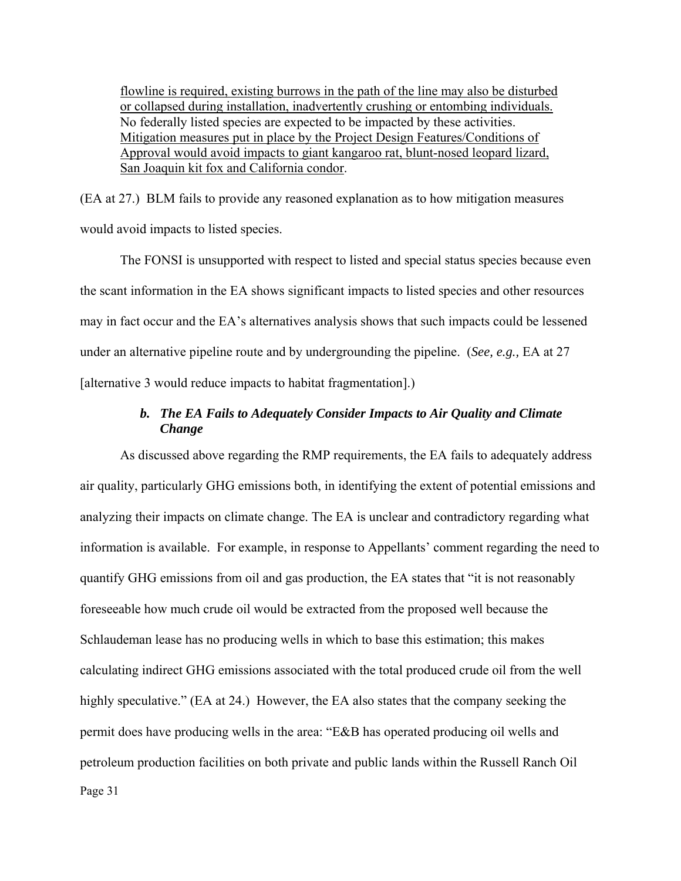flowline is required, existing burrows in the path of the line may also be disturbed or collapsed during installation, inadvertently crushing or entombing individuals. No federally listed species are expected to be impacted by these activities. Mitigation measures put in place by the Project Design Features/Conditions of Approval would avoid impacts to giant kangaroo rat, blunt-nosed leopard lizard, San Joaquin kit fox and California condor.

(EA at 27.) BLM fails to provide any reasoned explanation as to how mitigation measures would avoid impacts to listed species.

The FONSI is unsupported with respect to listed and special status species because even the scant information in the EA shows significant impacts to listed species and other resources may in fact occur and the EA's alternatives analysis shows that such impacts could be lessened under an alternative pipeline route and by undergrounding the pipeline. (*See, e.g.,* EA at 27 [alternative 3 would reduce impacts to habitat fragmentation].)

# *b. The EA Fails to Adequately Consider Impacts to Air Quality and Climate Change*

Page 31 As discussed above regarding the RMP requirements, the EA fails to adequately address air quality, particularly GHG emissions both, in identifying the extent of potential emissions and analyzing their impacts on climate change. The EA is unclear and contradictory regarding what information is available. For example, in response to Appellants' comment regarding the need to quantify GHG emissions from oil and gas production, the EA states that "it is not reasonably foreseeable how much crude oil would be extracted from the proposed well because the Schlaudeman lease has no producing wells in which to base this estimation; this makes calculating indirect GHG emissions associated with the total produced crude oil from the well highly speculative." (EA at 24.) However, the EA also states that the company seeking the permit does have producing wells in the area: "E&B has operated producing oil wells and petroleum production facilities on both private and public lands within the Russell Ranch Oil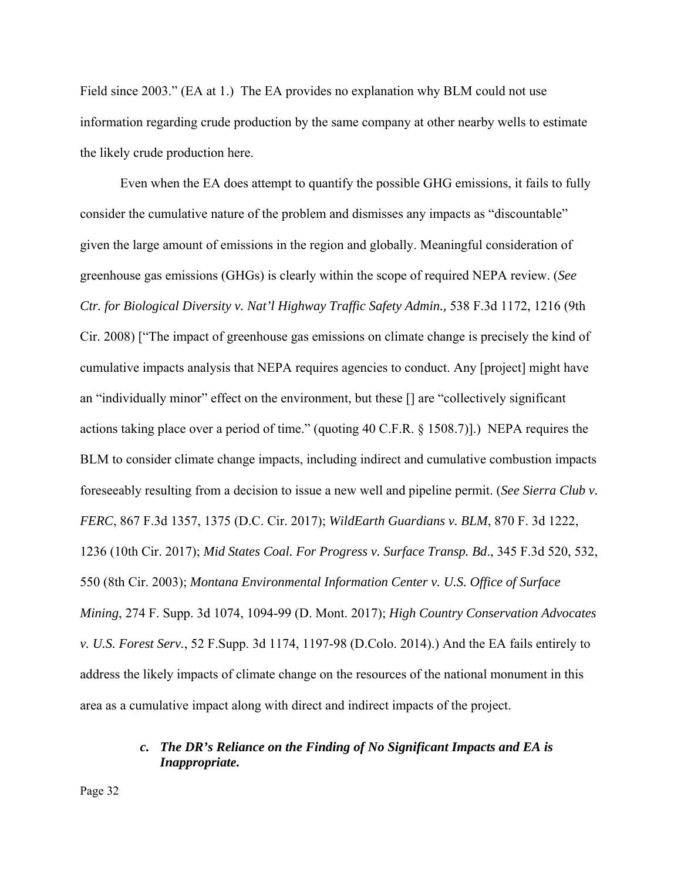Field since 2003." (EA at 1.) The EA provides no explanation why BLM could not use information regarding crude production by the same company at other nearby wells to estimate the likely crude production here.

Even when the EA does attempt to quantify the possible GHG emissions, it fails to fully consider the cumulative nature of the problem and dismisses any impacts as "discountable" given the large amount of emissions in the region and globally. Meaningful consideration of greenhouse gas emissions (GHGs) is clearly within the scope of required NEPA review. (*See Ctr. for Biological Diversity v. Nat'l Highway Traffic Safety Admin.,* 538 F.3d 1172, 1216 (9th Cir. 2008) ["The impact of greenhouse gas emissions on climate change is precisely the kind of cumulative impacts analysis that NEPA requires agencies to conduct. Any [project] might have an "individually minor" effect on the environment, but these [] are "collectively significant actions taking place over a period of time." (quoting 40 C.F.R. § 1508.7)].) NEPA requires the BLM to consider climate change impacts, including indirect and cumulative combustion impacts foreseeably resulting from a decision to issue a new well and pipeline permit. (*See Sierra Club v. FERC*, 867 F.3d 1357, 1375 (D.C. Cir. 2017); *WildEarth Guardians v. BLM*, 870 F. 3d 1222, 1236 (10th Cir. 2017); *Mid States Coal. For Progress v. Surface Transp. Bd*., 345 F.3d 520, 532, 550 (8th Cir. 2003); *Montana Environmental Information Center v. U.S. Office of Surface Mining*, 274 F. Supp. 3d 1074, 1094-99 (D. Mont. 2017); *High Country Conservation Advocates v. U.S. Forest Serv.*, 52 F.Supp. 3d 1174, 1197-98 (D.Colo. 2014).) And the EA fails entirely to address the likely impacts of climate change on the resources of the national monument in this area as a cumulative impact along with direct and indirect impacts of the project.

## *c. The DR's Reliance on the Finding of No Significant Impacts and EA is Inappropriate.*

Page 32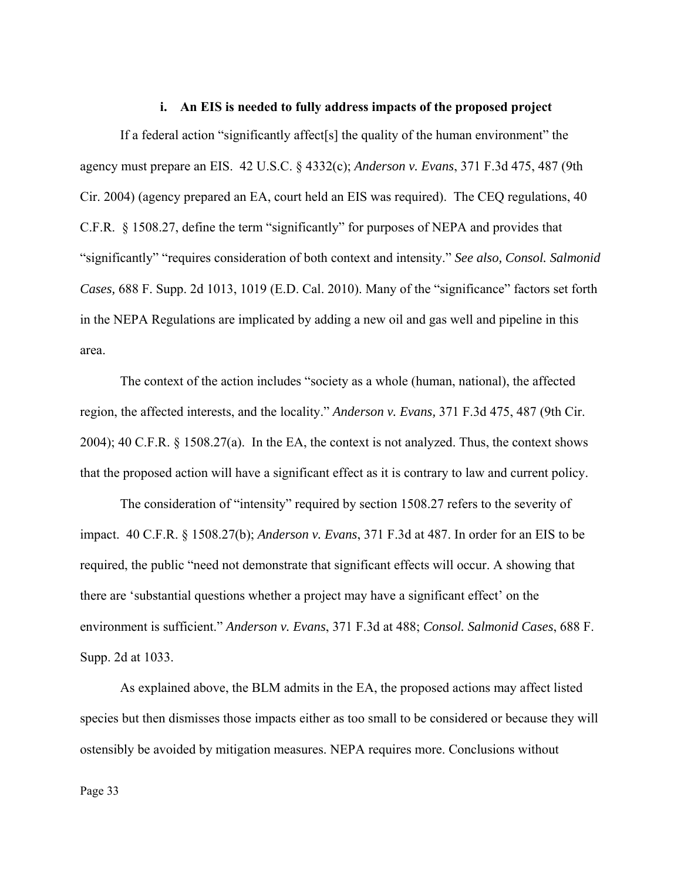#### **i. An EIS is needed to fully address impacts of the proposed project**

If a federal action "significantly affect[s] the quality of the human environment" the agency must prepare an EIS. 42 U.S.C. § 4332(c); *Anderson v. Evans*, 371 F.3d 475, 487 (9th Cir. 2004) (agency prepared an EA, court held an EIS was required). The CEQ regulations, 40 C.F.R. § 1508.27, define the term "significantly" for purposes of NEPA and provides that "significantly" "requires consideration of both context and intensity." *See also, Consol. Salmonid Cases,* 688 F. Supp. 2d 1013, 1019 (E.D. Cal. 2010). Many of the "significance" factors set forth in the NEPA Regulations are implicated by adding a new oil and gas well and pipeline in this area.

The context of the action includes "society as a whole (human, national), the affected region, the affected interests, and the locality." *Anderson v. Evans,* 371 F.3d 475, 487 (9th Cir. 2004); 40 C.F.R. § 1508.27(a). In the EA, the context is not analyzed. Thus, the context shows that the proposed action will have a significant effect as it is contrary to law and current policy.

The consideration of "intensity" required by section 1508.27 refers to the severity of impact. 40 C.F.R. § 1508.27(b); *Anderson v. Evans*, 371 F.3d at 487. In order for an EIS to be required, the public "need not demonstrate that significant effects will occur. A showing that there are 'substantial questions whether a project may have a significant effect' on the environment is sufficient." *Anderson v. Evans*, 371 F.3d at 488; *Consol. Salmonid Cases*, 688 F. Supp. 2d at 1033.

As explained above, the BLM admits in the EA, the proposed actions may affect listed species but then dismisses those impacts either as too small to be considered or because they will ostensibly be avoided by mitigation measures. NEPA requires more. Conclusions without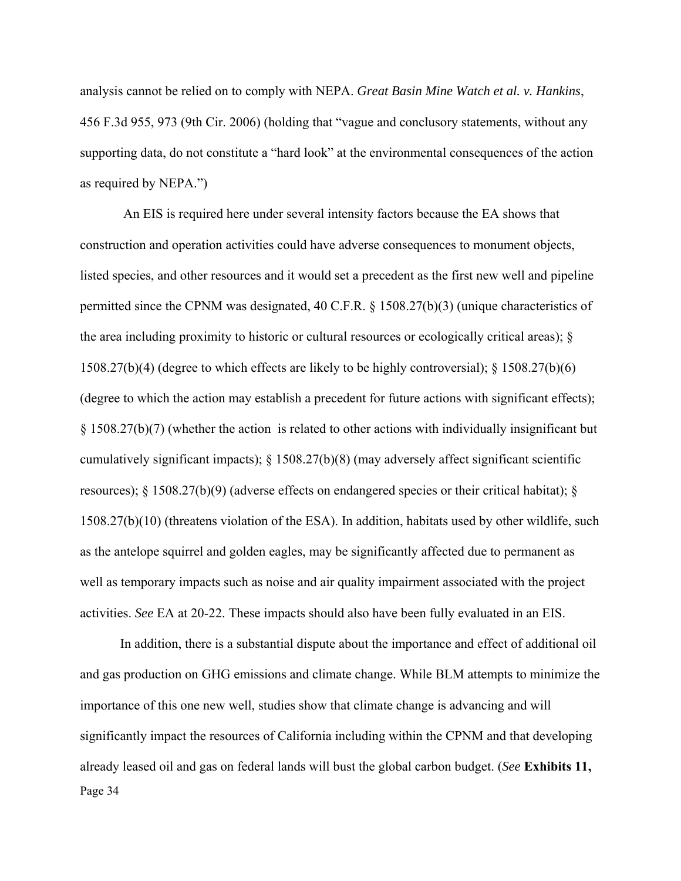analysis cannot be relied on to comply with NEPA. *Great Basin Mine Watch et al. v. Hankins*, 456 F.3d 955, 973 (9th Cir. 2006) (holding that "vague and conclusory statements, without any supporting data, do not constitute a "hard look" at the environmental consequences of the action as required by NEPA.")

 An EIS is required here under several intensity factors because the EA shows that construction and operation activities could have adverse consequences to monument objects, listed species, and other resources and it would set a precedent as the first new well and pipeline permitted since the CPNM was designated, 40 C.F.R. § 1508.27(b)(3) (unique characteristics of the area including proximity to historic or cultural resources or ecologically critical areas); § 1508.27(b)(4) (degree to which effects are likely to be highly controversial); § 1508.27(b)(6) (degree to which the action may establish a precedent for future actions with significant effects); § 1508.27(b)(7) (whether the action is related to other actions with individually insignificant but cumulatively significant impacts); § 1508.27(b)(8) (may adversely affect significant scientific resources);  $\S$  1508.27(b)(9) (adverse effects on endangered species or their critical habitat);  $\S$ 1508.27(b)(10) (threatens violation of the ESA). In addition, habitats used by other wildlife, such as the antelope squirrel and golden eagles, may be significantly affected due to permanent as well as temporary impacts such as noise and air quality impairment associated with the project activities. *See* EA at 20-22. These impacts should also have been fully evaluated in an EIS.

Page 34 In addition, there is a substantial dispute about the importance and effect of additional oil and gas production on GHG emissions and climate change. While BLM attempts to minimize the importance of this one new well, studies show that climate change is advancing and will significantly impact the resources of California including within the CPNM and that developing already leased oil and gas on federal lands will bust the global carbon budget. (*See* **Exhibits 11,**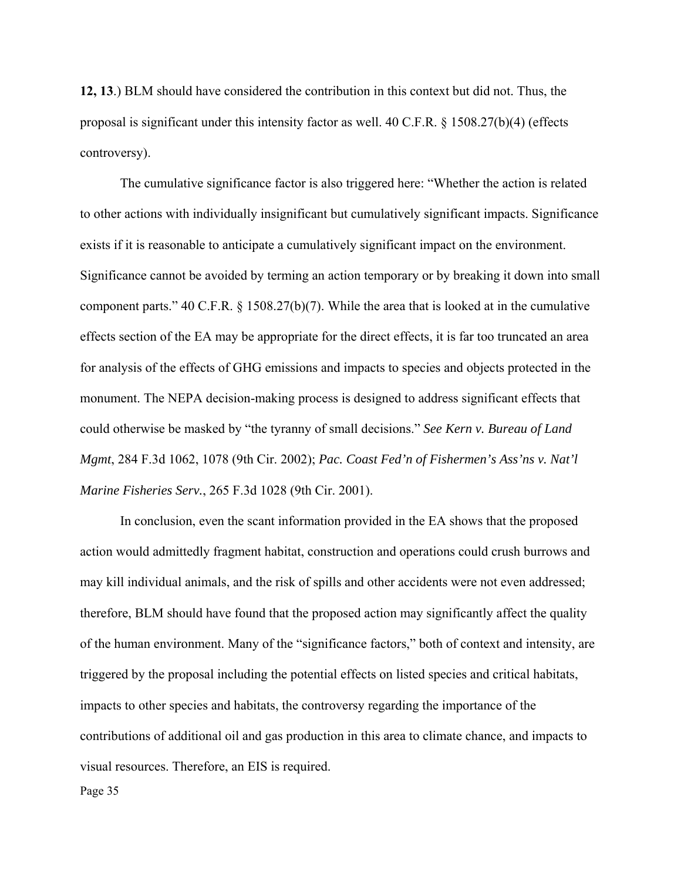**12, 13**.) BLM should have considered the contribution in this context but did not. Thus, the proposal is significant under this intensity factor as well. 40 C.F.R. § 1508.27(b)(4) (effects controversy).

The cumulative significance factor is also triggered here: "Whether the action is related to other actions with individually insignificant but cumulatively significant impacts. Significance exists if it is reasonable to anticipate a cumulatively significant impact on the environment. Significance cannot be avoided by terming an action temporary or by breaking it down into small component parts." 40 C.F.R. § 1508.27(b)(7). While the area that is looked at in the cumulative effects section of the EA may be appropriate for the direct effects, it is far too truncated an area for analysis of the effects of GHG emissions and impacts to species and objects protected in the monument. The NEPA decision-making process is designed to address significant effects that could otherwise be masked by "the tyranny of small decisions." *See Kern v. Bureau of Land Mgmt*, 284 F.3d 1062, 1078 (9th Cir. 2002); *Pac. Coast Fed'n of Fishermen's Ass'ns v. Nat'l Marine Fisheries Serv.*, 265 F.3d 1028 (9th Cir. 2001).

In conclusion, even the scant information provided in the EA shows that the proposed action would admittedly fragment habitat, construction and operations could crush burrows and may kill individual animals, and the risk of spills and other accidents were not even addressed; therefore, BLM should have found that the proposed action may significantly affect the quality of the human environment. Many of the "significance factors," both of context and intensity, are triggered by the proposal including the potential effects on listed species and critical habitats, impacts to other species and habitats, the controversy regarding the importance of the contributions of additional oil and gas production in this area to climate chance, and impacts to visual resources. Therefore, an EIS is required.

Page 35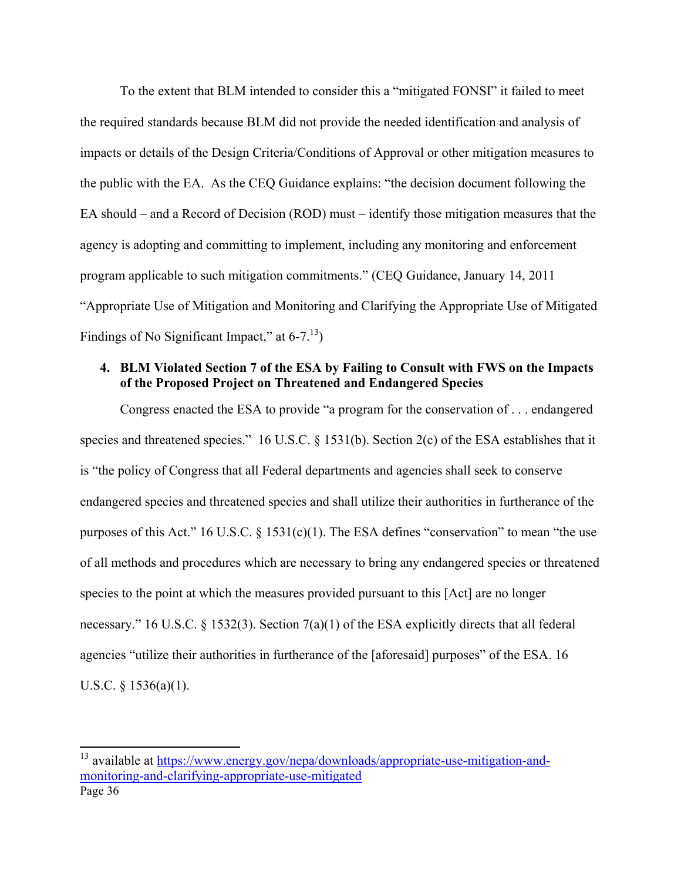To the extent that BLM intended to consider this a "mitigated FONSI" it failed to meet the required standards because BLM did not provide the needed identification and analysis of impacts or details of the Design Criteria/Conditions of Approval or other mitigation measures to the public with the EA. As the CEQ Guidance explains: "the decision document following the EA should – and a Record of Decision (ROD) must – identify those mitigation measures that the agency is adopting and committing to implement, including any monitoring and enforcement program applicable to such mitigation commitments." (CEQ Guidance, January 14, 2011 "Appropriate Use of Mitigation and Monitoring and Clarifying the Appropriate Use of Mitigated Findings of No Significant Impact," at  $6-7<sup>13</sup>$ )

## **4. BLM Violated Section 7 of the ESA by Failing to Consult with FWS on the Impacts of the Proposed Project on Threatened and Endangered Species**

Congress enacted the ESA to provide "a program for the conservation of . . . endangered species and threatened species." 16 U.S.C. § 1531(b). Section 2(c) of the ESA establishes that it is "the policy of Congress that all Federal departments and agencies shall seek to conserve endangered species and threatened species and shall utilize their authorities in furtherance of the purposes of this Act." 16 U.S.C. § 1531(c)(1). The ESA defines "conservation" to mean "the use of all methods and procedures which are necessary to bring any endangered species or threatened species to the point at which the measures provided pursuant to this [Act] are no longer necessary." 16 U.S.C. § 1532(3). Section 7(a)(1) of the ESA explicitly directs that all federal agencies "utilize their authorities in furtherance of the [aforesaid] purposes" of the ESA. 16 U.S.C. § 1536(a)(1).

Page 36 <sup>13</sup> available at https://www.energy.gov/nepa/downloads/appropriate-use-mitigation-andmonitoring-and-clarifying-appropriate-use-mitigated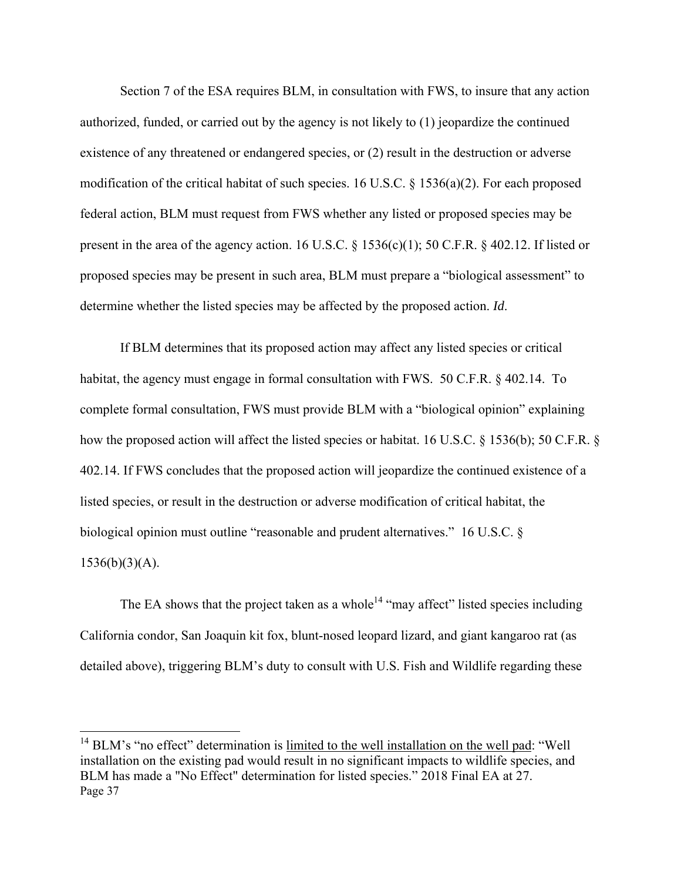Section 7 of the ESA requires BLM, in consultation with FWS, to insure that any action authorized, funded, or carried out by the agency is not likely to (1) jeopardize the continued existence of any threatened or endangered species, or (2) result in the destruction or adverse modification of the critical habitat of such species. 16 U.S.C. § 1536(a)(2). For each proposed federal action, BLM must request from FWS whether any listed or proposed species may be present in the area of the agency action. 16 U.S.C. § 1536(c)(1); 50 C.F.R. § 402.12. If listed or proposed species may be present in such area, BLM must prepare a "biological assessment" to determine whether the listed species may be affected by the proposed action. *Id*.

If BLM determines that its proposed action may affect any listed species or critical habitat, the agency must engage in formal consultation with FWS. 50 C.F.R. § 402.14. To complete formal consultation, FWS must provide BLM with a "biological opinion" explaining how the proposed action will affect the listed species or habitat. 16 U.S.C. § 1536(b); 50 C.F.R. § 402.14. If FWS concludes that the proposed action will jeopardize the continued existence of a listed species, or result in the destruction or adverse modification of critical habitat, the biological opinion must outline "reasonable and prudent alternatives." 16 U.S.C. §  $1536(b)(3)(A).$ 

The EA shows that the project taken as a whole<sup>14</sup> "may affect" listed species including California condor, San Joaquin kit fox, blunt-nosed leopard lizard, and giant kangaroo rat (as detailed above), triggering BLM's duty to consult with U.S. Fish and Wildlife regarding these

Page 37  $14$  BLM's "no effect" determination is limited to the well installation on the well pad: "Well installation on the existing pad would result in no significant impacts to wildlife species, and BLM has made a "No Effect" determination for listed species." 2018 Final EA at 27.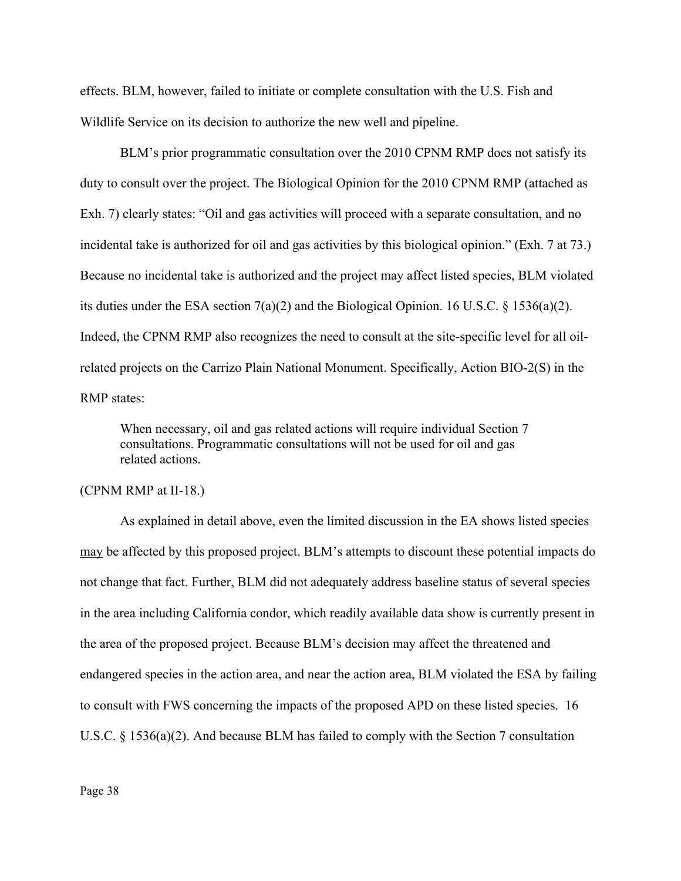effects. BLM, however, failed to initiate or complete consultation with the U.S. Fish and Wildlife Service on its decision to authorize the new well and pipeline.

BLM's prior programmatic consultation over the 2010 CPNM RMP does not satisfy its duty to consult over the project. The Biological Opinion for the 2010 CPNM RMP (attached as Exh. 7) clearly states: "Oil and gas activities will proceed with a separate consultation, and no incidental take is authorized for oil and gas activities by this biological opinion." (Exh. 7 at 73.) Because no incidental take is authorized and the project may affect listed species, BLM violated its duties under the ESA section 7(a)(2) and the Biological Opinion. 16 U.S.C. § 1536(a)(2). Indeed, the CPNM RMP also recognizes the need to consult at the site-specific level for all oilrelated projects on the Carrizo Plain National Monument. Specifically, Action BIO-2(S) in the RMP states:

When necessary, oil and gas related actions will require individual Section 7 consultations. Programmatic consultations will not be used for oil and gas related actions.

#### (CPNM RMP at II-18.)

As explained in detail above, even the limited discussion in the EA shows listed species may be affected by this proposed project. BLM's attempts to discount these potential impacts do not change that fact. Further, BLM did not adequately address baseline status of several species in the area including California condor, which readily available data show is currently present in the area of the proposed project. Because BLM's decision may affect the threatened and endangered species in the action area, and near the action area, BLM violated the ESA by failing to consult with FWS concerning the impacts of the proposed APD on these listed species. 16 U.S.C. § 1536(a)(2). And because BLM has failed to comply with the Section 7 consultation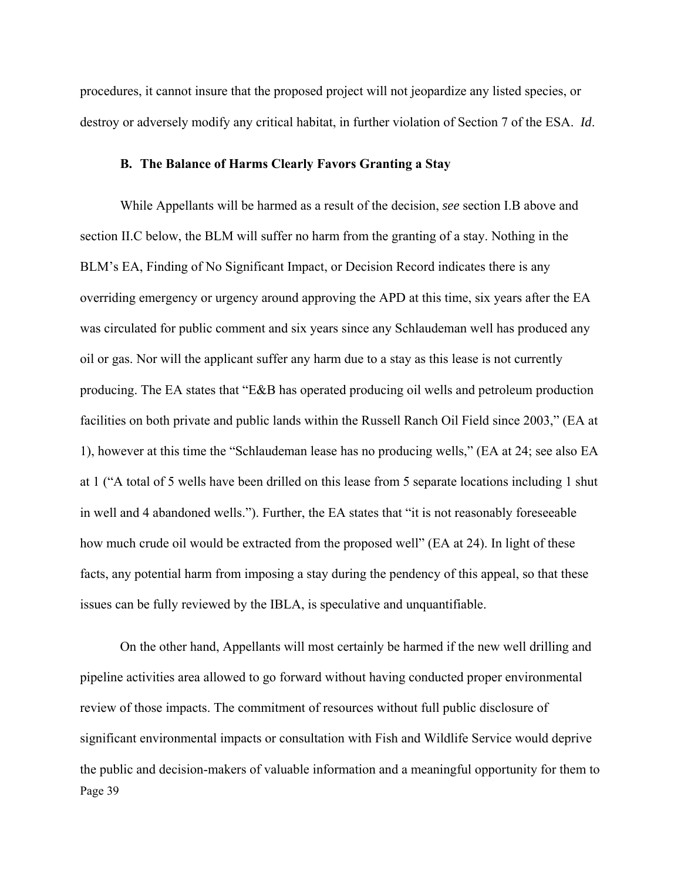procedures, it cannot insure that the proposed project will not jeopardize any listed species, or destroy or adversely modify any critical habitat, in further violation of Section 7 of the ESA. *Id*.

### **B. The Balance of Harms Clearly Favors Granting a Stay**

While Appellants will be harmed as a result of the decision, *see* section I.B above and section II.C below, the BLM will suffer no harm from the granting of a stay. Nothing in the BLM's EA, Finding of No Significant Impact, or Decision Record indicates there is any overriding emergency or urgency around approving the APD at this time, six years after the EA was circulated for public comment and six years since any Schlaudeman well has produced any oil or gas. Nor will the applicant suffer any harm due to a stay as this lease is not currently producing. The EA states that "E&B has operated producing oil wells and petroleum production facilities on both private and public lands within the Russell Ranch Oil Field since 2003," (EA at 1), however at this time the "Schlaudeman lease has no producing wells," (EA at 24; see also EA at 1 ("A total of 5 wells have been drilled on this lease from 5 separate locations including 1 shut in well and 4 abandoned wells."). Further, the EA states that "it is not reasonably foreseeable how much crude oil would be extracted from the proposed well" (EA at 24). In light of these facts, any potential harm from imposing a stay during the pendency of this appeal, so that these issues can be fully reviewed by the IBLA, is speculative and unquantifiable.

Page 39 On the other hand, Appellants will most certainly be harmed if the new well drilling and pipeline activities area allowed to go forward without having conducted proper environmental review of those impacts. The commitment of resources without full public disclosure of significant environmental impacts or consultation with Fish and Wildlife Service would deprive the public and decision-makers of valuable information and a meaningful opportunity for them to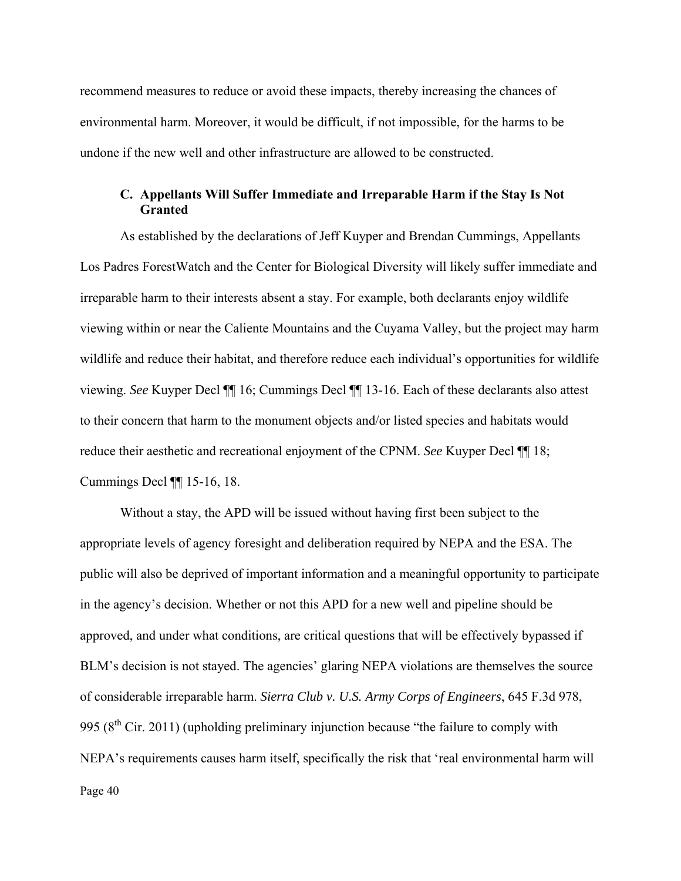recommend measures to reduce or avoid these impacts, thereby increasing the chances of environmental harm. Moreover, it would be difficult, if not impossible, for the harms to be undone if the new well and other infrastructure are allowed to be constructed.

## **C. Appellants Will Suffer Immediate and Irreparable Harm if the Stay Is Not Granted**

As established by the declarations of Jeff Kuyper and Brendan Cummings, Appellants Los Padres ForestWatch and the Center for Biological Diversity will likely suffer immediate and irreparable harm to their interests absent a stay. For example, both declarants enjoy wildlife viewing within or near the Caliente Mountains and the Cuyama Valley, but the project may harm wildlife and reduce their habitat, and therefore reduce each individual's opportunities for wildlife viewing. *See* Kuyper Decl ¶¶ 16; Cummings Decl ¶¶ 13-16. Each of these declarants also attest to their concern that harm to the monument objects and/or listed species and habitats would reduce their aesthetic and recreational enjoyment of the CPNM. *See* Kuyper Decl ¶¶ 18; Cummings Decl ¶¶ 15-16, 18.

Page 40 Without a stay, the APD will be issued without having first been subject to the appropriate levels of agency foresight and deliberation required by NEPA and the ESA. The public will also be deprived of important information and a meaningful opportunity to participate in the agency's decision. Whether or not this APD for a new well and pipeline should be approved, and under what conditions, are critical questions that will be effectively bypassed if BLM's decision is not stayed. The agencies' glaring NEPA violations are themselves the source of considerable irreparable harm. *Sierra Club v. U.S. Army Corps of Engineers*, 645 F.3d 978, 995 ( $8<sup>th</sup>$  Cir. 2011) (upholding preliminary injunction because "the failure to comply with NEPA's requirements causes harm itself, specifically the risk that 'real environmental harm will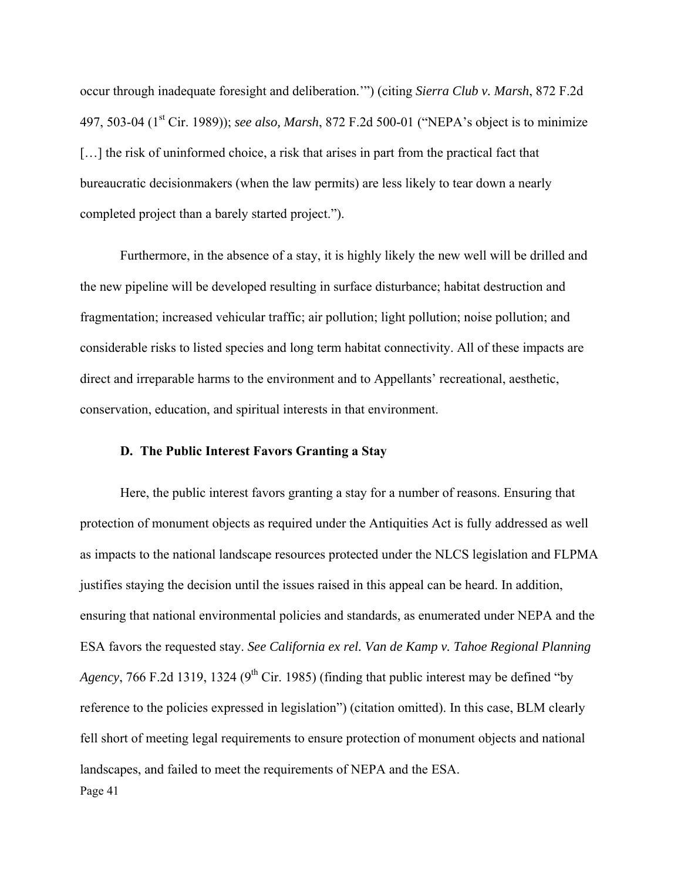occur through inadequate foresight and deliberation.'") (citing *Sierra Club v. Marsh*, 872 F.2d 497, 503-04 (1<sup>st</sup> Cir. 1989)); *see also, Marsh*, 872 F.2d 500-01 ("NEPA's object is to minimize [...] the risk of uninformed choice, a risk that arises in part from the practical fact that bureaucratic decisionmakers (when the law permits) are less likely to tear down a nearly completed project than a barely started project.").

 Furthermore, in the absence of a stay, it is highly likely the new well will be drilled and the new pipeline will be developed resulting in surface disturbance; habitat destruction and fragmentation; increased vehicular traffic; air pollution; light pollution; noise pollution; and considerable risks to listed species and long term habitat connectivity. All of these impacts are direct and irreparable harms to the environment and to Appellants' recreational, aesthetic, conservation, education, and spiritual interests in that environment.

#### **D. The Public Interest Favors Granting a Stay**

Page 41 Here, the public interest favors granting a stay for a number of reasons. Ensuring that protection of monument objects as required under the Antiquities Act is fully addressed as well as impacts to the national landscape resources protected under the NLCS legislation and FLPMA justifies staying the decision until the issues raised in this appeal can be heard. In addition, ensuring that national environmental policies and standards, as enumerated under NEPA and the ESA favors the requested stay. *See California ex rel. Van de Kamp v. Tahoe Regional Planning Agency*, 766 F.2d 1319, 1324 (9<sup>th</sup> Cir. 1985) (finding that public interest may be defined "by reference to the policies expressed in legislation") (citation omitted). In this case, BLM clearly fell short of meeting legal requirements to ensure protection of monument objects and national landscapes, and failed to meet the requirements of NEPA and the ESA.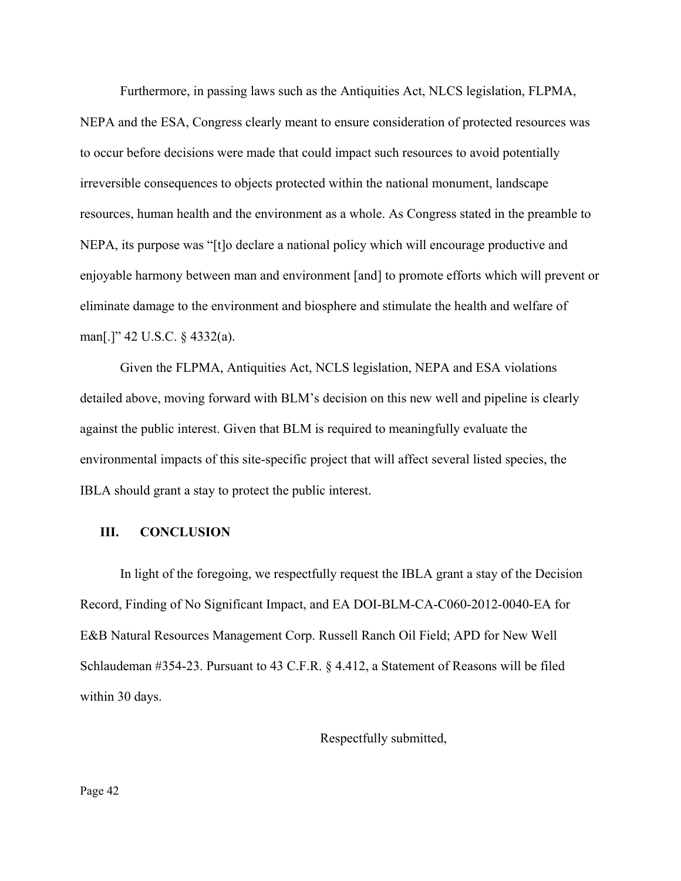Furthermore, in passing laws such as the Antiquities Act, NLCS legislation, FLPMA, NEPA and the ESA, Congress clearly meant to ensure consideration of protected resources was to occur before decisions were made that could impact such resources to avoid potentially irreversible consequences to objects protected within the national monument, landscape resources, human health and the environment as a whole. As Congress stated in the preamble to NEPA, its purpose was "[t]o declare a national policy which will encourage productive and enjoyable harmony between man and environment [and] to promote efforts which will prevent or eliminate damage to the environment and biosphere and stimulate the health and welfare of man[.]" 42 U.S.C. § 4332(a).

Given the FLPMA, Antiquities Act, NCLS legislation, NEPA and ESA violations detailed above, moving forward with BLM's decision on this new well and pipeline is clearly against the public interest. Given that BLM is required to meaningfully evaluate the environmental impacts of this site-specific project that will affect several listed species, the IBLA should grant a stay to protect the public interest.

### **III. CONCLUSION**

In light of the foregoing, we respectfully request the IBLA grant a stay of the Decision Record, Finding of No Significant Impact, and EA DOI-BLM-CA-C060-2012-0040-EA for E&B Natural Resources Management Corp. Russell Ranch Oil Field; APD for New Well Schlaudeman #354-23. Pursuant to 43 C.F.R. § 4.412, a Statement of Reasons will be filed within 30 days.

#### Respectfully submitted,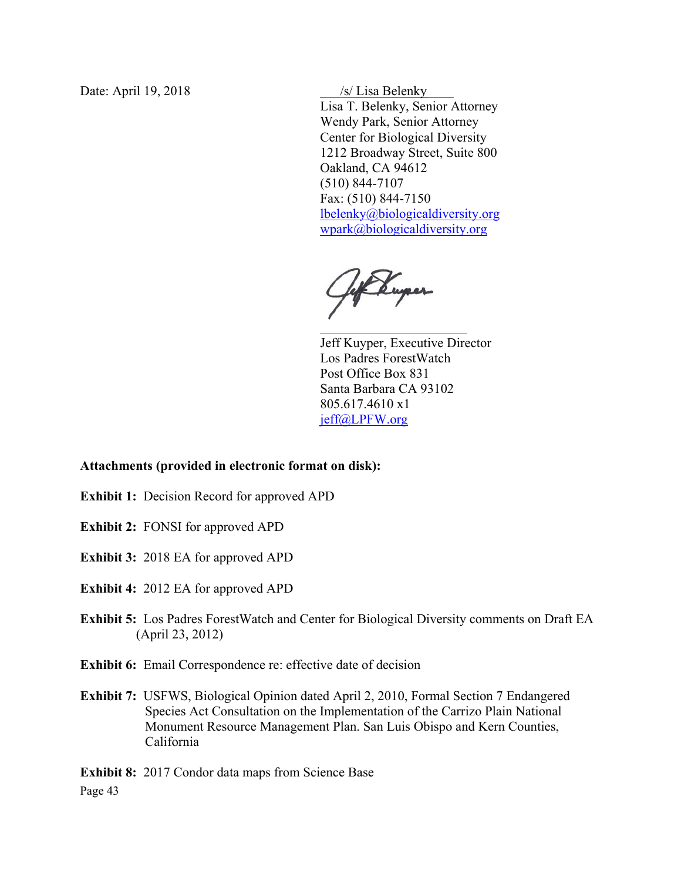Date: April 19, 2018 **but also assist that the Second Seconds** As *SS* Lisa Belenky

Lisa T. Belenky, Senior Attorney Wendy Park, Senior Attorney Center for Biological Diversity 1212 Broadway Street, Suite 800 Oakland, CA 94612 (510) 844-7107 Fax: (510) 844-7150 lbelenky@biologicaldiversity.org wpark@biologicaldiversity.org

Hof Kuper

Jeff Kuyper, Executive Director Los Padres ForestWatch Post Office Box 831 Santa Barbara CA 93102 805.617.4610 x1 jeff@LPFW.org

### **Attachments (provided in electronic format on disk):**

- **Exhibit 1:** Decision Record for approved APD
- **Exhibit 2:** FONSI for approved APD
- **Exhibit 3:** 2018 EA for approved APD
- **Exhibit 4:** 2012 EA for approved APD
- **Exhibit 5:** Los Padres ForestWatch and Center for Biological Diversity comments on Draft EA (April 23, 2012)
- **Exhibit 6:** Email Correspondence re: effective date of decision
- **Exhibit 7:** USFWS, Biological Opinion dated April 2, 2010, Formal Section 7 Endangered Species Act Consultation on the Implementation of the Carrizo Plain National Monument Resource Management Plan. San Luis Obispo and Kern Counties, California

Page 43 **Exhibit 8:** 2017 Condor data maps from Science Base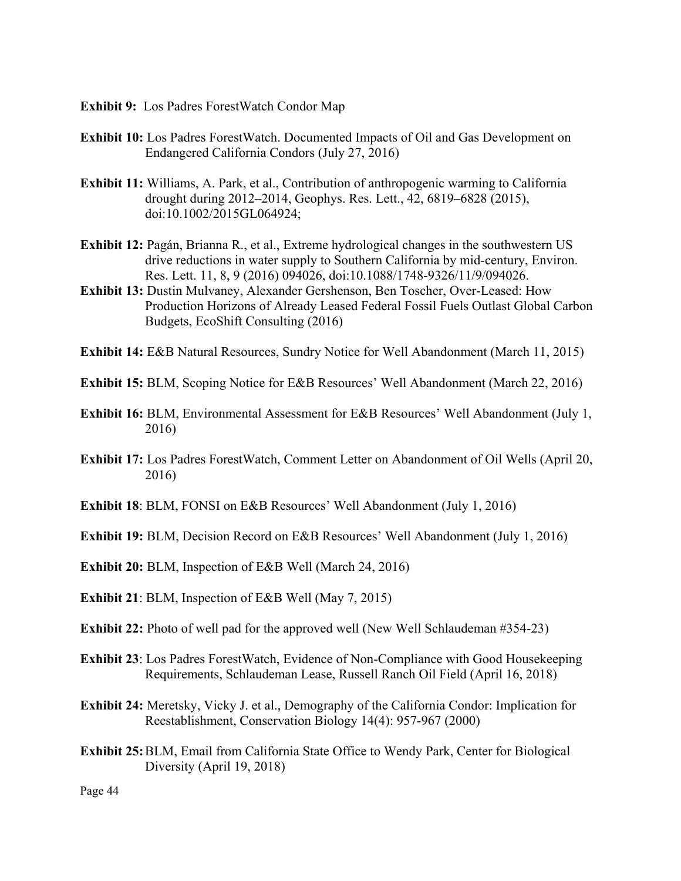- **Exhibit 9:** Los Padres ForestWatch Condor Map
- **Exhibit 10:** Los Padres ForestWatch. Documented Impacts of Oil and Gas Development on Endangered California Condors (July 27, 2016)
- **Exhibit 11:** Williams, A. Park, et al., Contribution of anthropogenic warming to California drought during 2012–2014, Geophys. Res. Lett., 42, 6819–6828 (2015), doi:10.1002/2015GL064924;
- **Exhibit 12:** Pagán, Brianna R., et al., Extreme hydrological changes in the southwestern US drive reductions in water supply to Southern California by mid-century, Environ. Res. Lett. 11, 8, 9 (2016) 094026, doi:10.1088/1748-9326/11/9/094026.
- **Exhibit 13:** Dustin Mulvaney, Alexander Gershenson, Ben Toscher, Over-Leased: How Production Horizons of Already Leased Federal Fossil Fuels Outlast Global Carbon Budgets, EcoShift Consulting (2016)
- **Exhibit 14:** E&B Natural Resources, Sundry Notice for Well Abandonment (March 11, 2015)
- **Exhibit 15:** BLM, Scoping Notice for E&B Resources' Well Abandonment (March 22, 2016)
- **Exhibit 16:** BLM, Environmental Assessment for E&B Resources' Well Abandonment (July 1, 2016)
- **Exhibit 17:** Los Padres ForestWatch, Comment Letter on Abandonment of Oil Wells (April 20, 2016)
- **Exhibit 18:** BLM, FONSI on E&B Resources' Well Abandonment (July 1, 2016)
- **Exhibit 19:** BLM, Decision Record on E&B Resources' Well Abandonment (July 1, 2016)
- **Exhibit 20:** BLM, Inspection of E&B Well (March 24, 2016)
- **Exhibit 21**: BLM, Inspection of E&B Well (May 7, 2015)
- **Exhibit 22:** Photo of well pad for the approved well (New Well Schlaudeman #354-23)
- **Exhibit 23**: Los Padres ForestWatch, Evidence of Non-Compliance with Good Housekeeping Requirements, Schlaudeman Lease, Russell Ranch Oil Field (April 16, 2018)
- **Exhibit 24:** Meretsky, Vicky J. et al., Demography of the California Condor: Implication for Reestablishment, Conservation Biology 14(4): 957-967 (2000)
- **Exhibit 25:** BLM, Email from California State Office to Wendy Park, Center for Biological Diversity (April 19, 2018)

Page 44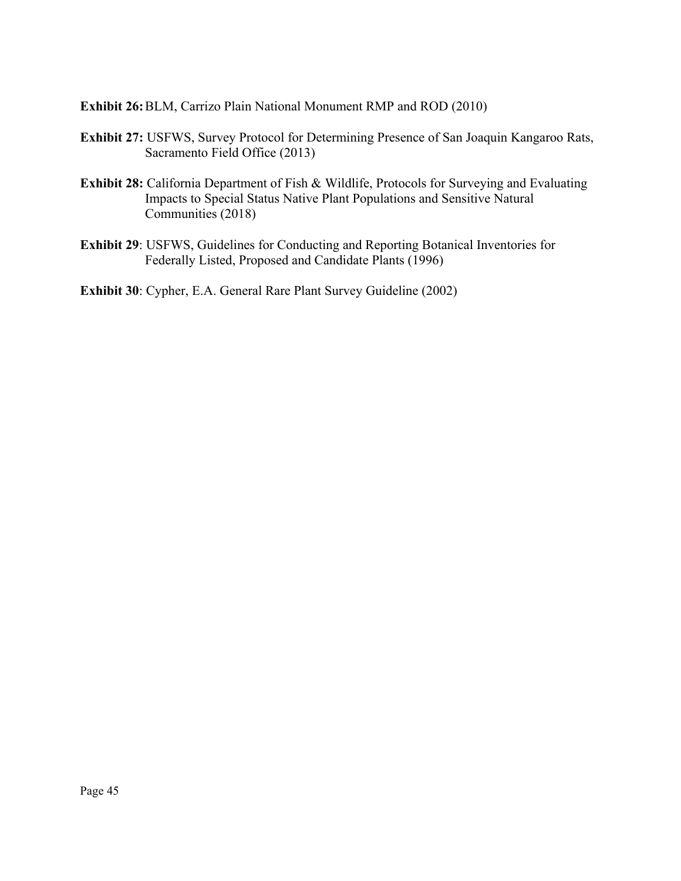**Exhibit 26:** BLM, Carrizo Plain National Monument RMP and ROD (2010)

- **Exhibit 27:** USFWS, Survey Protocol for Determining Presence of San Joaquin Kangaroo Rats, Sacramento Field Office (2013)
- **Exhibit 28:** California Department of Fish & Wildlife, Protocols for Surveying and Evaluating Impacts to Special Status Native Plant Populations and Sensitive Natural Communities (2018)
- **Exhibit 29**: USFWS, Guidelines for Conducting and Reporting Botanical Inventories for Federally Listed, Proposed and Candidate Plants (1996)

**Exhibit 30**: Cypher, E.A. General Rare Plant Survey Guideline (2002)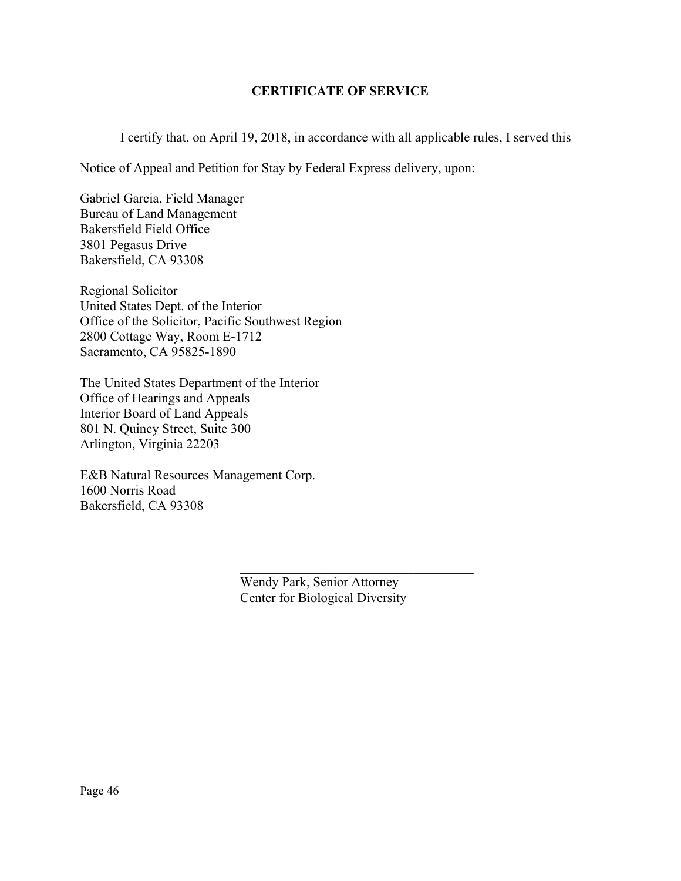# **CERTIFICATE OF SERVICE**

I certify that, on April 19, 2018, in accordance with all applicable rules, I served this

Notice of Appeal and Petition for Stay by Federal Express delivery, upon:

Gabriel Garcia, Field Manager Bureau of Land Management Bakersfield Field Office 3801 Pegasus Drive Bakersfield, CA 93308

Regional Solicitor United States Dept. of the Interior Office of the Solicitor, Pacific Southwest Region 2800 Cottage Way, Room E-1712 Sacramento, CA 95825-1890

The United States Department of the Interior Office of Hearings and Appeals Interior Board of Land Appeals 801 N. Quincy Street, Suite 300 Arlington, Virginia 22203

E&B Natural Resources Management Corp. 1600 Norris Road Bakersfield, CA 93308

> Wendy Park, Senior Attorney Center for Biological Diversity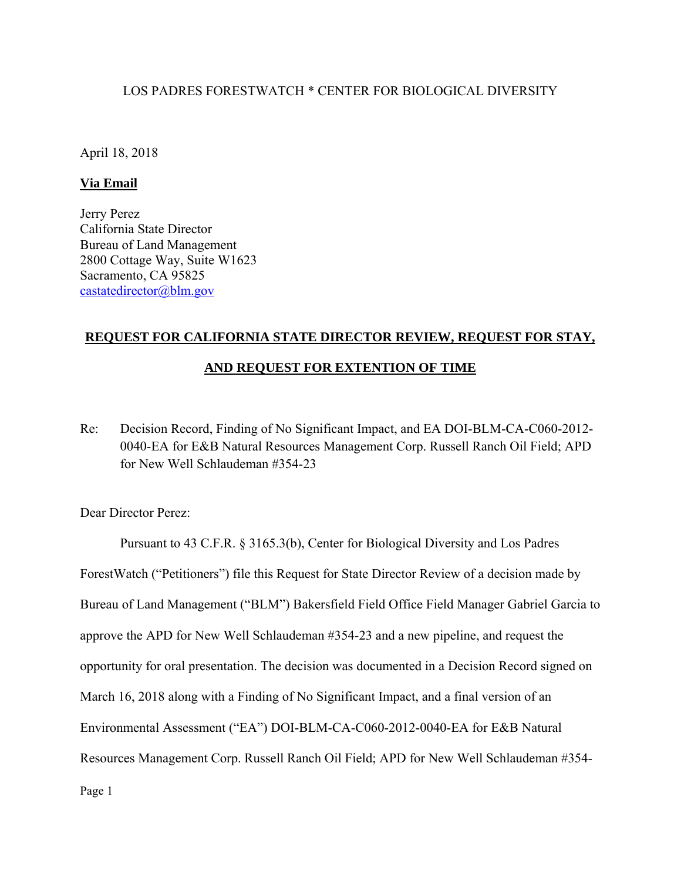# LOS PADRES FORESTWATCH \* CENTER FOR BIOLOGICAL DIVERSITY

April 18, 2018

## **Via Email**

Jerry Perez California State Director Bureau of Land Management 2800 Cottage Way, Suite W1623 Sacramento, CA 95825 castatedirector@blm.gov

# **REQUEST FOR CALIFORNIA STATE DIRECTOR REVIEW, REQUEST FOR STAY,**

# **AND REQUEST FOR EXTENTION OF TIME**

Re: Decision Record, Finding of No Significant Impact, and EA DOI-BLM-CA-C060-2012- 0040-EA for E&B Natural Resources Management Corp. Russell Ranch Oil Field; APD for New Well Schlaudeman #354-23

Dear Director Perez:

Pursuant to 43 C.F.R. § 3165.3(b), Center for Biological Diversity and Los Padres ForestWatch ("Petitioners") file this Request for State Director Review of a decision made by Bureau of Land Management ("BLM") Bakersfield Field Office Field Manager Gabriel Garcia to approve the APD for New Well Schlaudeman #354-23 and a new pipeline, and request the opportunity for oral presentation. The decision was documented in a Decision Record signed on March 16, 2018 along with a Finding of No Significant Impact, and a final version of an Environmental Assessment ("EA") DOI-BLM-CA-C060-2012-0040-EA for E&B Natural Resources Management Corp. Russell Ranch Oil Field; APD for New Well Schlaudeman #354-

Page 1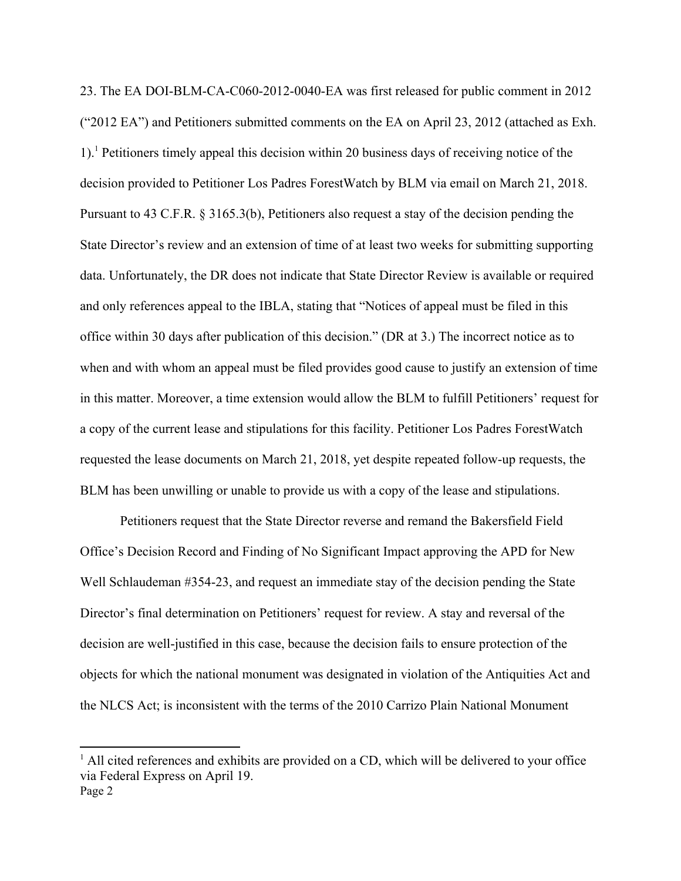23. The EA DOI-BLM-CA-C060-2012-0040-EA was first released for public comment in 2012 ("2012 EA") and Petitioners submitted comments on the EA on April 23, 2012 (attached as Exh. 1).1 Petitioners timely appeal this decision within 20 business days of receiving notice of the decision provided to Petitioner Los Padres ForestWatch by BLM via email on March 21, 2018. Pursuant to 43 C.F.R. § 3165.3(b), Petitioners also request a stay of the decision pending the State Director's review and an extension of time of at least two weeks for submitting supporting data. Unfortunately, the DR does not indicate that State Director Review is available or required and only references appeal to the IBLA, stating that "Notices of appeal must be filed in this office within 30 days after publication of this decision." (DR at 3.) The incorrect notice as to when and with whom an appeal must be filed provides good cause to justify an extension of time in this matter. Moreover, a time extension would allow the BLM to fulfill Petitioners' request for a copy of the current lease and stipulations for this facility. Petitioner Los Padres ForestWatch requested the lease documents on March 21, 2018, yet despite repeated follow-up requests, the BLM has been unwilling or unable to provide us with a copy of the lease and stipulations.

Petitioners request that the State Director reverse and remand the Bakersfield Field Office's Decision Record and Finding of No Significant Impact approving the APD for New Well Schlaudeman  $\#354-23$ , and request an immediate stay of the decision pending the State Director's final determination on Petitioners' request for review. A stay and reversal of the decision are well-justified in this case, because the decision fails to ensure protection of the objects for which the national monument was designated in violation of the Antiquities Act and the NLCS Act; is inconsistent with the terms of the 2010 Carrizo Plain National Monument

Page 2 <sup>1</sup> All cited references and exhibits are provided on a CD, which will be delivered to your office via Federal Express on April 19.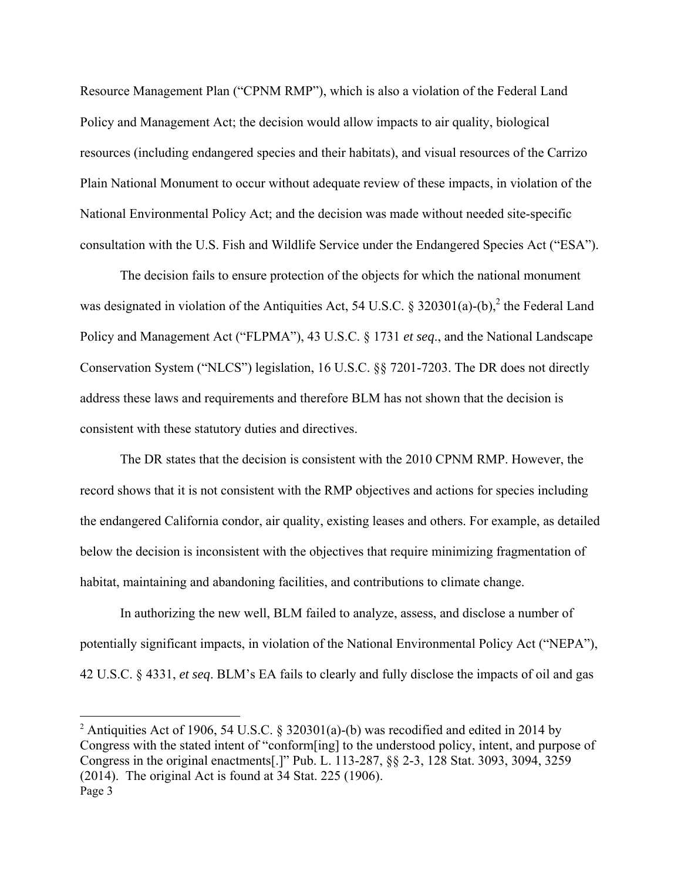Resource Management Plan ("CPNM RMP"), which is also a violation of the Federal Land Policy and Management Act; the decision would allow impacts to air quality, biological resources (including endangered species and their habitats), and visual resources of the Carrizo Plain National Monument to occur without adequate review of these impacts, in violation of the National Environmental Policy Act; and the decision was made without needed site-specific consultation with the U.S. Fish and Wildlife Service under the Endangered Species Act ("ESA").

The decision fails to ensure protection of the objects for which the national monument was designated in violation of the Antiquities Act, 54 U.S.C. § 320301(a)-(b),<sup>2</sup> the Federal Land Policy and Management Act ("FLPMA"), 43 U.S.C. § 1731 *et seq*., and the National Landscape Conservation System ("NLCS") legislation, 16 U.S.C. §§ 7201-7203. The DR does not directly address these laws and requirements and therefore BLM has not shown that the decision is consistent with these statutory duties and directives.

The DR states that the decision is consistent with the 2010 CPNM RMP. However, the record shows that it is not consistent with the RMP objectives and actions for species including the endangered California condor, air quality, existing leases and others. For example, as detailed below the decision is inconsistent with the objectives that require minimizing fragmentation of habitat, maintaining and abandoning facilities, and contributions to climate change.

In authorizing the new well, BLM failed to analyze, assess, and disclose a number of potentially significant impacts, in violation of the National Environmental Policy Act ("NEPA"), 42 U.S.C. § 4331, *et seq*. BLM's EA fails to clearly and fully disclose the impacts of oil and gas

Page 3 <sup>2</sup> Antiquities Act of 1906, 54 U.S.C. § 320301(a)-(b) was recodified and edited in 2014 by Congress with the stated intent of "conform[ing] to the understood policy, intent, and purpose of Congress in the original enactments[.]" Pub. L. 113-287, §§ 2-3, 128 Stat. 3093, 3094, 3259 (2014). The original Act is found at 34 Stat. 225 (1906).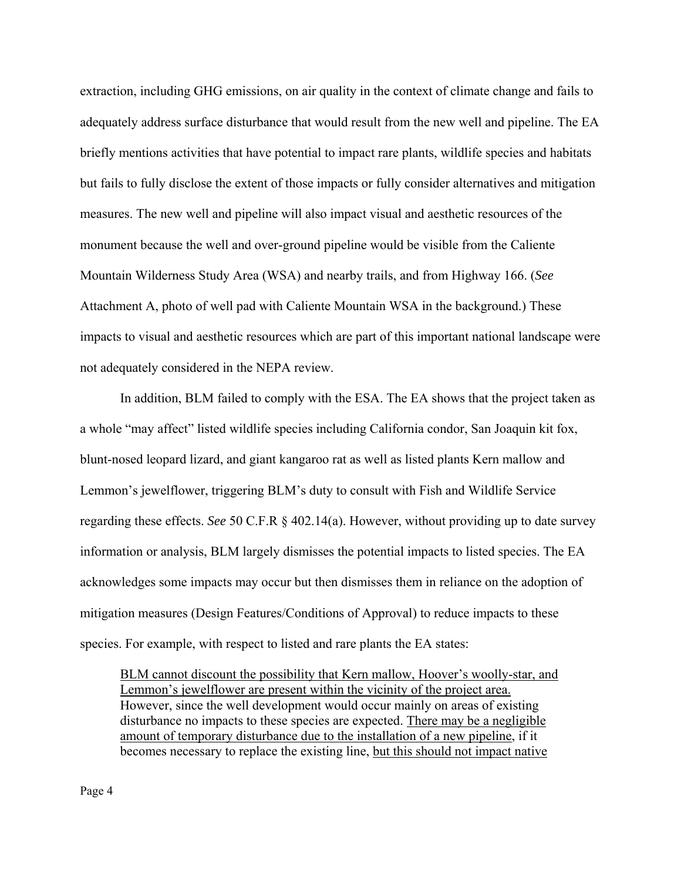extraction, including GHG emissions, on air quality in the context of climate change and fails to adequately address surface disturbance that would result from the new well and pipeline. The EA briefly mentions activities that have potential to impact rare plants, wildlife species and habitats but fails to fully disclose the extent of those impacts or fully consider alternatives and mitigation measures. The new well and pipeline will also impact visual and aesthetic resources of the monument because the well and over-ground pipeline would be visible from the Caliente Mountain Wilderness Study Area (WSA) and nearby trails, and from Highway 166. (*See* Attachment A, photo of well pad with Caliente Mountain WSA in the background.) These impacts to visual and aesthetic resources which are part of this important national landscape were not adequately considered in the NEPA review.

In addition, BLM failed to comply with the ESA. The EA shows that the project taken as a whole "may affect" listed wildlife species including California condor, San Joaquin kit fox, blunt-nosed leopard lizard, and giant kangaroo rat as well as listed plants Kern mallow and Lemmon's jewelflower, triggering BLM's duty to consult with Fish and Wildlife Service regarding these effects. *See* 50 C.F.R § 402.14(a). However, without providing up to date survey information or analysis, BLM largely dismisses the potential impacts to listed species. The EA acknowledges some impacts may occur but then dismisses them in reliance on the adoption of mitigation measures (Design Features/Conditions of Approval) to reduce impacts to these species. For example, with respect to listed and rare plants the EA states:

BLM cannot discount the possibility that Kern mallow, Hoover's woolly-star, and Lemmon's jewelflower are present within the vicinity of the project area. However, since the well development would occur mainly on areas of existing disturbance no impacts to these species are expected. There may be a negligible amount of temporary disturbance due to the installation of a new pipeline, if it becomes necessary to replace the existing line, but this should not impact native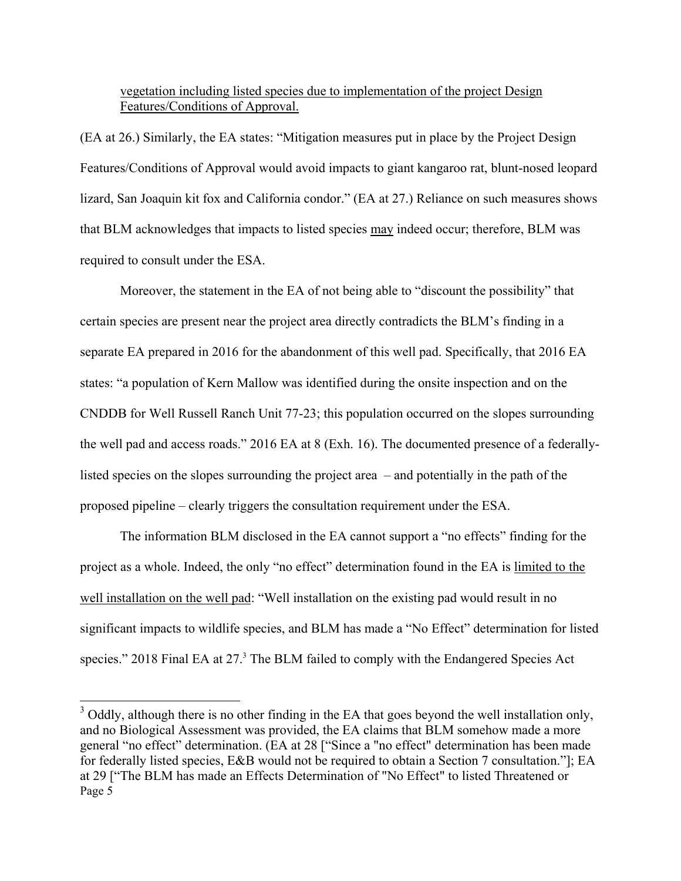## vegetation including listed species due to implementation of the project Design Features/Conditions of Approval.

(EA at 26.) Similarly, the EA states: "Mitigation measures put in place by the Project Design Features/Conditions of Approval would avoid impacts to giant kangaroo rat, blunt-nosed leopard lizard, San Joaquin kit fox and California condor." (EA at 27.) Reliance on such measures shows that BLM acknowledges that impacts to listed species may indeed occur; therefore, BLM was required to consult under the ESA.

 Moreover, the statement in the EA of not being able to "discount the possibility" that certain species are present near the project area directly contradicts the BLM's finding in a separate EA prepared in 2016 for the abandonment of this well pad. Specifically, that 2016 EA states: "a population of Kern Mallow was identified during the onsite inspection and on the CNDDB for Well Russell Ranch Unit 77-23; this population occurred on the slopes surrounding the well pad and access roads." 2016 EA at 8 (Exh. 16). The documented presence of a federallylisted species on the slopes surrounding the project area – and potentially in the path of the proposed pipeline – clearly triggers the consultation requirement under the ESA.

The information BLM disclosed in the EA cannot support a "no effects" finding for the project as a whole. Indeed, the only "no effect" determination found in the EA is limited to the well installation on the well pad: "Well installation on the existing pad would result in no significant impacts to wildlife species, and BLM has made a "No Effect" determination for listed species." 2018 Final EA at  $27<sup>3</sup>$  The BLM failed to comply with the Endangered Species Act

Page 5  $3$  Oddly, although there is no other finding in the EA that goes beyond the well installation only, and no Biological Assessment was provided, the EA claims that BLM somehow made a more general "no effect" determination. (EA at 28 ["Since a "no effect" determination has been made for federally listed species, E&B would not be required to obtain a Section 7 consultation."]; EA at 29 ["The BLM has made an Effects Determination of "No Effect" to listed Threatened or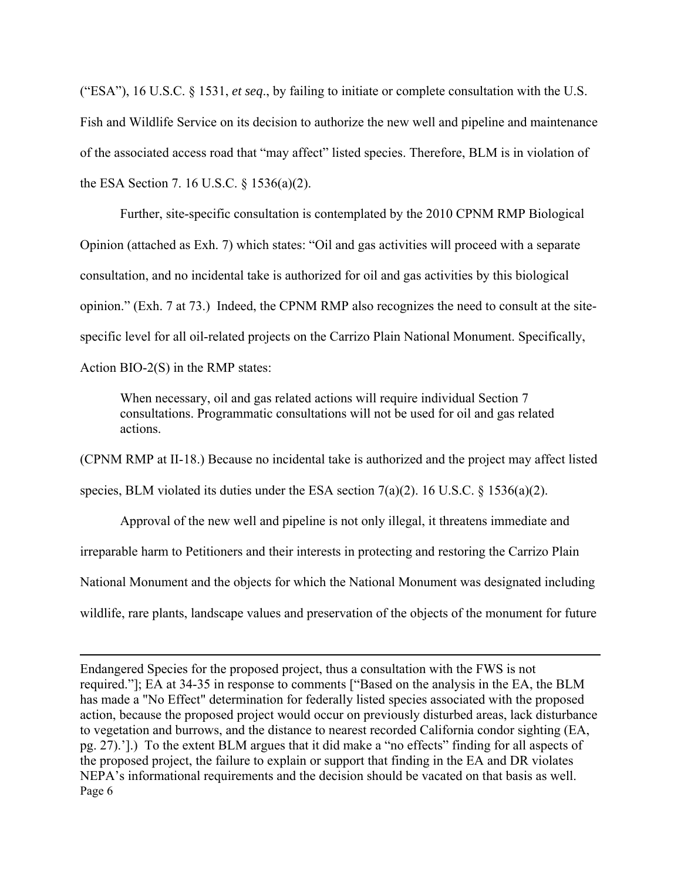("ESA"), 16 U.S.C. § 1531, *et seq*., by failing to initiate or complete consultation with the U.S. Fish and Wildlife Service on its decision to authorize the new well and pipeline and maintenance of the associated access road that "may affect" listed species. Therefore, BLM is in violation of the ESA Section 7. 16 U.S.C. § 1536(a)(2).

Further, site-specific consultation is contemplated by the 2010 CPNM RMP Biological Opinion (attached as Exh. 7) which states: "Oil and gas activities will proceed with a separate consultation, and no incidental take is authorized for oil and gas activities by this biological opinion." (Exh. 7 at 73.) Indeed, the CPNM RMP also recognizes the need to consult at the sitespecific level for all oil-related projects on the Carrizo Plain National Monument. Specifically, Action BIO-2(S) in the RMP states:

When necessary, oil and gas related actions will require individual Section 7 consultations. Programmatic consultations will not be used for oil and gas related actions.

(CPNM RMP at II-18.) Because no incidental take is authorized and the project may affect listed species, BLM violated its duties under the ESA section 7(a)(2). 16 U.S.C. § 1536(a)(2).

Approval of the new well and pipeline is not only illegal, it threatens immediate and irreparable harm to Petitioners and their interests in protecting and restoring the Carrizo Plain National Monument and the objects for which the National Monument was designated including wildlife, rare plants, landscape values and preservation of the objects of the monument for future

Page 6 Endangered Species for the proposed project, thus a consultation with the FWS is not required."]; EA at 34-35 in response to comments ["Based on the analysis in the EA, the BLM has made a "No Effect" determination for federally listed species associated with the proposed action, because the proposed project would occur on previously disturbed areas, lack disturbance to vegetation and burrows, and the distance to nearest recorded California condor sighting (EA, pg. 27).'].) To the extent BLM argues that it did make a "no effects" finding for all aspects of the proposed project, the failure to explain or support that finding in the EA and DR violates NEPA's informational requirements and the decision should be vacated on that basis as well.

<u> 1989 - Johann Stein, marwolaethau a gweledydd a ganlad y ganlad y ganlad y ganlad y ganlad y ganlad y ganlad</u>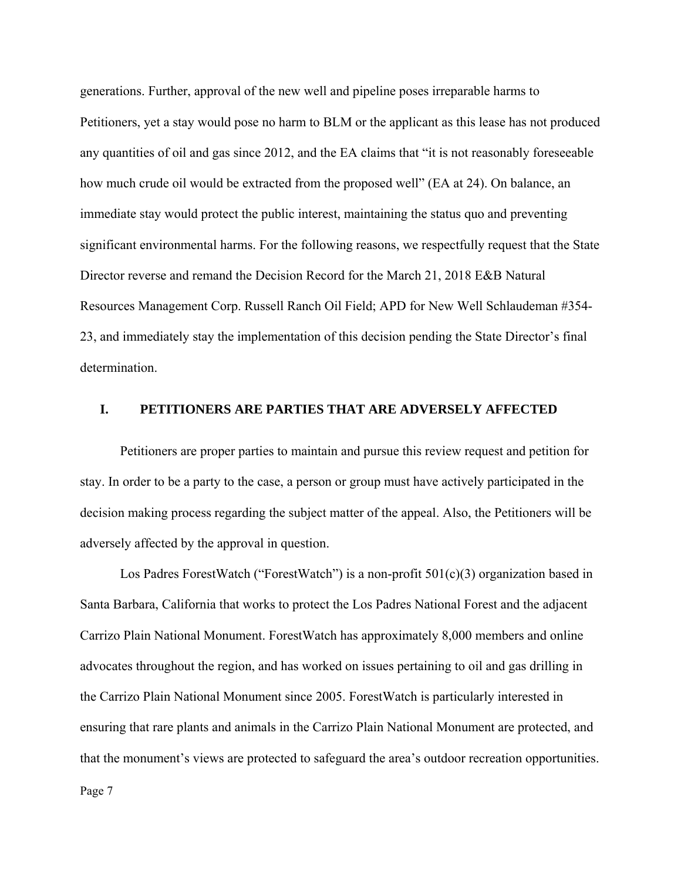generations. Further, approval of the new well and pipeline poses irreparable harms to Petitioners, yet a stay would pose no harm to BLM or the applicant as this lease has not produced any quantities of oil and gas since 2012, and the EA claims that "it is not reasonably foreseeable how much crude oil would be extracted from the proposed well" (EA at 24). On balance, an immediate stay would protect the public interest, maintaining the status quo and preventing significant environmental harms. For the following reasons, we respectfully request that the State Director reverse and remand the Decision Record for the March 21, 2018 E&B Natural Resources Management Corp. Russell Ranch Oil Field; APD for New Well Schlaudeman #354- 23, and immediately stay the implementation of this decision pending the State Director's final determination.

## **I. PETITIONERS ARE PARTIES THAT ARE ADVERSELY AFFECTED**

Petitioners are proper parties to maintain and pursue this review request and petition for stay. In order to be a party to the case, a person or group must have actively participated in the decision making process regarding the subject matter of the appeal. Also, the Petitioners will be adversely affected by the approval in question.

Los Padres ForestWatch ("ForestWatch") is a non-profit 501(c)(3) organization based in Santa Barbara, California that works to protect the Los Padres National Forest and the adjacent Carrizo Plain National Monument. ForestWatch has approximately 8,000 members and online advocates throughout the region, and has worked on issues pertaining to oil and gas drilling in the Carrizo Plain National Monument since 2005. ForestWatch is particularly interested in ensuring that rare plants and animals in the Carrizo Plain National Monument are protected, and that the monument's views are protected to safeguard the area's outdoor recreation opportunities.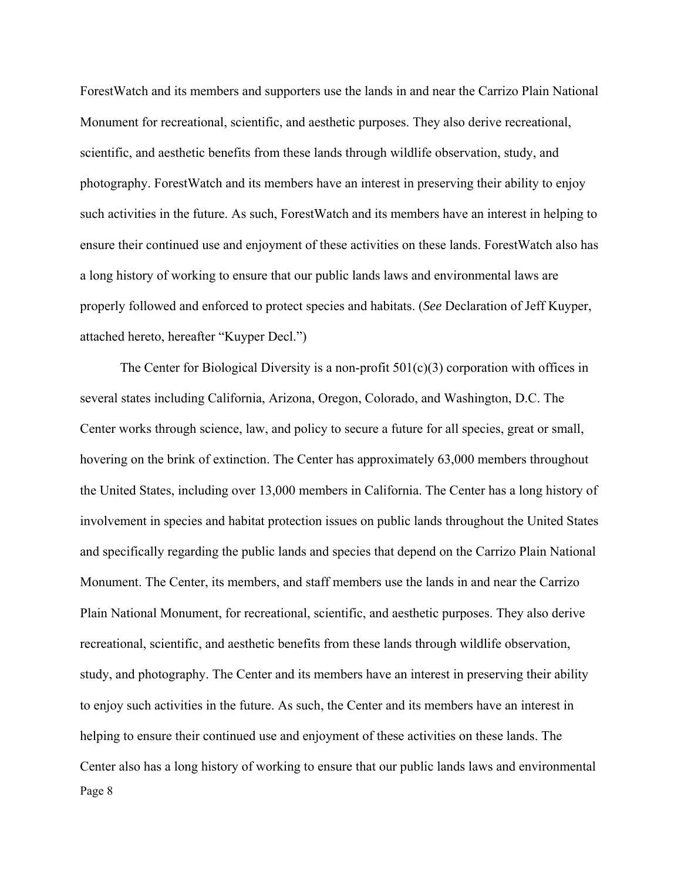ForestWatch and its members and supporters use the lands in and near the Carrizo Plain National Monument for recreational, scientific, and aesthetic purposes. They also derive recreational, scientific, and aesthetic benefits from these lands through wildlife observation, study, and photography. ForestWatch and its members have an interest in preserving their ability to enjoy such activities in the future. As such, ForestWatch and its members have an interest in helping to ensure their continued use and enjoyment of these activities on these lands. ForestWatch also has a long history of working to ensure that our public lands laws and environmental laws are properly followed and enforced to protect species and habitats. (*See* Declaration of Jeff Kuyper, attached hereto, hereafter "Kuyper Decl.")

Page 8 The Center for Biological Diversity is a non-profit  $501(c)(3)$  corporation with offices in several states including California, Arizona, Oregon, Colorado, and Washington, D.C. The Center works through science, law, and policy to secure a future for all species, great or small, hovering on the brink of extinction. The Center has approximately 63,000 members throughout the United States, including over 13,000 members in California. The Center has a long history of involvement in species and habitat protection issues on public lands throughout the United States and specifically regarding the public lands and species that depend on the Carrizo Plain National Monument. The Center, its members, and staff members use the lands in and near the Carrizo Plain National Monument, for recreational, scientific, and aesthetic purposes. They also derive recreational, scientific, and aesthetic benefits from these lands through wildlife observation, study, and photography. The Center and its members have an interest in preserving their ability to enjoy such activities in the future. As such, the Center and its members have an interest in helping to ensure their continued use and enjoyment of these activities on these lands. The Center also has a long history of working to ensure that our public lands laws and environmental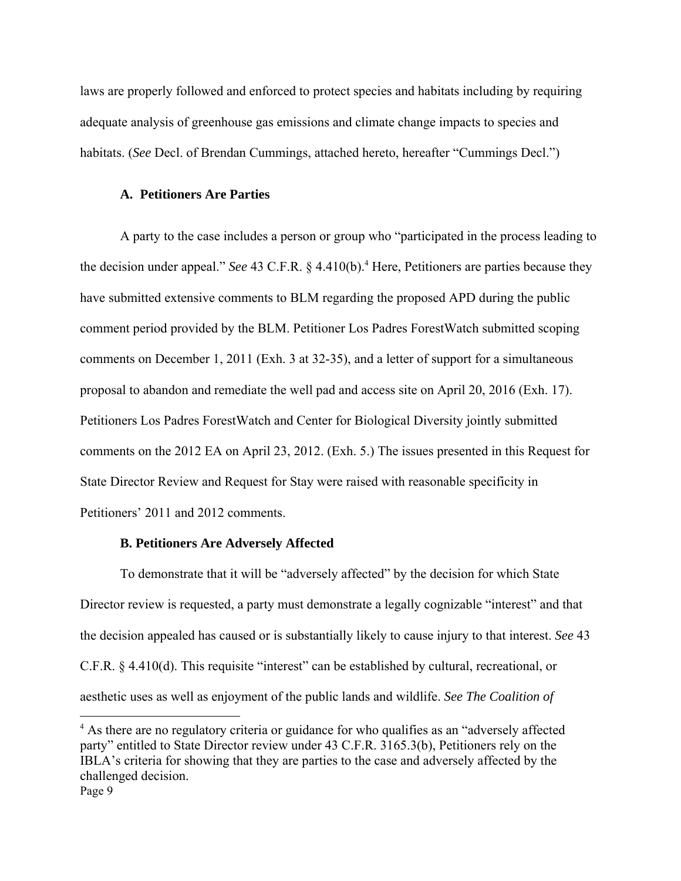laws are properly followed and enforced to protect species and habitats including by requiring adequate analysis of greenhouse gas emissions and climate change impacts to species and habitats. (*See* Decl. of Brendan Cummings, attached hereto, hereafter "Cummings Decl.")

### **A. Petitioners Are Parties**

A party to the case includes a person or group who "participated in the process leading to the decision under appeal." *See* 43 C.F.R. § 4.410(b).<sup>4</sup> Here, Petitioners are parties because they have submitted extensive comments to BLM regarding the proposed APD during the public comment period provided by the BLM. Petitioner Los Padres ForestWatch submitted scoping comments on December 1, 2011 (Exh. 3 at 32-35), and a letter of support for a simultaneous proposal to abandon and remediate the well pad and access site on April 20, 2016 (Exh. 17). Petitioners Los Padres ForestWatch and Center for Biological Diversity jointly submitted comments on the 2012 EA on April 23, 2012. (Exh. 5.) The issues presented in this Request for State Director Review and Request for Stay were raised with reasonable specificity in Petitioners' 2011 and 2012 comments.

### **B. Petitioners Are Adversely Affected**

To demonstrate that it will be "adversely affected" by the decision for which State Director review is requested, a party must demonstrate a legally cognizable "interest" and that the decision appealed has caused or is substantially likely to cause injury to that interest. *See* 43 C.F.R. § 4.410(d). This requisite "interest" can be established by cultural, recreational, or aesthetic uses as well as enjoyment of the public lands and wildlife. *See The Coalition of* 

Page 9 <sup>4</sup> As there are no regulatory criteria or guidance for who qualifies as an "adversely affected party" entitled to State Director review under 43 C.F.R. 3165.3(b), Petitioners rely on the IBLA's criteria for showing that they are parties to the case and adversely affected by the challenged decision.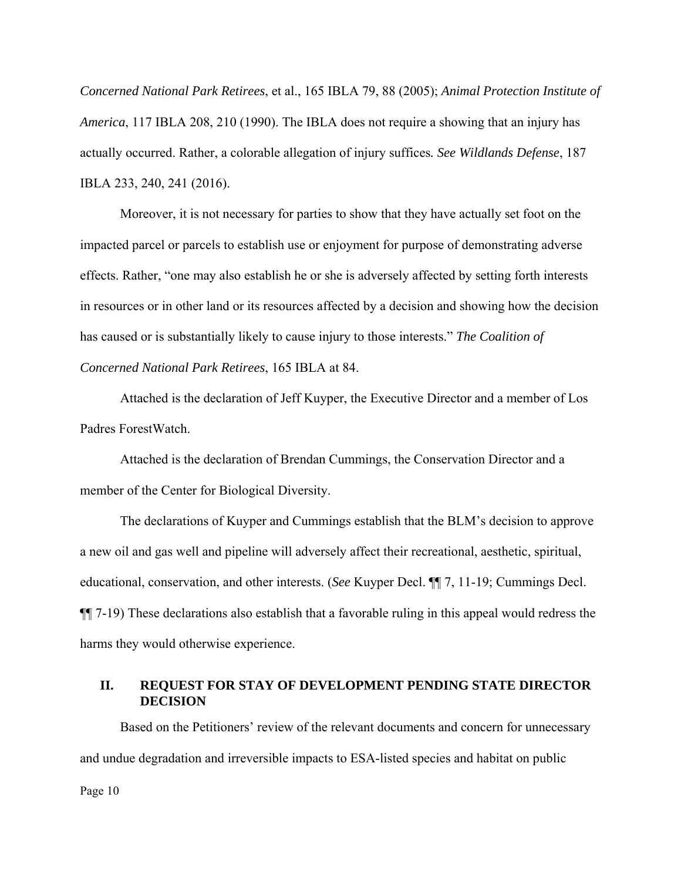*Concerned National Park Retirees*, et al., 165 IBLA 79, 88 (2005); *Animal Protection Institute of America*, 117 IBLA 208, 210 (1990). The IBLA does not require a showing that an injury has actually occurred. Rather, a colorable allegation of injury suffices*. See Wildlands Defense*, 187 IBLA 233, 240, 241 (2016).

Moreover, it is not necessary for parties to show that they have actually set foot on the impacted parcel or parcels to establish use or enjoyment for purpose of demonstrating adverse effects. Rather, "one may also establish he or she is adversely affected by setting forth interests in resources or in other land or its resources affected by a decision and showing how the decision has caused or is substantially likely to cause injury to those interests." *The Coalition of Concerned National Park Retirees*, 165 IBLA at 84.

Attached is the declaration of Jeff Kuyper, the Executive Director and a member of Los Padres ForestWatch.

Attached is the declaration of Brendan Cummings, the Conservation Director and a member of the Center for Biological Diversity.

The declarations of Kuyper and Cummings establish that the BLM's decision to approve a new oil and gas well and pipeline will adversely affect their recreational, aesthetic, spiritual, educational, conservation, and other interests. (*See* Kuyper Decl. ¶¶ 7, 11-19; Cummings Decl. ¶¶ 7-19) These declarations also establish that a favorable ruling in this appeal would redress the harms they would otherwise experience.

### **II. REQUEST FOR STAY OF DEVELOPMENT PENDING STATE DIRECTOR DECISION**

Page 10 Based on the Petitioners' review of the relevant documents and concern for unnecessary and undue degradation and irreversible impacts to ESA-listed species and habitat on public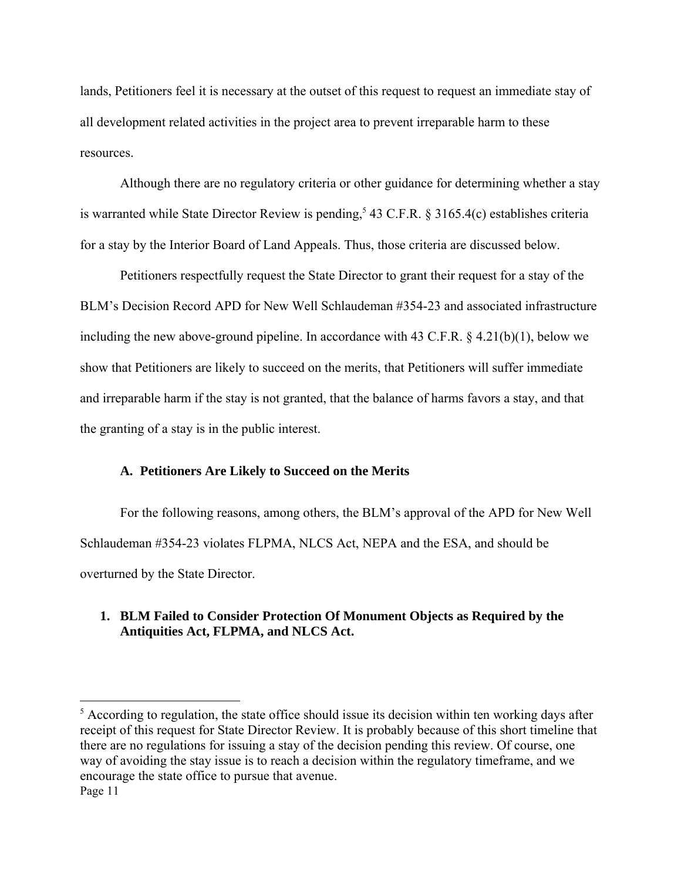lands, Petitioners feel it is necessary at the outset of this request to request an immediate stay of all development related activities in the project area to prevent irreparable harm to these resources.

Although there are no regulatory criteria or other guidance for determining whether a stay is warranted while State Director Review is pending,<sup>5</sup> 43 C.F.R. § 3165.4(c) establishes criteria for a stay by the Interior Board of Land Appeals. Thus, those criteria are discussed below.

Petitioners respectfully request the State Director to grant their request for a stay of the BLM's Decision Record APD for New Well Schlaudeman #354-23 and associated infrastructure including the new above-ground pipeline. In accordance with 43 C.F.R. § 4.21(b)(1), below we show that Petitioners are likely to succeed on the merits, that Petitioners will suffer immediate and irreparable harm if the stay is not granted, that the balance of harms favors a stay, and that the granting of a stay is in the public interest.

### **A. Petitioners Are Likely to Succeed on the Merits**

For the following reasons, among others, the BLM's approval of the APD for New Well Schlaudeman #354-23 violates FLPMA, NLCS Act, NEPA and the ESA, and should be overturned by the State Director.

## **1. BLM Failed to Consider Protection Of Monument Objects as Required by the Antiquities Act, FLPMA, and NLCS Act.**

Page 11 <sup>5</sup> According to regulation, the state office should issue its decision within ten working days after receipt of this request for State Director Review. It is probably because of this short timeline that there are no regulations for issuing a stay of the decision pending this review. Of course, one way of avoiding the stay issue is to reach a decision within the regulatory timeframe, and we encourage the state office to pursue that avenue.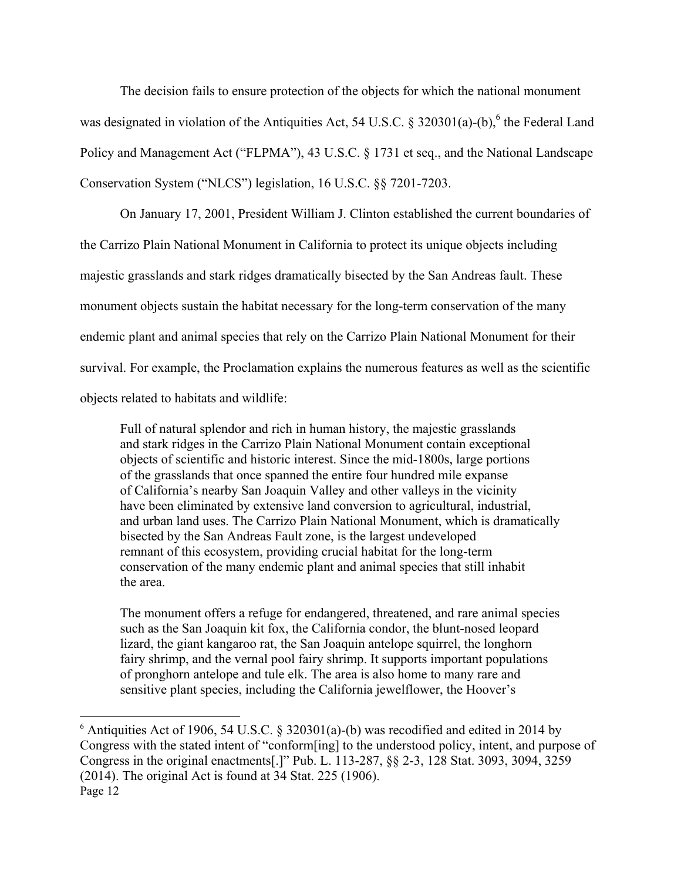The decision fails to ensure protection of the objects for which the national monument was designated in violation of the Antiquities Act, 54 U.S.C. § 320301(a)-(b),  $6$  the Federal Land Policy and Management Act ("FLPMA"), 43 U.S.C. § 1731 et seq., and the National Landscape Conservation System ("NLCS") legislation, 16 U.S.C. §§ 7201-7203.

On January 17, 2001, President William J. Clinton established the current boundaries of the Carrizo Plain National Monument in California to protect its unique objects including majestic grasslands and stark ridges dramatically bisected by the San Andreas fault. These monument objects sustain the habitat necessary for the long-term conservation of the many endemic plant and animal species that rely on the Carrizo Plain National Monument for their survival. For example, the Proclamation explains the numerous features as well as the scientific objects related to habitats and wildlife:

Full of natural splendor and rich in human history, the majestic grasslands and stark ridges in the Carrizo Plain National Monument contain exceptional objects of scientific and historic interest. Since the mid-1800s, large portions of the grasslands that once spanned the entire four hundred mile expanse of California's nearby San Joaquin Valley and other valleys in the vicinity have been eliminated by extensive land conversion to agricultural, industrial, and urban land uses. The Carrizo Plain National Monument, which is dramatically bisected by the San Andreas Fault zone, is the largest undeveloped remnant of this ecosystem, providing crucial habitat for the long-term conservation of the many endemic plant and animal species that still inhabit the area.

The monument offers a refuge for endangered, threatened, and rare animal species such as the San Joaquin kit fox, the California condor, the blunt-nosed leopard lizard, the giant kangaroo rat, the San Joaquin antelope squirrel, the longhorn fairy shrimp, and the vernal pool fairy shrimp. It supports important populations of pronghorn antelope and tule elk. The area is also home to many rare and sensitive plant species, including the California jewelflower, the Hoover's

Page 12  $6$  Antiquities Act of 1906, 54 U.S.C. § 320301(a)-(b) was recodified and edited in 2014 by Congress with the stated intent of "conform[ing] to the understood policy, intent, and purpose of Congress in the original enactments[.]" Pub. L. 113-287, §§ 2-3, 128 Stat. 3093, 3094, 3259 (2014). The original Act is found at 34 Stat. 225 (1906).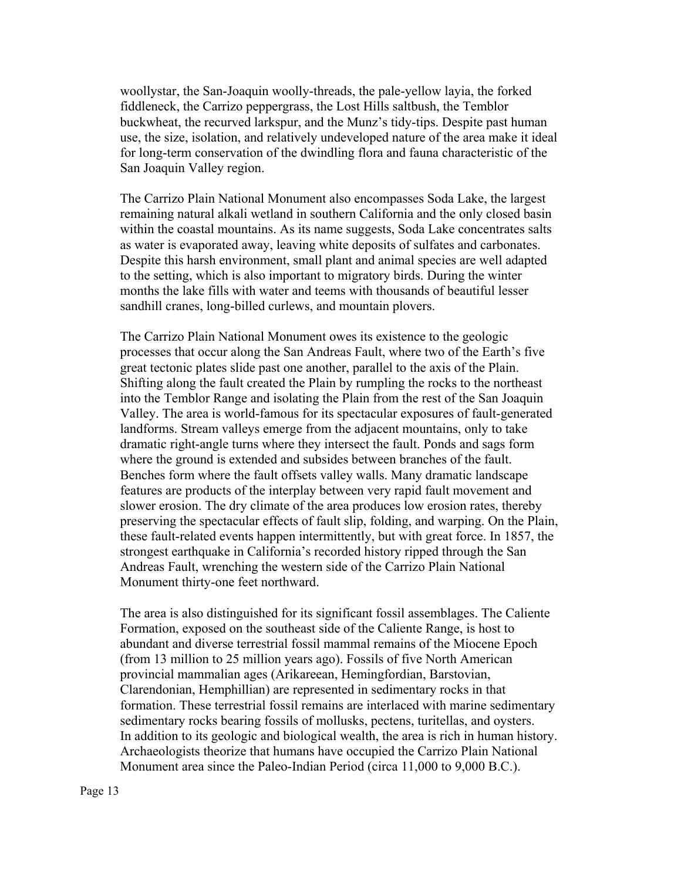woollystar, the San-Joaquin woolly-threads, the pale-yellow layia, the forked fiddleneck, the Carrizo peppergrass, the Lost Hills saltbush, the Temblor buckwheat, the recurved larkspur, and the Munz's tidy-tips. Despite past human use, the size, isolation, and relatively undeveloped nature of the area make it ideal for long-term conservation of the dwindling flora and fauna characteristic of the San Joaquin Valley region.

The Carrizo Plain National Monument also encompasses Soda Lake, the largest remaining natural alkali wetland in southern California and the only closed basin within the coastal mountains. As its name suggests, Soda Lake concentrates salts as water is evaporated away, leaving white deposits of sulfates and carbonates. Despite this harsh environment, small plant and animal species are well adapted to the setting, which is also important to migratory birds. During the winter months the lake fills with water and teems with thousands of beautiful lesser sandhill cranes, long-billed curlews, and mountain plovers.

The Carrizo Plain National Monument owes its existence to the geologic processes that occur along the San Andreas Fault, where two of the Earth's five great tectonic plates slide past one another, parallel to the axis of the Plain. Shifting along the fault created the Plain by rumpling the rocks to the northeast into the Temblor Range and isolating the Plain from the rest of the San Joaquin Valley. The area is world-famous for its spectacular exposures of fault-generated landforms. Stream valleys emerge from the adjacent mountains, only to take dramatic right-angle turns where they intersect the fault. Ponds and sags form where the ground is extended and subsides between branches of the fault. Benches form where the fault offsets valley walls. Many dramatic landscape features are products of the interplay between very rapid fault movement and slower erosion. The dry climate of the area produces low erosion rates, thereby preserving the spectacular effects of fault slip, folding, and warping. On the Plain, these fault-related events happen intermittently, but with great force. In 1857, the strongest earthquake in California's recorded history ripped through the San Andreas Fault, wrenching the western side of the Carrizo Plain National Monument thirty-one feet northward.

The area is also distinguished for its significant fossil assemblages. The Caliente Formation, exposed on the southeast side of the Caliente Range, is host to abundant and diverse terrestrial fossil mammal remains of the Miocene Epoch (from 13 million to 25 million years ago). Fossils of five North American provincial mammalian ages (Arikareean, Hemingfordian, Barstovian, Clarendonian, Hemphillian) are represented in sedimentary rocks in that formation. These terrestrial fossil remains are interlaced with marine sedimentary sedimentary rocks bearing fossils of mollusks, pectens, turitellas, and oysters. In addition to its geologic and biological wealth, the area is rich in human history. Archaeologists theorize that humans have occupied the Carrizo Plain National Monument area since the Paleo-Indian Period (circa 11,000 to 9,000 B.C.).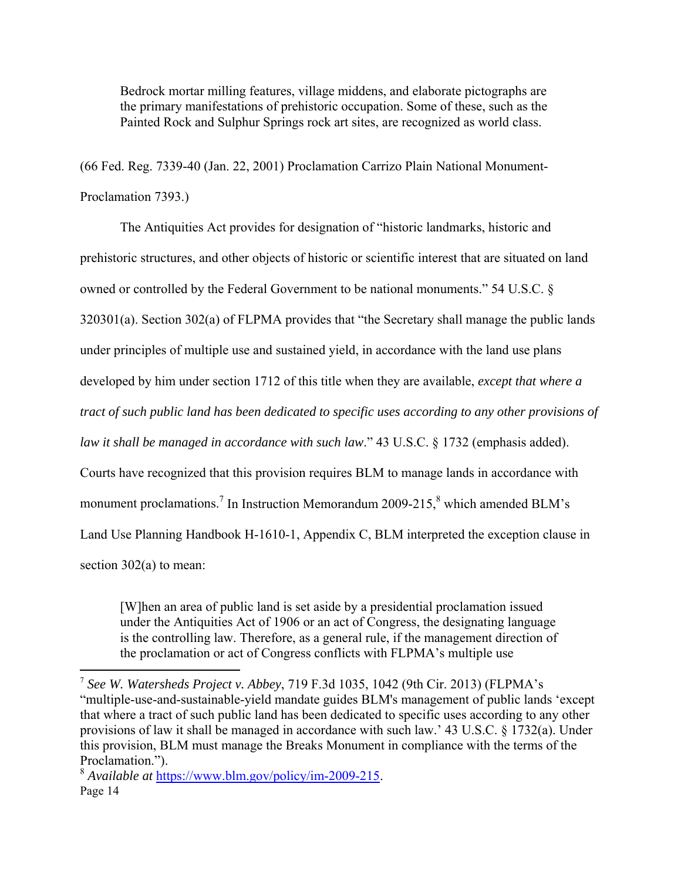Bedrock mortar milling features, village middens, and elaborate pictographs are the primary manifestations of prehistoric occupation. Some of these, such as the Painted Rock and Sulphur Springs rock art sites, are recognized as world class.

(66 Fed. Reg. 7339-40 (Jan. 22, 2001) Proclamation Carrizo Plain National Monument-Proclamation 7393.)

The Antiquities Act provides for designation of "historic landmarks, historic and prehistoric structures, and other objects of historic or scientific interest that are situated on land owned or controlled by the Federal Government to be national monuments." 54 U.S.C. § 320301(a). Section 302(a) of FLPMA provides that "the Secretary shall manage the public lands under principles of multiple use and sustained yield, in accordance with the land use plans developed by him under section 1712 of this title when they are available, *except that where a tract of such public land has been dedicated to specific uses according to any other provisions of law it shall be managed in accordance with such law*." 43 U.S.C. § 1732 (emphasis added). Courts have recognized that this provision requires BLM to manage lands in accordance with monument proclamations.<sup>7</sup> In Instruction Memorandum 2009-215, $\frac{8}{3}$  which amended BLM's Land Use Planning Handbook H-1610-1, Appendix C, BLM interpreted the exception clause in section 302(a) to mean:

[W]hen an area of public land is set aside by a presidential proclamation issued under the Antiquities Act of 1906 or an act of Congress, the designating language is the controlling law. Therefore, as a general rule, if the management direction of the proclamation or act of Congress conflicts with FLPMA's multiple use

<sup>7</sup> *See W. Watersheds Project v. Abbey*, 719 F.3d 1035, 1042 (9th Cir. 2013) (FLPMA's "multiple-use-and-sustainable-yield mandate guides BLM's management of public lands 'except that where a tract of such public land has been dedicated to specific uses according to any other provisions of law it shall be managed in accordance with such law.' 43 U.S.C. § 1732(a). Under this provision, BLM must manage the Breaks Monument in compliance with the terms of the Proclamation.").

Page 14 <sup>8</sup> *Available at* https://www.blm.gov/policy/im-2009-215.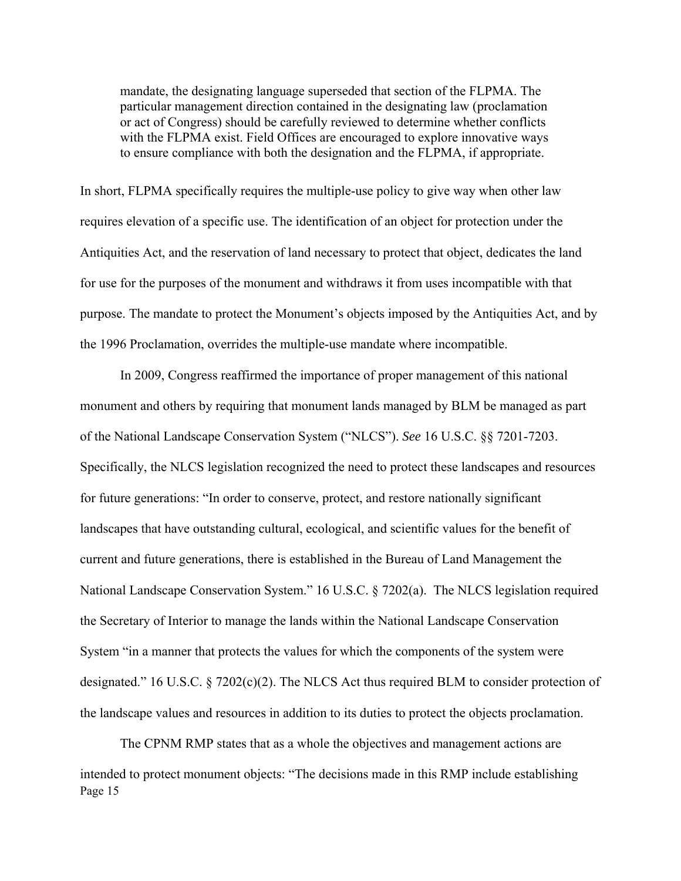mandate, the designating language superseded that section of the FLPMA. The particular management direction contained in the designating law (proclamation or act of Congress) should be carefully reviewed to determine whether conflicts with the FLPMA exist. Field Offices are encouraged to explore innovative ways to ensure compliance with both the designation and the FLPMA, if appropriate.

In short, FLPMA specifically requires the multiple-use policy to give way when other law requires elevation of a specific use. The identification of an object for protection under the Antiquities Act, and the reservation of land necessary to protect that object, dedicates the land for use for the purposes of the monument and withdraws it from uses incompatible with that purpose. The mandate to protect the Monument's objects imposed by the Antiquities Act, and by the 1996 Proclamation, overrides the multiple-use mandate where incompatible.

In 2009, Congress reaffirmed the importance of proper management of this national monument and others by requiring that monument lands managed by BLM be managed as part of the National Landscape Conservation System ("NLCS"). *See* 16 U.S.C. §§ 7201-7203. Specifically, the NLCS legislation recognized the need to protect these landscapes and resources for future generations: "In order to conserve, protect, and restore nationally significant landscapes that have outstanding cultural, ecological, and scientific values for the benefit of current and future generations, there is established in the Bureau of Land Management the National Landscape Conservation System." 16 U.S.C. § 7202(a). The NLCS legislation required the Secretary of Interior to manage the lands within the National Landscape Conservation System "in a manner that protects the values for which the components of the system were designated." 16 U.S.C. § 7202(c)(2). The NLCS Act thus required BLM to consider protection of the landscape values and resources in addition to its duties to protect the objects proclamation.

Page 15 The CPNM RMP states that as a whole the objectives and management actions are intended to protect monument objects: "The decisions made in this RMP include establishing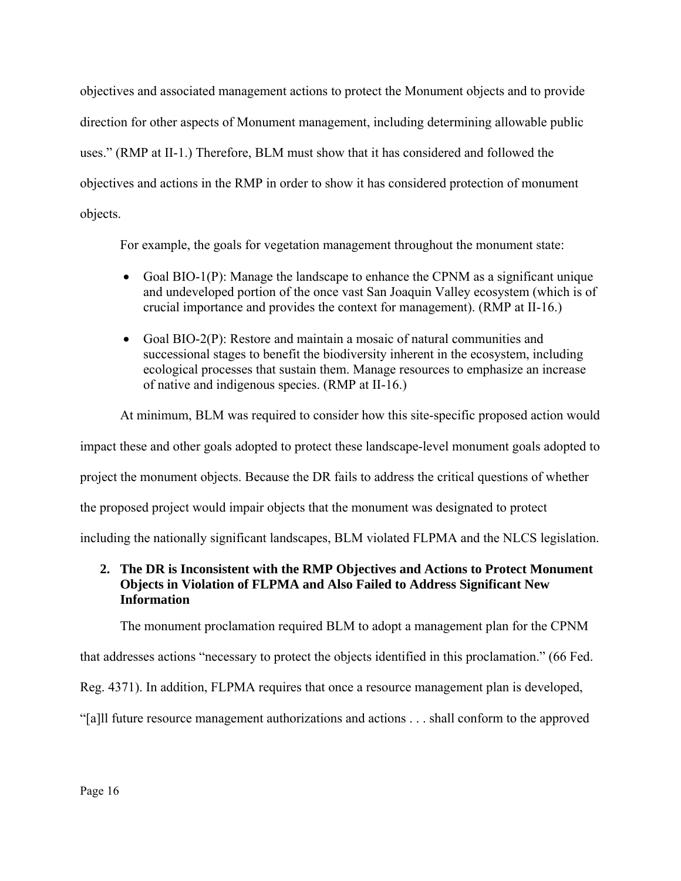objectives and associated management actions to protect the Monument objects and to provide direction for other aspects of Monument management, including determining allowable public uses." (RMP at II-1.) Therefore, BLM must show that it has considered and followed the objectives and actions in the RMP in order to show it has considered protection of monument objects.

For example, the goals for vegetation management throughout the monument state:

- Goal BIO-1(P): Manage the landscape to enhance the CPNM as a significant unique and undeveloped portion of the once vast San Joaquin Valley ecosystem (which is of crucial importance and provides the context for management). (RMP at II-16.)
- Goal BIO-2(P): Restore and maintain a mosaic of natural communities and successional stages to benefit the biodiversity inherent in the ecosystem, including ecological processes that sustain them. Manage resources to emphasize an increase of native and indigenous species. (RMP at II-16.)

At minimum, BLM was required to consider how this site-specific proposed action would

impact these and other goals adopted to protect these landscape-level monument goals adopted to

project the monument objects. Because the DR fails to address the critical questions of whether

the proposed project would impair objects that the monument was designated to protect

including the nationally significant landscapes, BLM violated FLPMA and the NLCS legislation.

# **2. The DR is Inconsistent with the RMP Objectives and Actions to Protect Monument Objects in Violation of FLPMA and Also Failed to Address Significant New Information**

The monument proclamation required BLM to adopt a management plan for the CPNM

that addresses actions "necessary to protect the objects identified in this proclamation." (66 Fed.

Reg. 4371). In addition, FLPMA requires that once a resource management plan is developed,

"[a]ll future resource management authorizations and actions . . . shall conform to the approved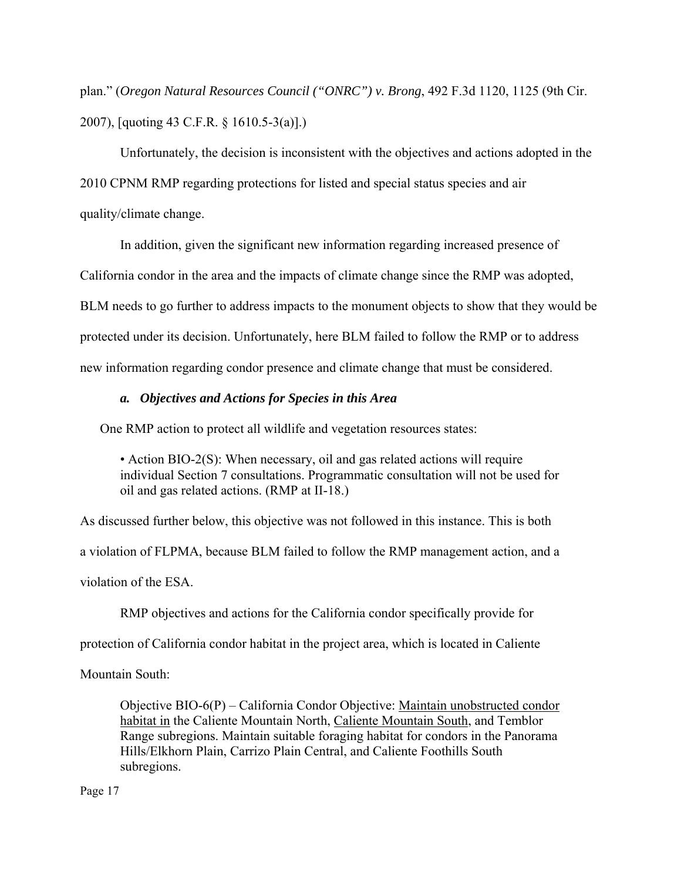plan." (*Oregon Natural Resources Council ("ONRC") v. Brong*, 492 F.3d 1120, 1125 (9th Cir. 2007), [quoting 43 C.F.R. § 1610.5-3(a)].)

Unfortunately, the decision is inconsistent with the objectives and actions adopted in the 2010 CPNM RMP regarding protections for listed and special status species and air quality/climate change.

In addition, given the significant new information regarding increased presence of

California condor in the area and the impacts of climate change since the RMP was adopted,

BLM needs to go further to address impacts to the monument objects to show that they would be

protected under its decision. Unfortunately, here BLM failed to follow the RMP or to address

new information regarding condor presence and climate change that must be considered.

# *a. Objectives and Actions for Species in this Area*

One RMP action to protect all wildlife and vegetation resources states:

• Action BIO-2(S): When necessary, oil and gas related actions will require individual Section 7 consultations. Programmatic consultation will not be used for oil and gas related actions. (RMP at II-18.)

As discussed further below, this objective was not followed in this instance. This is both a violation of FLPMA, because BLM failed to follow the RMP management action, and a violation of the ESA.

RMP objectives and actions for the California condor specifically provide for

protection of California condor habitat in the project area, which is located in Caliente

Mountain South:

Objective BIO-6(P) – California Condor Objective: Maintain unobstructed condor habitat in the Caliente Mountain North, Caliente Mountain South, and Temblor Range subregions. Maintain suitable foraging habitat for condors in the Panorama Hills/Elkhorn Plain, Carrizo Plain Central, and Caliente Foothills South subregions.

Page 17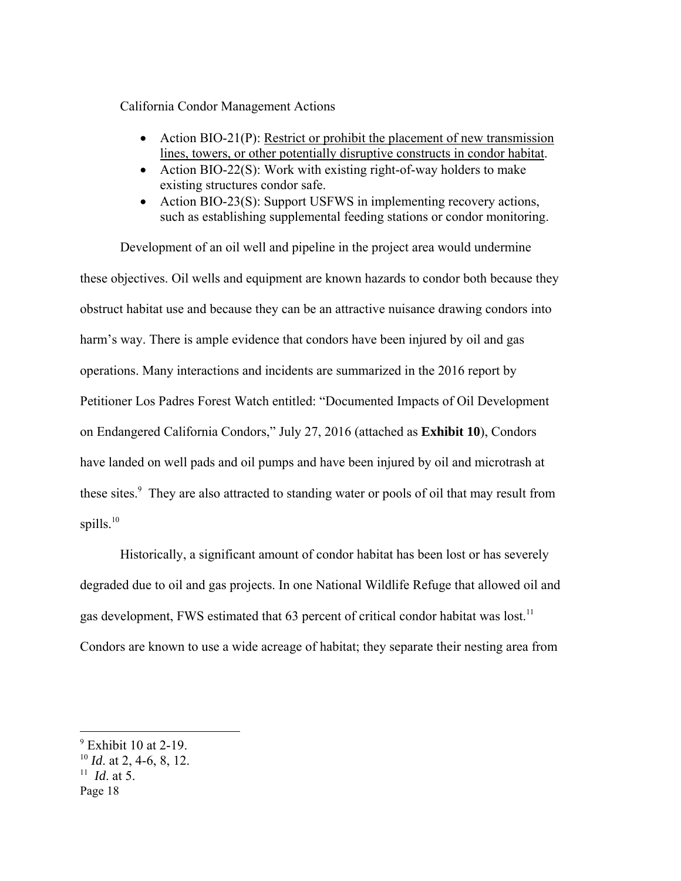California Condor Management Actions

- Action BIO-21(P): Restrict or prohibit the placement of new transmission lines, towers, or other potentially disruptive constructs in condor habitat.
- Action BIO-22 $(S)$ : Work with existing right-of-way holders to make existing structures condor safe.
- Action BIO-23(S): Support USFWS in implementing recovery actions, such as establishing supplemental feeding stations or condor monitoring.

Development of an oil well and pipeline in the project area would undermine these objectives. Oil wells and equipment are known hazards to condor both because they obstruct habitat use and because they can be an attractive nuisance drawing condors into harm's way. There is ample evidence that condors have been injured by oil and gas operations. Many interactions and incidents are summarized in the 2016 report by Petitioner Los Padres Forest Watch entitled: "Documented Impacts of Oil Development on Endangered California Condors," July 27, 2016 (attached as **Exhibit 10**), Condors have landed on well pads and oil pumps and have been injured by oil and microtrash at these sites.<sup>9</sup> They are also attracted to standing water or pools of oil that may result from spills. $10$ 

Historically, a significant amount of condor habitat has been lost or has severely degraded due to oil and gas projects. In one National Wildlife Refuge that allowed oil and gas development, FWS estimated that 63 percent of critical condor habitat was lost.<sup>11</sup> Condors are known to use a wide acreage of habitat; they separate their nesting area from

<sup>&</sup>lt;sup>9</sup> Exhibit 10 at 2-19.

<sup>10</sup> *Id*. at 2, 4-6, 8, 12.

<sup>11</sup> *Id*. at 5.

Page 18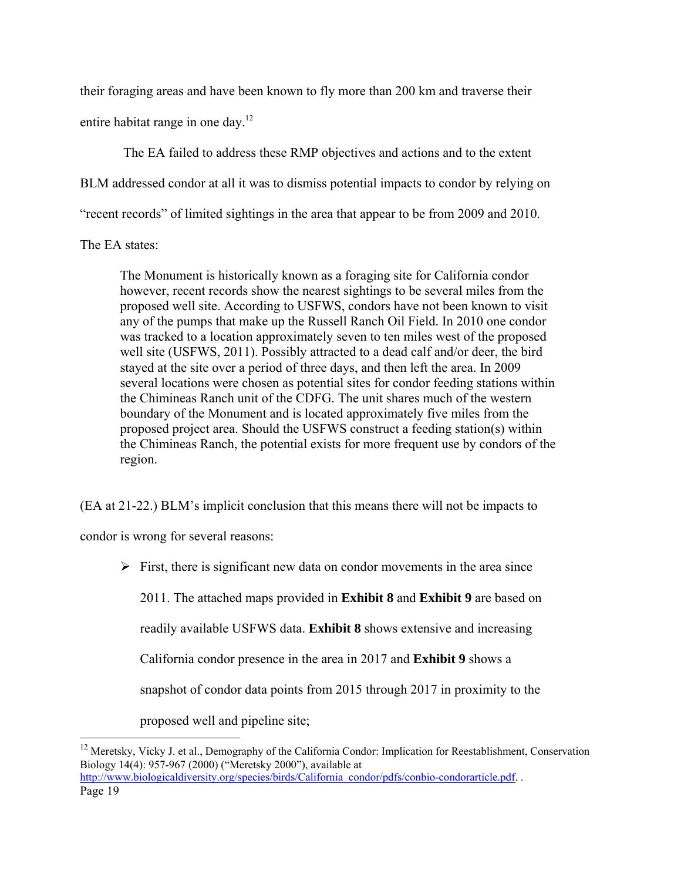their foraging areas and have been known to fly more than 200 km and traverse their entire habitat range in one day.<sup>12</sup>

 The EA failed to address these RMP objectives and actions and to the extent BLM addressed condor at all it was to dismiss potential impacts to condor by relying on "recent records" of limited sightings in the area that appear to be from 2009 and 2010.

The EA states:

The Monument is historically known as a foraging site for California condor however, recent records show the nearest sightings to be several miles from the proposed well site. According to USFWS, condors have not been known to visit any of the pumps that make up the Russell Ranch Oil Field. In 2010 one condor was tracked to a location approximately seven to ten miles west of the proposed well site (USFWS, 2011). Possibly attracted to a dead calf and/or deer, the bird stayed at the site over a period of three days, and then left the area. In 2009 several locations were chosen as potential sites for condor feeding stations within the Chimineas Ranch unit of the CDFG. The unit shares much of the western boundary of the Monument and is located approximately five miles from the proposed project area. Should the USFWS construct a feeding station(s) within the Chimineas Ranch, the potential exists for more frequent use by condors of the region.

(EA at 21-22.) BLM's implicit conclusion that this means there will not be impacts to

condor is wrong for several reasons:

 $\triangleright$  First, there is significant new data on condor movements in the area since

2011. The attached maps provided in **Exhibit 8** and **Exhibit 9** are based on

readily available USFWS data. **Exhibit 8** shows extensive and increasing

California condor presence in the area in 2017 and **Exhibit 9** shows a

snapshot of condor data points from 2015 through 2017 in proximity to the

proposed well and pipeline site;

Page 19 <sup>12</sup> Meretsky, Vicky J. et al., Demography of the California Condor: Implication for Reestablishment, Conservation Biology 14(4): 957-967 (2000) ("Meretsky 2000"), available at http://www.biologicaldiversity.org/species/birds/California\_condor/pdfs/conbio-condorarticle.pdf. .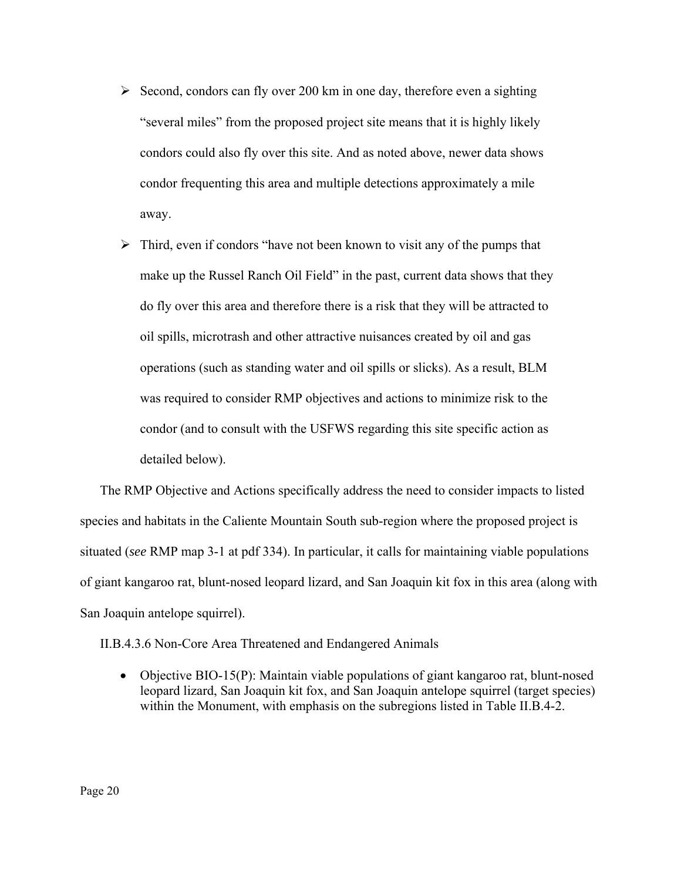- $\triangleright$  Second, condors can fly over 200 km in one day, therefore even a sighting "several miles" from the proposed project site means that it is highly likely condors could also fly over this site. And as noted above, newer data shows condor frequenting this area and multiple detections approximately a mile away.
- $\triangleright$  Third, even if condors "have not been known to visit any of the pumps that make up the Russel Ranch Oil Field" in the past, current data shows that they do fly over this area and therefore there is a risk that they will be attracted to oil spills, microtrash and other attractive nuisances created by oil and gas operations (such as standing water and oil spills or slicks). As a result, BLM was required to consider RMP objectives and actions to minimize risk to the condor (and to consult with the USFWS regarding this site specific action as detailed below).

The RMP Objective and Actions specifically address the need to consider impacts to listed species and habitats in the Caliente Mountain South sub-region where the proposed project is situated (*see* RMP map 3-1 at pdf 334). In particular, it calls for maintaining viable populations of giant kangaroo rat, blunt-nosed leopard lizard, and San Joaquin kit fox in this area (along with San Joaquin antelope squirrel).

II.B.4.3.6 Non-Core Area Threatened and Endangered Animals

 Objective BIO-15(P): Maintain viable populations of giant kangaroo rat, blunt-nosed leopard lizard, San Joaquin kit fox, and San Joaquin antelope squirrel (target species) within the Monument, with emphasis on the subregions listed in Table II.B.4-2.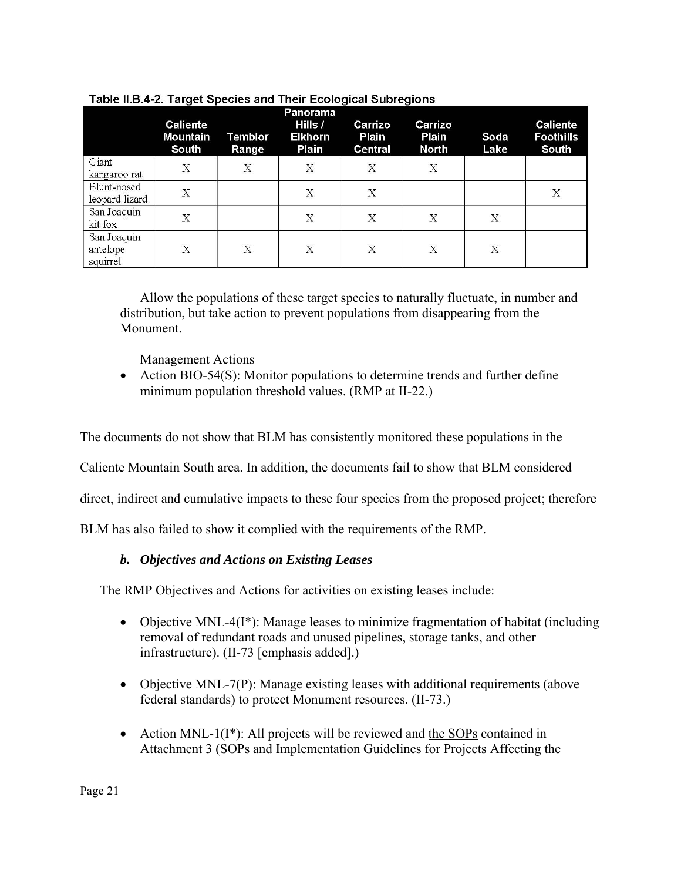|                                     | <b>Caliente</b><br><b>Mountain</b><br>South | Temblor<br>Range | Panorama<br>Hills /<br>Elkhorn<br>Plain | Carrizo<br>Plain<br>Central | Carrizo<br>Plain<br><b>North</b> | Soda<br>Lake | <b>Caliente</b><br><b>Foothills</b><br>South |
|-------------------------------------|---------------------------------------------|------------------|-----------------------------------------|-----------------------------|----------------------------------|--------------|----------------------------------------------|
| Giant<br>kangaroo rat               | X                                           | $\mathbf X$      | X                                       | Χ                           | $\mathbf X$                      |              |                                              |
| Blunt-nosed<br>leopard lizard       | X                                           |                  | X                                       | Χ                           |                                  |              | X                                            |
| San Joaquin<br>kit fox              | Χ                                           |                  | Χ                                       | Χ                           | Χ                                | X            |                                              |
| San Joaquin<br>antelope<br>squirrel | X                                           | X                | X                                       | X                           | X                                | X            |                                              |

## Table II.B.4-2. Target Species and Their Ecological Subregions

Allow the populations of these target species to naturally fluctuate, in number and distribution, but take action to prevent populations from disappearing from the Monument.

Management Actions

 Action BIO-54(S): Monitor populations to determine trends and further define minimum population threshold values. (RMP at II-22.)

The documents do not show that BLM has consistently monitored these populations in the

Caliente Mountain South area. In addition, the documents fail to show that BLM considered

direct, indirect and cumulative impacts to these four species from the proposed project; therefore

BLM has also failed to show it complied with the requirements of the RMP.

# *b. Objectives and Actions on Existing Leases*

The RMP Objectives and Actions for activities on existing leases include:

- Objective MNL-4(I<sup>\*</sup>): Manage leases to minimize fragmentation of habitat (including removal of redundant roads and unused pipelines, storage tanks, and other infrastructure). (II-73 [emphasis added].)
- Objective MNL-7(P): Manage existing leases with additional requirements (above federal standards) to protect Monument resources. (II-73.)
- Action MNL-1 $(I^*)$ : All projects will be reviewed and the SOPs contained in Attachment 3 (SOPs and Implementation Guidelines for Projects Affecting the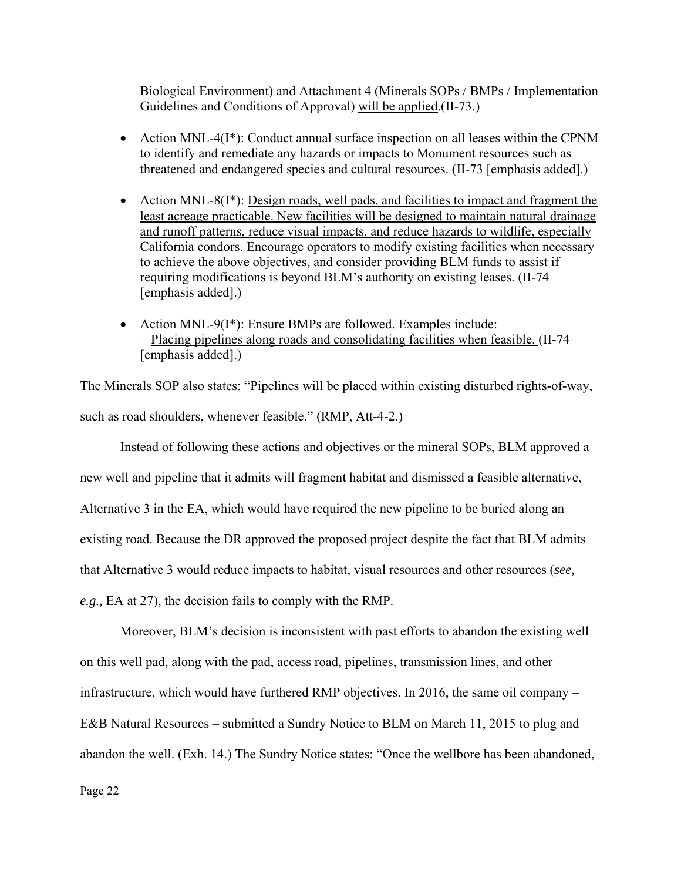Biological Environment) and Attachment 4 (Minerals SOPs / BMPs / Implementation Guidelines and Conditions of Approval) will be applied.(II-73.)

- Action MNL-4 $(I^*)$ : Conduct annual surface inspection on all leases within the CPNM to identify and remediate any hazards or impacts to Monument resources such as threatened and endangered species and cultural resources. (II-73 [emphasis added].)
- Action MNL-8(I<sup>\*</sup>): <u>Design roads, well pads, and facilities to impact and fragment the</u> least acreage practicable. New facilities will be designed to maintain natural drainage and runoff patterns, reduce visual impacts, and reduce hazards to wildlife, especially California condors. Encourage operators to modify existing facilities when necessary to achieve the above objectives, and consider providing BLM funds to assist if requiring modifications is beyond BLM's authority on existing leases. (II-74 [emphasis added].)
- Action MNL-9(I\*): Ensure BMPs are followed. Examples include: − Placing pipelines along roads and consolidating facilities when feasible. (II-74 [emphasis added].)

The Minerals SOP also states: "Pipelines will be placed within existing disturbed rights-of-way, such as road shoulders, whenever feasible." (RMP, Att-4-2.)

Instead of following these actions and objectives or the mineral SOPs, BLM approved a new well and pipeline that it admits will fragment habitat and dismissed a feasible alternative, Alternative 3 in the EA, which would have required the new pipeline to be buried along an existing road. Because the DR approved the proposed project despite the fact that BLM admits that Alternative 3 would reduce impacts to habitat, visual resources and other resources (*see, e.g.,* EA at 27), the decision fails to comply with the RMP.

Moreover, BLM's decision is inconsistent with past efforts to abandon the existing well on this well pad, along with the pad, access road, pipelines, transmission lines, and other infrastructure, which would have furthered RMP objectives. In 2016, the same oil company – E&B Natural Resources – submitted a Sundry Notice to BLM on March 11, 2015 to plug and abandon the well. (Exh. 14.) The Sundry Notice states: "Once the wellbore has been abandoned,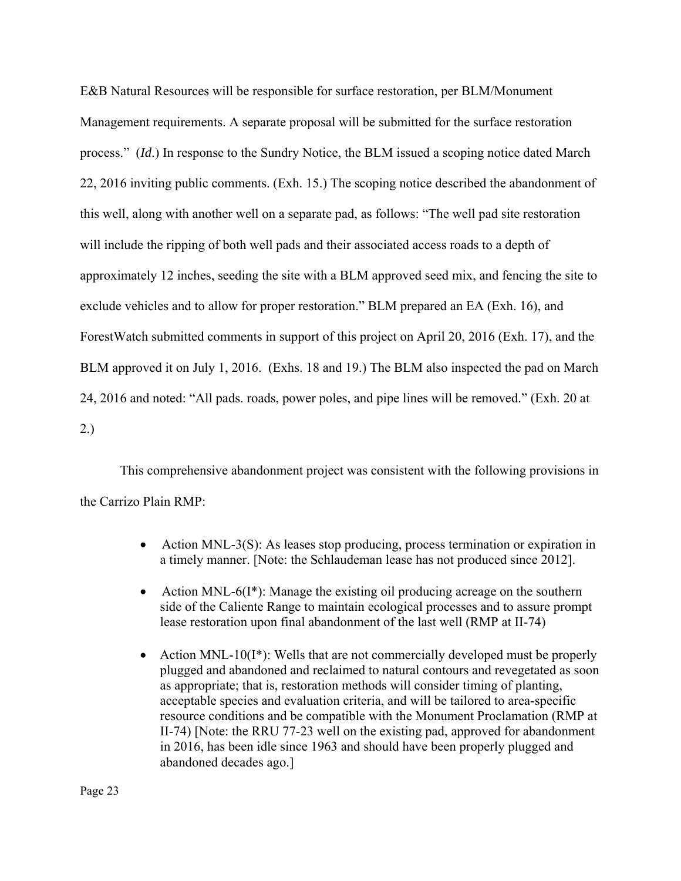E&B Natural Resources will be responsible for surface restoration, per BLM/Monument Management requirements. A separate proposal will be submitted for the surface restoration process." (*Id*.) In response to the Sundry Notice, the BLM issued a scoping notice dated March 22, 2016 inviting public comments. (Exh. 15.) The scoping notice described the abandonment of this well, along with another well on a separate pad, as follows: "The well pad site restoration will include the ripping of both well pads and their associated access roads to a depth of approximately 12 inches, seeding the site with a BLM approved seed mix, and fencing the site to exclude vehicles and to allow for proper restoration." BLM prepared an EA (Exh. 16), and ForestWatch submitted comments in support of this project on April 20, 2016 (Exh. 17), and the BLM approved it on July 1, 2016. (Exhs. 18 and 19.) The BLM also inspected the pad on March 24, 2016 and noted: "All pads. roads, power poles, and pipe lines will be removed." (Exh. 20 at 2.)

This comprehensive abandonment project was consistent with the following provisions in the Carrizo Plain RMP:

- Action MNL-3(S): As leases stop producing, process termination or expiration in a timely manner. [Note: the Schlaudeman lease has not produced since 2012].
- Action MNL-6( $I^*$ ): Manage the existing oil producing acreage on the southern side of the Caliente Range to maintain ecological processes and to assure prompt lease restoration upon final abandonment of the last well (RMP at II-74)
- Action MNL-10( $I^*$ ): Wells that are not commercially developed must be properly plugged and abandoned and reclaimed to natural contours and revegetated as soon as appropriate; that is, restoration methods will consider timing of planting, acceptable species and evaluation criteria, and will be tailored to area-specific resource conditions and be compatible with the Monument Proclamation (RMP at II-74) [Note: the RRU 77-23 well on the existing pad, approved for abandonment in 2016, has been idle since 1963 and should have been properly plugged and abandoned decades ago.]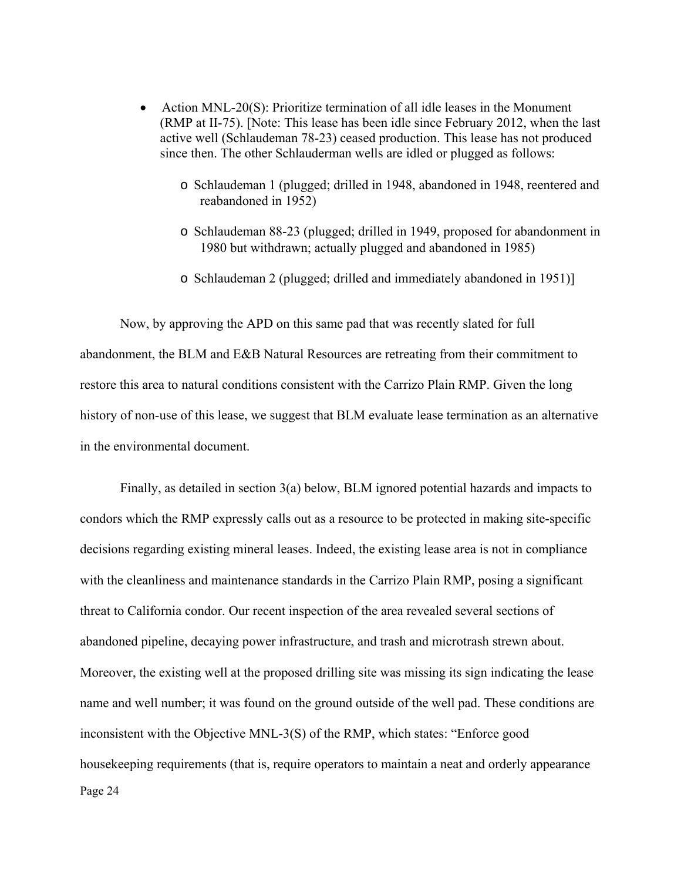- Action MNL-20(S): Prioritize termination of all idle leases in the Monument (RMP at II-75). [Note: This lease has been idle since February 2012, when the last active well (Schlaudeman 78-23) ceased production. This lease has not produced since then. The other Schlauderman wells are idled or plugged as follows:
	- o Schlaudeman 1 (plugged; drilled in 1948, abandoned in 1948, reentered and reabandoned in 1952)
	- o Schlaudeman 88-23 (plugged; drilled in 1949, proposed for abandonment in 1980 but withdrawn; actually plugged and abandoned in 1985)
	- o Schlaudeman 2 (plugged; drilled and immediately abandoned in 1951)]

Now, by approving the APD on this same pad that was recently slated for full abandonment, the BLM and E&B Natural Resources are retreating from their commitment to restore this area to natural conditions consistent with the Carrizo Plain RMP. Given the long history of non-use of this lease, we suggest that BLM evaluate lease termination as an alternative in the environmental document.

Page 24 Finally, as detailed in section 3(a) below, BLM ignored potential hazards and impacts to condors which the RMP expressly calls out as a resource to be protected in making site-specific decisions regarding existing mineral leases. Indeed, the existing lease area is not in compliance with the cleanliness and maintenance standards in the Carrizo Plain RMP, posing a significant threat to California condor. Our recent inspection of the area revealed several sections of abandoned pipeline, decaying power infrastructure, and trash and microtrash strewn about. Moreover, the existing well at the proposed drilling site was missing its sign indicating the lease name and well number; it was found on the ground outside of the well pad. These conditions are inconsistent with the Objective MNL-3(S) of the RMP, which states: "Enforce good housekeeping requirements (that is, require operators to maintain a neat and orderly appearance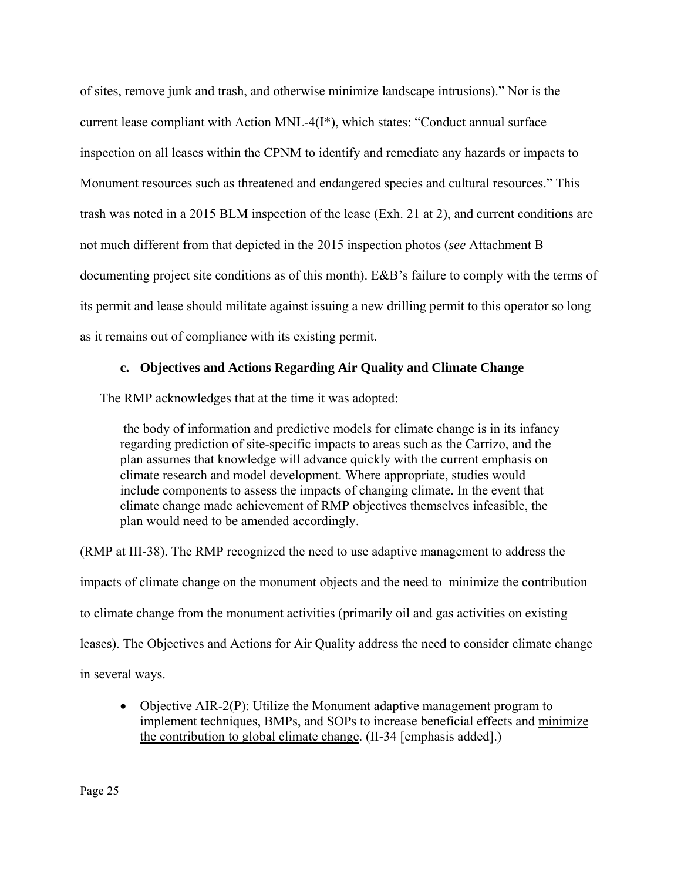of sites, remove junk and trash, and otherwise minimize landscape intrusions)." Nor is the current lease compliant with Action MNL-4(I\*), which states: "Conduct annual surface inspection on all leases within the CPNM to identify and remediate any hazards or impacts to Monument resources such as threatened and endangered species and cultural resources." This trash was noted in a 2015 BLM inspection of the lease (Exh. 21 at 2), and current conditions are not much different from that depicted in the 2015 inspection photos (*see* Attachment B documenting project site conditions as of this month). E&B's failure to comply with the terms of its permit and lease should militate against issuing a new drilling permit to this operator so long as it remains out of compliance with its existing permit.

## **c. Objectives and Actions Regarding Air Quality and Climate Change**

The RMP acknowledges that at the time it was adopted:

 the body of information and predictive models for climate change is in its infancy regarding prediction of site-specific impacts to areas such as the Carrizo, and the plan assumes that knowledge will advance quickly with the current emphasis on climate research and model development. Where appropriate, studies would include components to assess the impacts of changing climate. In the event that climate change made achievement of RMP objectives themselves infeasible, the plan would need to be amended accordingly.

(RMP at III-38). The RMP recognized the need to use adaptive management to address the impacts of climate change on the monument objects and the need to minimize the contribution to climate change from the monument activities (primarily oil and gas activities on existing leases). The Objectives and Actions for Air Quality address the need to consider climate change in several ways.

• Objective AIR-2(P): Utilize the Monument adaptive management program to implement techniques, BMPs, and SOPs to increase beneficial effects and minimize the contribution to global climate change. (II-34 [emphasis added].)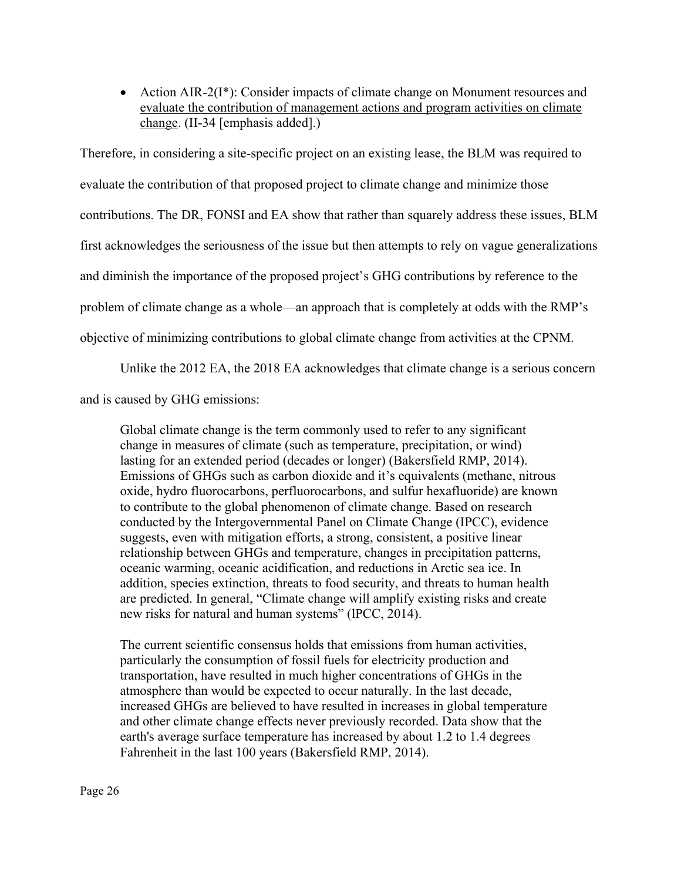• Action AIR-2(I<sup>\*</sup>): Consider impacts of climate change on Monument resources and evaluate the contribution of management actions and program activities on climate change. (II-34 [emphasis added].)

Therefore, in considering a site-specific project on an existing lease, the BLM was required to evaluate the contribution of that proposed project to climate change and minimize those contributions. The DR, FONSI and EA show that rather than squarely address these issues, BLM first acknowledges the seriousness of the issue but then attempts to rely on vague generalizations and diminish the importance of the proposed project's GHG contributions by reference to the problem of climate change as a whole—an approach that is completely at odds with the RMP's objective of minimizing contributions to global climate change from activities at the CPNM.

Unlike the 2012 EA, the 2018 EA acknowledges that climate change is a serious concern

and is caused by GHG emissions:

Global climate change is the term commonly used to refer to any significant change in measures of climate (such as temperature, precipitation, or wind) lasting for an extended period (decades or longer) (Bakersfield RMP, 2014). Emissions of GHGs such as carbon dioxide and it's equivalents (methane, nitrous oxide, hydro fluorocarbons, perfluorocarbons, and sulfur hexafluoride) are known to contribute to the global phenomenon of climate change. Based on research conducted by the Intergovernmental Panel on Climate Change (IPCC), evidence suggests, even with mitigation efforts, a strong, consistent, a positive linear relationship between GHGs and temperature, changes in precipitation patterns, oceanic warming, oceanic acidification, and reductions in Arctic sea ice. In addition, species extinction, threats to food security, and threats to human health are predicted. In general, "Climate change will amplify existing risks and create new risks for natural and human systems" (lPCC, 2014).

The current scientific consensus holds that emissions from human activities, particularly the consumption of fossil fuels for electricity production and transportation, have resulted in much higher concentrations of GHGs in the atmosphere than would be expected to occur naturally. In the last decade, increased GHGs are believed to have resulted in increases in global temperature and other climate change effects never previously recorded. Data show that the earth's average surface temperature has increased by about 1.2 to 1.4 degrees Fahrenheit in the last 100 years (Bakersfield RMP, 2014).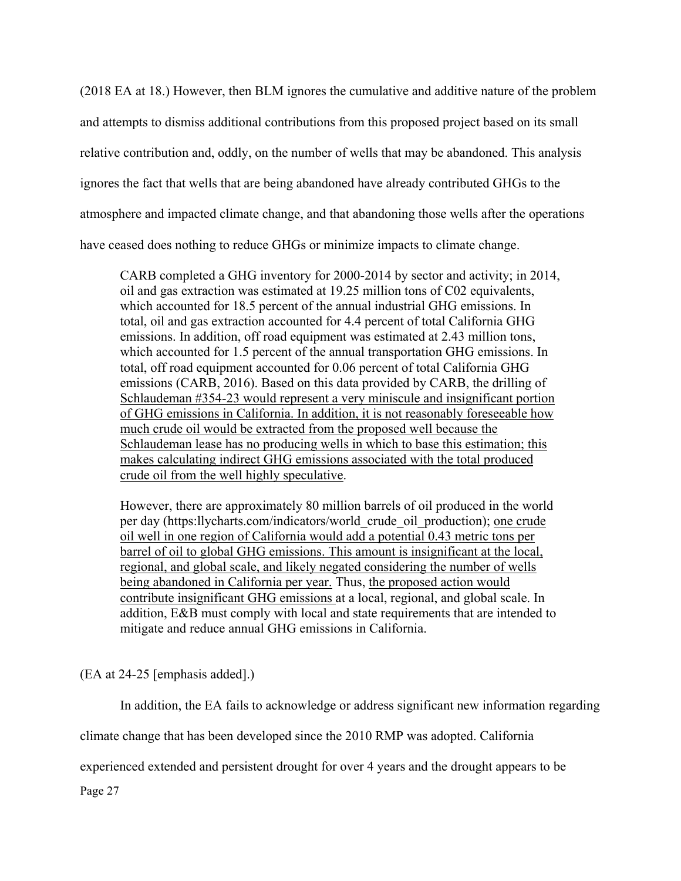(2018 EA at 18.) However, then BLM ignores the cumulative and additive nature of the problem and attempts to dismiss additional contributions from this proposed project based on its small relative contribution and, oddly, on the number of wells that may be abandoned. This analysis ignores the fact that wells that are being abandoned have already contributed GHGs to the atmosphere and impacted climate change, and that abandoning those wells after the operations have ceased does nothing to reduce GHGs or minimize impacts to climate change.

CARB completed a GHG inventory for 2000-2014 by sector and activity; in 2014, oil and gas extraction was estimated at 19.25 million tons of C02 equivalents, which accounted for 18.5 percent of the annual industrial GHG emissions. In total, oil and gas extraction accounted for 4.4 percent of total California GHG emissions. In addition, off road equipment was estimated at 2.43 million tons, which accounted for 1.5 percent of the annual transportation GHG emissions. In total, off road equipment accounted for 0.06 percent of total California GHG emissions (CARB, 2016). Based on this data provided by CARB, the drilling of Schlaudeman #354-23 would represent a very miniscule and insignificant portion of GHG emissions in California. In addition, it is not reasonably foreseeable how much crude oil would be extracted from the proposed well because the Schlaudeman lease has no producing wells in which to base this estimation; this makes calculating indirect GHG emissions associated with the total produced crude oil from the well highly speculative.

However, there are approximately 80 million barrels of oil produced in the world per day (https:llycharts.com/indicators/world\_crude\_oil\_production); one crude oil well in one region of California would add a potential 0.43 metric tons per barrel of oil to global GHG emissions. This amount is insignificant at the local, regional, and global scale, and likely negated considering the number of wells being abandoned in California per year. Thus, the proposed action would contribute insignificant GHG emissions at a local, regional, and global scale. In addition, E&B must comply with local and state requirements that are intended to mitigate and reduce annual GHG emissions in California.

(EA at 24-25 [emphasis added].)

In addition, the EA fails to acknowledge or address significant new information regarding

climate change that has been developed since the 2010 RMP was adopted. California

experienced extended and persistent drought for over 4 years and the drought appears to be

Page 27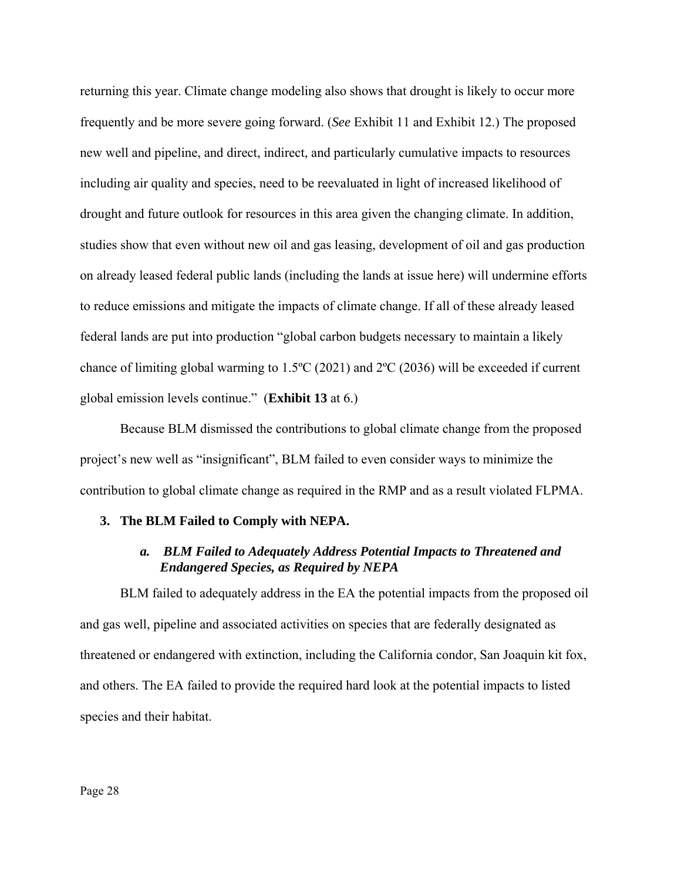returning this year. Climate change modeling also shows that drought is likely to occur more frequently and be more severe going forward. (*See* Exhibit 11 and Exhibit 12.) The proposed new well and pipeline, and direct, indirect, and particularly cumulative impacts to resources including air quality and species, need to be reevaluated in light of increased likelihood of drought and future outlook for resources in this area given the changing climate. In addition, studies show that even without new oil and gas leasing, development of oil and gas production on already leased federal public lands (including the lands at issue here) will undermine efforts to reduce emissions and mitigate the impacts of climate change. If all of these already leased federal lands are put into production "global carbon budgets necessary to maintain a likely chance of limiting global warming to 1.5ºC (2021) and 2ºC (2036) will be exceeded if current global emission levels continue." (**Exhibit 13** at 6.)

Because BLM dismissed the contributions to global climate change from the proposed project's new well as "insignificant", BLM failed to even consider ways to minimize the contribution to global climate change as required in the RMP and as a result violated FLPMA.

## **3. The BLM Failed to Comply with NEPA.**

## *a. BLM Failed to Adequately Address Potential Impacts to Threatened and Endangered Species, as Required by NEPA*

BLM failed to adequately address in the EA the potential impacts from the proposed oil and gas well, pipeline and associated activities on species that are federally designated as threatened or endangered with extinction, including the California condor, San Joaquin kit fox, and others. The EA failed to provide the required hard look at the potential impacts to listed species and their habitat.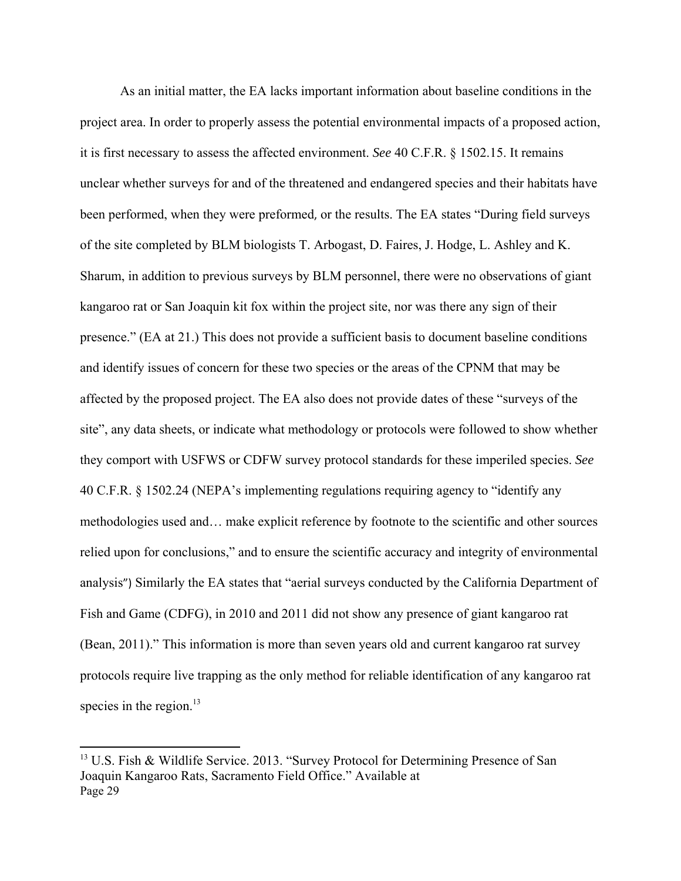As an initial matter, the EA lacks important information about baseline conditions in the project area. In order to properly assess the potential environmental impacts of a proposed action, it is first necessary to assess the affected environment. *See* 40 C.F.R. § 1502.15. It remains unclear whether surveys for and of the threatened and endangered species and their habitats have been performed, when they were preformed, or the results. The EA states "During field surveys of the site completed by BLM biologists T. Arbogast, D. Faires, J. Hodge, L. Ashley and K. Sharum, in addition to previous surveys by BLM personnel, there were no observations of giant kangaroo rat or San Joaquin kit fox within the project site, nor was there any sign of their presence." (EA at 21.) This does not provide a sufficient basis to document baseline conditions and identify issues of concern for these two species or the areas of the CPNM that may be affected by the proposed project. The EA also does not provide dates of these "surveys of the site", any data sheets, or indicate what methodology or protocols were followed to show whether they comport with USFWS or CDFW survey protocol standards for these imperiled species. *See* 40 C.F.R. § 1502.24 (NEPA's implementing regulations requiring agency to "identify any methodologies used and… make explicit reference by footnote to the scientific and other sources relied upon for conclusions," and to ensure the scientific accuracy and integrity of environmental analysis") Similarly the EA states that "aerial surveys conducted by the California Department of Fish and Game (CDFG), in 2010 and 2011 did not show any presence of giant kangaroo rat (Bean, 2011)." This information is more than seven years old and current kangaroo rat survey protocols require live trapping as the only method for reliable identification of any kangaroo rat species in the region. $13$ 

Page 29 <sup>13</sup> U.S. Fish & Wildlife Service. 2013. "Survey Protocol for Determining Presence of San Joaquin Kangaroo Rats, Sacramento Field Office." Available at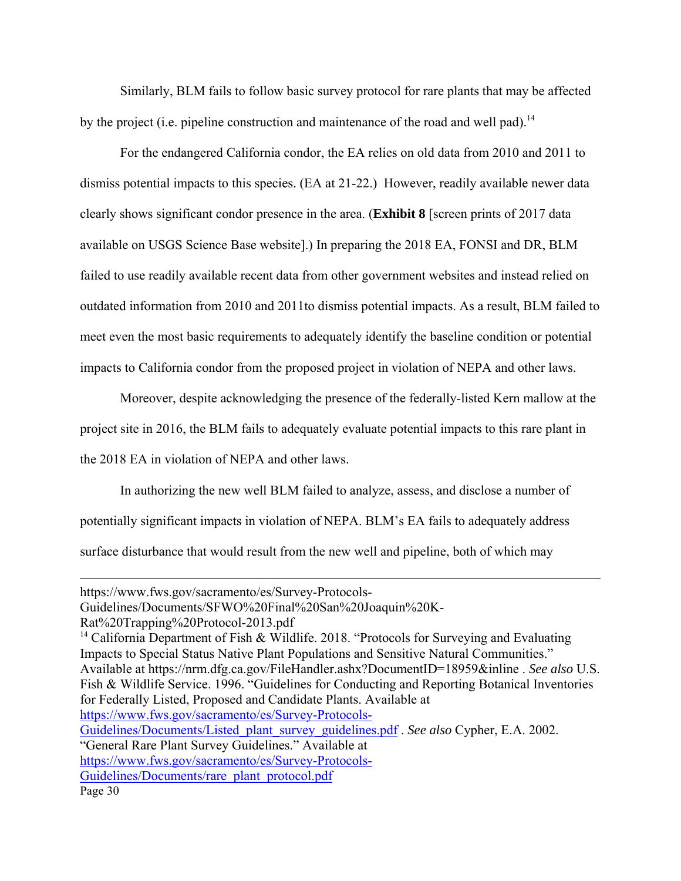Similarly, BLM fails to follow basic survey protocol for rare plants that may be affected by the project (i.e. pipeline construction and maintenance of the road and well pad).<sup>14</sup>

For the endangered California condor, the EA relies on old data from 2010 and 2011 to dismiss potential impacts to this species. (EA at 21-22.) However, readily available newer data clearly shows significant condor presence in the area. (**Exhibit 8** [screen prints of 2017 data available on USGS Science Base website].) In preparing the 2018 EA, FONSI and DR, BLM failed to use readily available recent data from other government websites and instead relied on outdated information from 2010 and 2011to dismiss potential impacts. As a result, BLM failed to meet even the most basic requirements to adequately identify the baseline condition or potential impacts to California condor from the proposed project in violation of NEPA and other laws.

Moreover, despite acknowledging the presence of the federally-listed Kern mallow at the project site in 2016, the BLM fails to adequately evaluate potential impacts to this rare plant in the 2018 EA in violation of NEPA and other laws.

In authorizing the new well BLM failed to analyze, assess, and disclose a number of potentially significant impacts in violation of NEPA. BLM's EA fails to adequately address surface disturbance that would result from the new well and pipeline, both of which may

<sup>14</sup> California Department of Fish & Wildlife. 2018. "Protocols for Surveying and Evaluating Impacts to Special Status Native Plant Populations and Sensitive Natural Communities." Available at https://nrm.dfg.ca.gov/FileHandler.ashx?DocumentID=18959&inline . *See also* U.S. Fish & Wildlife Service. 1996. "Guidelines for Conducting and Reporting Botanical Inventories for Federally Listed, Proposed and Candidate Plants. Available at https://www.fws.gov/sacramento/es/Survey-Protocols-Guidelines/Documents/Listed\_plant\_survey\_guidelines.pdf . *See also* Cypher, E.A. 2002.

<u> 1989 - Johann Stein, marwolaethau a gweledydd a ganlad y ganlad y ganlad y ganlad y ganlad y ganlad y ganlad</u>

"General Rare Plant Survey Guidelines." Available at

Guidelines/Documents/rare\_plant\_protocol.pdf

https://www.fws.gov/sacramento/es/Survey-Protocols-

Guidelines/Documents/SFWO%20Final%20San%20Joaquin%20K-

Rat%20Trapping%20Protocol-2013.pdf

https://www.fws.gov/sacramento/es/Survey-Protocols-

Page 30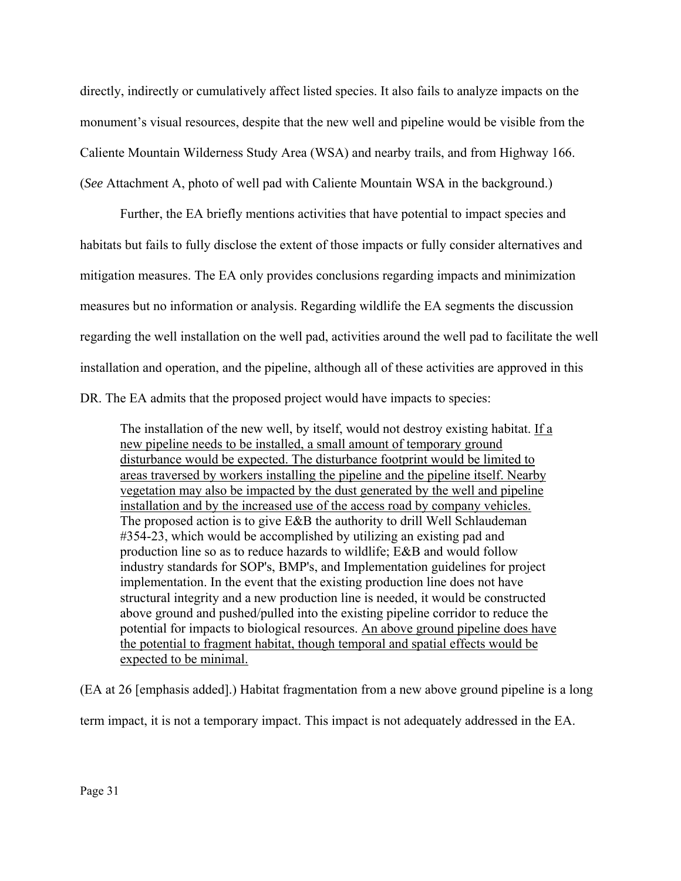directly, indirectly or cumulatively affect listed species. It also fails to analyze impacts on the monument's visual resources, despite that the new well and pipeline would be visible from the Caliente Mountain Wilderness Study Area (WSA) and nearby trails, and from Highway 166. (*See* Attachment A, photo of well pad with Caliente Mountain WSA in the background.)

Further, the EA briefly mentions activities that have potential to impact species and habitats but fails to fully disclose the extent of those impacts or fully consider alternatives and mitigation measures. The EA only provides conclusions regarding impacts and minimization measures but no information or analysis. Regarding wildlife the EA segments the discussion regarding the well installation on the well pad, activities around the well pad to facilitate the well installation and operation, and the pipeline, although all of these activities are approved in this DR. The EA admits that the proposed project would have impacts to species:

The installation of the new well, by itself, would not destroy existing habitat. If a new pipeline needs to be installed, a small amount of temporary ground disturbance would be expected. The disturbance footprint would be limited to areas traversed by workers installing the pipeline and the pipeline itself. Nearby vegetation may also be impacted by the dust generated by the well and pipeline installation and by the increased use of the access road by company vehicles. The proposed action is to give E&B the authority to drill Well Schlaudeman #354-23, which would be accomplished by utilizing an existing pad and production line so as to reduce hazards to wildlife; E&B and would follow industry standards for SOP's, BMP's, and Implementation guidelines for project implementation. In the event that the existing production line does not have structural integrity and a new production line is needed, it would be constructed above ground and pushed/pulled into the existing pipeline corridor to reduce the potential for impacts to biological resources. An above ground pipeline does have the potential to fragment habitat, though temporal and spatial effects would be expected to be minimal.

(EA at 26 [emphasis added].) Habitat fragmentation from a new above ground pipeline is a long

term impact, it is not a temporary impact. This impact is not adequately addressed in the EA.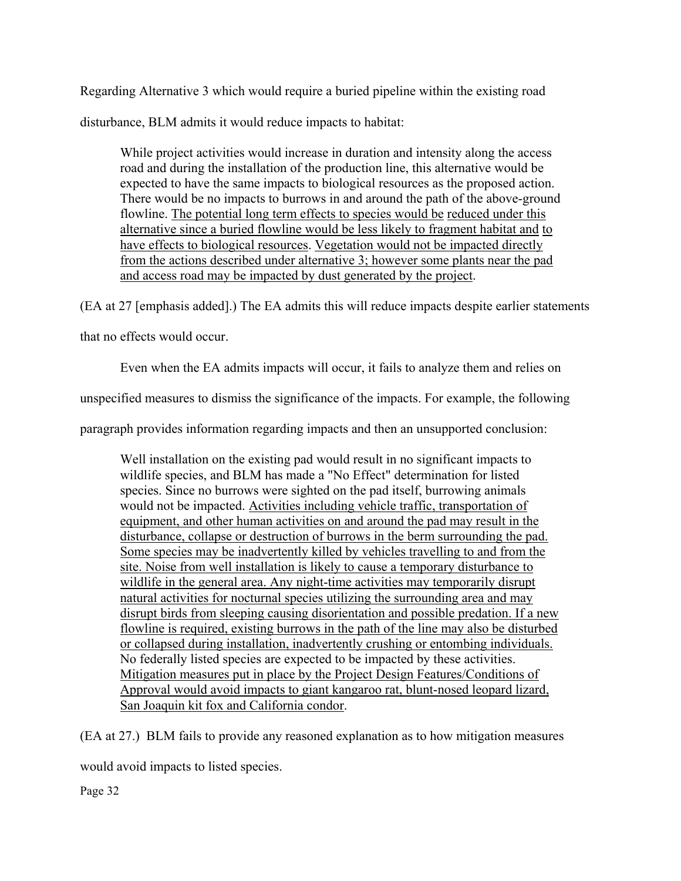Regarding Alternative 3 which would require a buried pipeline within the existing road disturbance, BLM admits it would reduce impacts to habitat:

While project activities would increase in duration and intensity along the access road and during the installation of the production line, this alternative would be expected to have the same impacts to biological resources as the proposed action. There would be no impacts to burrows in and around the path of the above-ground flowline. The potential long term effects to species would be reduced under this alternative since a buried flowline would be less likely to fragment habitat and to have effects to biological resources. Vegetation would not be impacted directly from the actions described under alternative 3; however some plants near the pad and access road may be impacted by dust generated by the project.

(EA at 27 [emphasis added].) The EA admits this will reduce impacts despite earlier statements

that no effects would occur.

Even when the EA admits impacts will occur, it fails to analyze them and relies on

unspecified measures to dismiss the significance of the impacts. For example, the following

paragraph provides information regarding impacts and then an unsupported conclusion:

Well installation on the existing pad would result in no significant impacts to wildlife species, and BLM has made a "No Effect" determination for listed species. Since no burrows were sighted on the pad itself, burrowing animals would not be impacted. Activities including vehicle traffic, transportation of equipment, and other human activities on and around the pad may result in the disturbance, collapse or destruction of burrows in the berm surrounding the pad. Some species may be inadvertently killed by vehicles travelling to and from the site. Noise from well installation is likely to cause a temporary disturbance to wildlife in the general area. Any night-time activities may temporarily disrupt natural activities for nocturnal species utilizing the surrounding area and may disrupt birds from sleeping causing disorientation and possible predation. If a new flowline is required, existing burrows in the path of the line may also be disturbed or collapsed during installation, inadvertently crushing or entombing individuals. No federally listed species are expected to be impacted by these activities. Mitigation measures put in place by the Project Design Features/Conditions of Approval would avoid impacts to giant kangaroo rat, blunt-nosed leopard lizard, San Joaquin kit fox and California condor.

(EA at 27.) BLM fails to provide any reasoned explanation as to how mitigation measures

would avoid impacts to listed species.

Page 32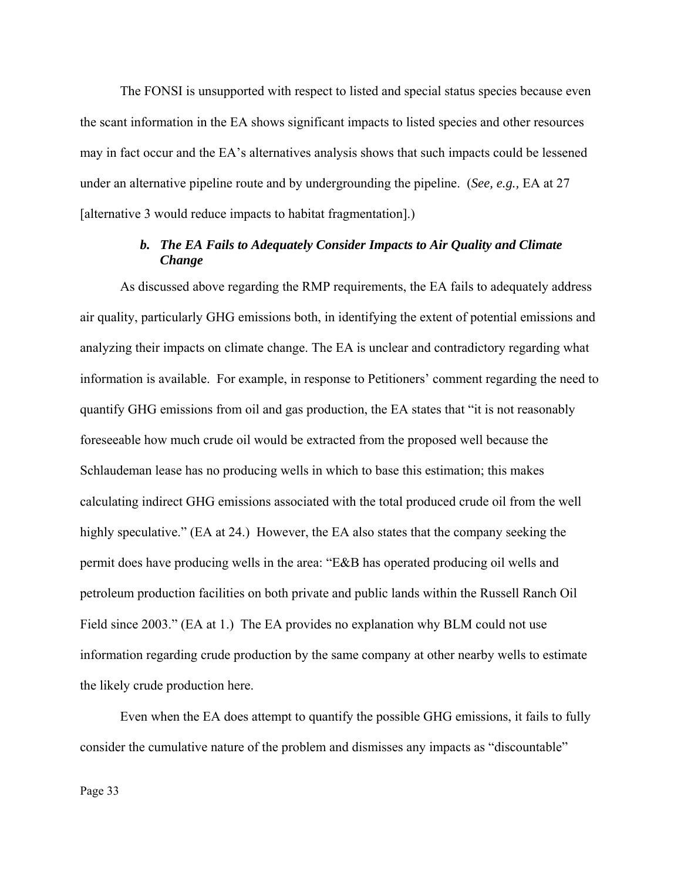The FONSI is unsupported with respect to listed and special status species because even the scant information in the EA shows significant impacts to listed species and other resources may in fact occur and the EA's alternatives analysis shows that such impacts could be lessened under an alternative pipeline route and by undergrounding the pipeline. (*See, e.g.,* EA at 27 [alternative 3 would reduce impacts to habitat fragmentation].)

# *b. The EA Fails to Adequately Consider Impacts to Air Quality and Climate Change*

As discussed above regarding the RMP requirements, the EA fails to adequately address air quality, particularly GHG emissions both, in identifying the extent of potential emissions and analyzing their impacts on climate change. The EA is unclear and contradictory regarding what information is available. For example, in response to Petitioners' comment regarding the need to quantify GHG emissions from oil and gas production, the EA states that "it is not reasonably foreseeable how much crude oil would be extracted from the proposed well because the Schlaudeman lease has no producing wells in which to base this estimation; this makes calculating indirect GHG emissions associated with the total produced crude oil from the well highly speculative." (EA at 24.) However, the EA also states that the company seeking the permit does have producing wells in the area: "E&B has operated producing oil wells and petroleum production facilities on both private and public lands within the Russell Ranch Oil Field since 2003." (EA at 1.) The EA provides no explanation why BLM could not use information regarding crude production by the same company at other nearby wells to estimate the likely crude production here.

Even when the EA does attempt to quantify the possible GHG emissions, it fails to fully consider the cumulative nature of the problem and dismisses any impacts as "discountable"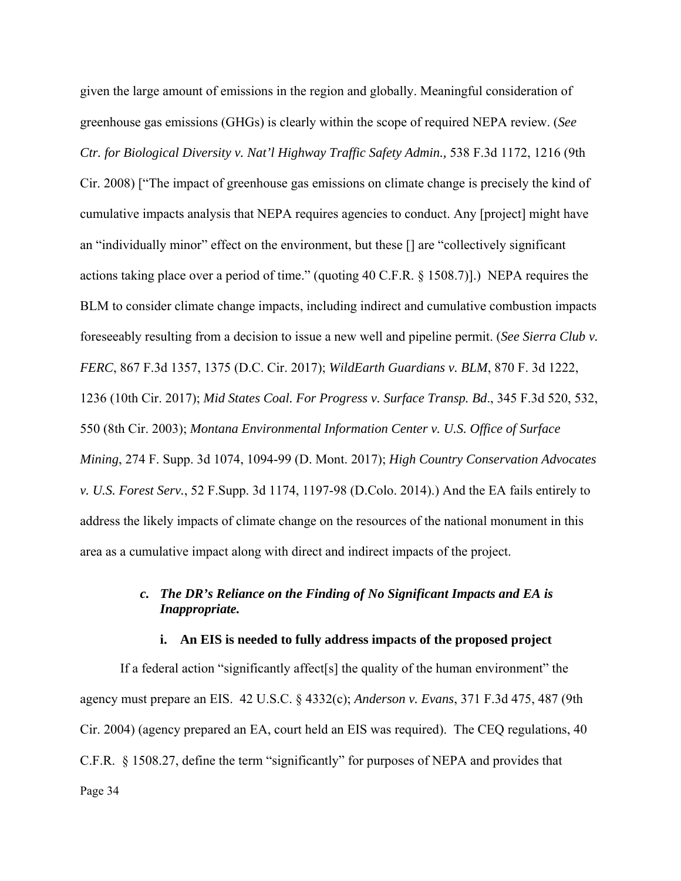given the large amount of emissions in the region and globally. Meaningful consideration of greenhouse gas emissions (GHGs) is clearly within the scope of required NEPA review. (*See Ctr. for Biological Diversity v. Nat'l Highway Traffic Safety Admin.,* 538 F.3d 1172, 1216 (9th Cir. 2008) ["The impact of greenhouse gas emissions on climate change is precisely the kind of cumulative impacts analysis that NEPA requires agencies to conduct. Any [project] might have an "individually minor" effect on the environment, but these [] are "collectively significant actions taking place over a period of time." (quoting 40 C.F.R. § 1508.7)].) NEPA requires the BLM to consider climate change impacts, including indirect and cumulative combustion impacts foreseeably resulting from a decision to issue a new well and pipeline permit. (*See Sierra Club v. FERC*, 867 F.3d 1357, 1375 (D.C. Cir. 2017); *WildEarth Guardians v. BLM*, 870 F. 3d 1222, 1236 (10th Cir. 2017); *Mid States Coal. For Progress v. Surface Transp. Bd*., 345 F.3d 520, 532, 550 (8th Cir. 2003); *Montana Environmental Information Center v. U.S. Office of Surface Mining*, 274 F. Supp. 3d 1074, 1094-99 (D. Mont. 2017); *High Country Conservation Advocates v. U.S. Forest Serv.*, 52 F.Supp. 3d 1174, 1197-98 (D.Colo. 2014).) And the EA fails entirely to address the likely impacts of climate change on the resources of the national monument in this area as a cumulative impact along with direct and indirect impacts of the project.

# *c. The DR's Reliance on the Finding of No Significant Impacts and EA is Inappropriate.*

### **i. An EIS is needed to fully address impacts of the proposed project**

Page 34 If a federal action "significantly affect[s] the quality of the human environment" the agency must prepare an EIS. 42 U.S.C. § 4332(c); *Anderson v. Evans*, 371 F.3d 475, 487 (9th Cir. 2004) (agency prepared an EA, court held an EIS was required). The CEQ regulations, 40 C.F.R. § 1508.27, define the term "significantly" for purposes of NEPA and provides that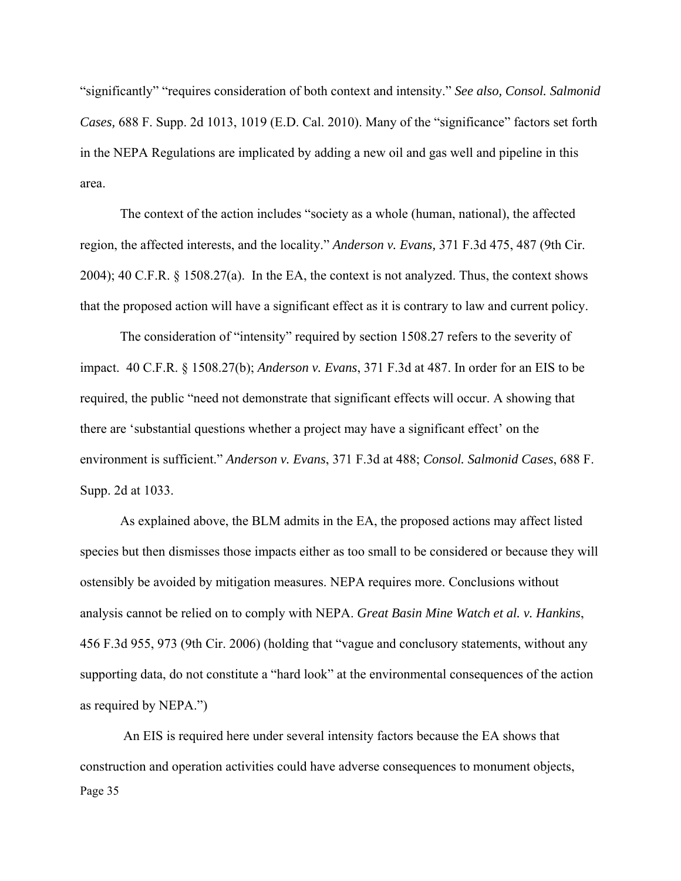"significantly" "requires consideration of both context and intensity." *See also, Consol. Salmonid Cases,* 688 F. Supp. 2d 1013, 1019 (E.D. Cal. 2010). Many of the "significance" factors set forth in the NEPA Regulations are implicated by adding a new oil and gas well and pipeline in this area.

The context of the action includes "society as a whole (human, national), the affected region, the affected interests, and the locality." *Anderson v. Evans,* 371 F.3d 475, 487 (9th Cir. 2004); 40 C.F.R. § 1508.27(a). In the EA, the context is not analyzed. Thus, the context shows that the proposed action will have a significant effect as it is contrary to law and current policy.

The consideration of "intensity" required by section 1508.27 refers to the severity of impact. 40 C.F.R. § 1508.27(b); *Anderson v. Evans*, 371 F.3d at 487. In order for an EIS to be required, the public "need not demonstrate that significant effects will occur. A showing that there are 'substantial questions whether a project may have a significant effect' on the environment is sufficient." *Anderson v. Evans*, 371 F.3d at 488; *Consol. Salmonid Cases*, 688 F. Supp. 2d at 1033.

As explained above, the BLM admits in the EA, the proposed actions may affect listed species but then dismisses those impacts either as too small to be considered or because they will ostensibly be avoided by mitigation measures. NEPA requires more. Conclusions without analysis cannot be relied on to comply with NEPA. *Great Basin Mine Watch et al. v. Hankins*, 456 F.3d 955, 973 (9th Cir. 2006) (holding that "vague and conclusory statements, without any supporting data, do not constitute a "hard look" at the environmental consequences of the action as required by NEPA.")

Page 35 An EIS is required here under several intensity factors because the EA shows that construction and operation activities could have adverse consequences to monument objects,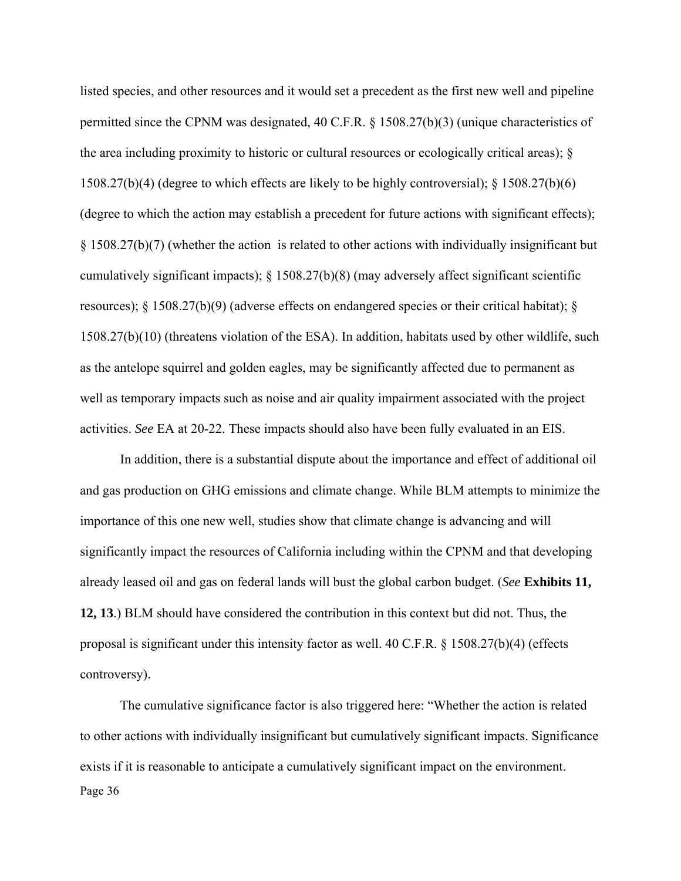listed species, and other resources and it would set a precedent as the first new well and pipeline permitted since the CPNM was designated, 40 C.F.R. § 1508.27(b)(3) (unique characteristics of the area including proximity to historic or cultural resources or ecologically critical areas); § 1508.27(b)(4) (degree to which effects are likely to be highly controversial); § 1508.27(b)(6) (degree to which the action may establish a precedent for future actions with significant effects); § 1508.27(b)(7) (whether the action is related to other actions with individually insignificant but cumulatively significant impacts); § 1508.27(b)(8) (may adversely affect significant scientific resources); § 1508.27(b)(9) (adverse effects on endangered species or their critical habitat); § 1508.27(b)(10) (threatens violation of the ESA). In addition, habitats used by other wildlife, such as the antelope squirrel and golden eagles, may be significantly affected due to permanent as well as temporary impacts such as noise and air quality impairment associated with the project activities. *See* EA at 20-22. These impacts should also have been fully evaluated in an EIS.

In addition, there is a substantial dispute about the importance and effect of additional oil and gas production on GHG emissions and climate change. While BLM attempts to minimize the importance of this one new well, studies show that climate change is advancing and will significantly impact the resources of California including within the CPNM and that developing already leased oil and gas on federal lands will bust the global carbon budget. (*See* **Exhibits 11, 12, 13**.) BLM should have considered the contribution in this context but did not. Thus, the proposal is significant under this intensity factor as well. 40 C.F.R. § 1508.27(b)(4) (effects controversy).

Page 36 The cumulative significance factor is also triggered here: "Whether the action is related to other actions with individually insignificant but cumulatively significant impacts. Significance exists if it is reasonable to anticipate a cumulatively significant impact on the environment.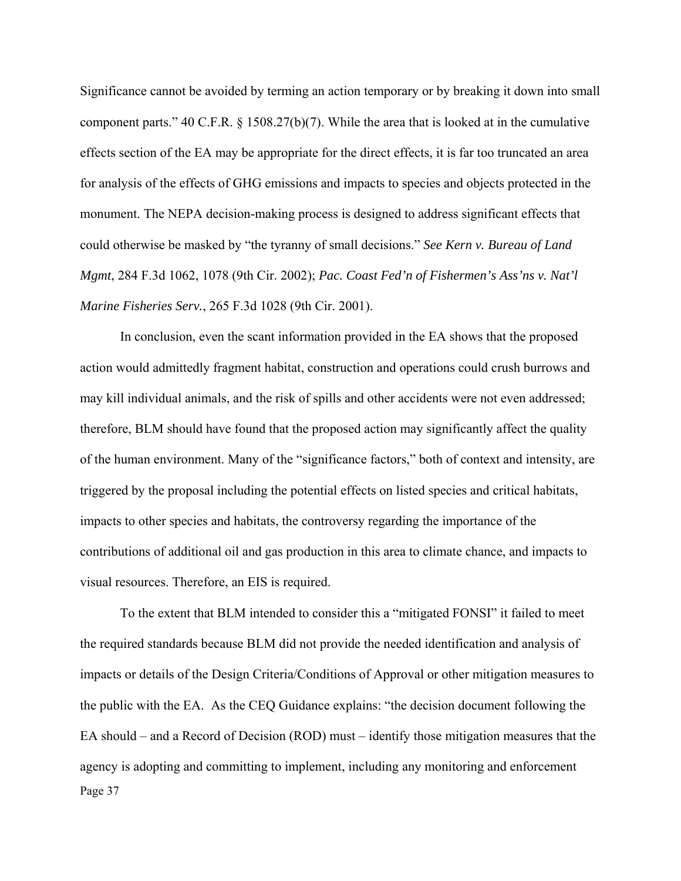Significance cannot be avoided by terming an action temporary or by breaking it down into small component parts." 40 C.F.R. § 1508.27(b)(7). While the area that is looked at in the cumulative effects section of the EA may be appropriate for the direct effects, it is far too truncated an area for analysis of the effects of GHG emissions and impacts to species and objects protected in the monument. The NEPA decision-making process is designed to address significant effects that could otherwise be masked by "the tyranny of small decisions." *See Kern v. Bureau of Land Mgmt*, 284 F.3d 1062, 1078 (9th Cir. 2002); *Pac. Coast Fed'n of Fishermen's Ass'ns v. Nat'l Marine Fisheries Serv.*, 265 F.3d 1028 (9th Cir. 2001).

In conclusion, even the scant information provided in the EA shows that the proposed action would admittedly fragment habitat, construction and operations could crush burrows and may kill individual animals, and the risk of spills and other accidents were not even addressed; therefore, BLM should have found that the proposed action may significantly affect the quality of the human environment. Many of the "significance factors," both of context and intensity, are triggered by the proposal including the potential effects on listed species and critical habitats, impacts to other species and habitats, the controversy regarding the importance of the contributions of additional oil and gas production in this area to climate chance, and impacts to visual resources. Therefore, an EIS is required.

Page 37 To the extent that BLM intended to consider this a "mitigated FONSI" it failed to meet the required standards because BLM did not provide the needed identification and analysis of impacts or details of the Design Criteria/Conditions of Approval or other mitigation measures to the public with the EA. As the CEQ Guidance explains: "the decision document following the EA should – and a Record of Decision (ROD) must – identify those mitigation measures that the agency is adopting and committing to implement, including any monitoring and enforcement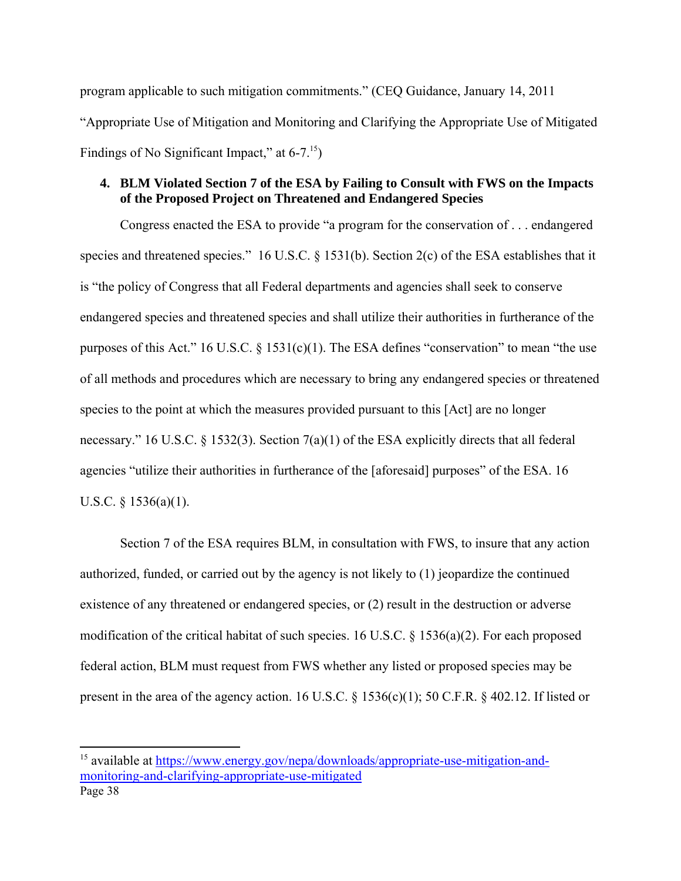program applicable to such mitigation commitments." (CEQ Guidance, January 14, 2011 "Appropriate Use of Mitigation and Monitoring and Clarifying the Appropriate Use of Mitigated Findings of No Significant Impact," at  $6-7.^{15}$ )

# **4. BLM Violated Section 7 of the ESA by Failing to Consult with FWS on the Impacts of the Proposed Project on Threatened and Endangered Species**

Congress enacted the ESA to provide "a program for the conservation of . . . endangered species and threatened species." 16 U.S.C. § 1531(b). Section 2(c) of the ESA establishes that it is "the policy of Congress that all Federal departments and agencies shall seek to conserve endangered species and threatened species and shall utilize their authorities in furtherance of the purposes of this Act." 16 U.S.C. § 1531(c)(1). The ESA defines "conservation" to mean "the use of all methods and procedures which are necessary to bring any endangered species or threatened species to the point at which the measures provided pursuant to this [Act] are no longer necessary." 16 U.S.C. § 1532(3). Section 7(a)(1) of the ESA explicitly directs that all federal agencies "utilize their authorities in furtherance of the [aforesaid] purposes" of the ESA. 16 U.S.C.  $§$  1536(a)(1).

Section 7 of the ESA requires BLM, in consultation with FWS, to insure that any action authorized, funded, or carried out by the agency is not likely to (1) jeopardize the continued existence of any threatened or endangered species, or (2) result in the destruction or adverse modification of the critical habitat of such species. 16 U.S.C. § 1536(a)(2). For each proposed federal action, BLM must request from FWS whether any listed or proposed species may be present in the area of the agency action. 16 U.S.C. § 1536(c)(1); 50 C.F.R. § 402.12. If listed or

Page 38 <sup>15</sup> available at https://www.energy.gov/nepa/downloads/appropriate-use-mitigation-andmonitoring-and-clarifying-appropriate-use-mitigated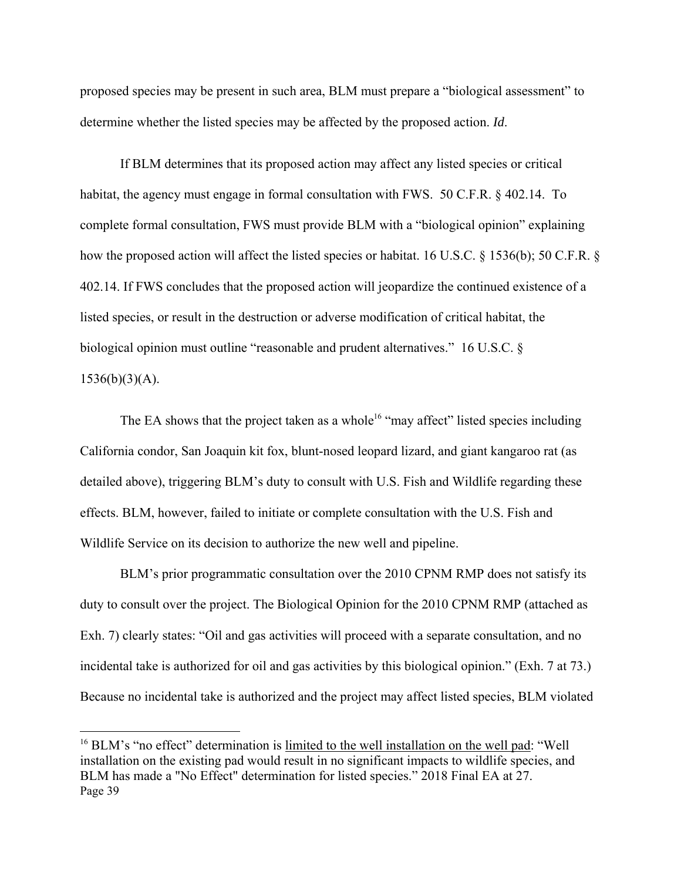proposed species may be present in such area, BLM must prepare a "biological assessment" to determine whether the listed species may be affected by the proposed action. *Id*.

If BLM determines that its proposed action may affect any listed species or critical habitat, the agency must engage in formal consultation with FWS. 50 C.F.R. § 402.14. To complete formal consultation, FWS must provide BLM with a "biological opinion" explaining how the proposed action will affect the listed species or habitat. 16 U.S.C. § 1536(b); 50 C.F.R. § 402.14. If FWS concludes that the proposed action will jeopardize the continued existence of a listed species, or result in the destruction or adverse modification of critical habitat, the biological opinion must outline "reasonable and prudent alternatives." 16 U.S.C. §  $1536(b)(3)(A)$ .

The EA shows that the project taken as a whole<sup>16</sup> "may affect" listed species including California condor, San Joaquin kit fox, blunt-nosed leopard lizard, and giant kangaroo rat (as detailed above), triggering BLM's duty to consult with U.S. Fish and Wildlife regarding these effects. BLM, however, failed to initiate or complete consultation with the U.S. Fish and Wildlife Service on its decision to authorize the new well and pipeline.

BLM's prior programmatic consultation over the 2010 CPNM RMP does not satisfy its duty to consult over the project. The Biological Opinion for the 2010 CPNM RMP (attached as Exh. 7) clearly states: "Oil and gas activities will proceed with a separate consultation, and no incidental take is authorized for oil and gas activities by this biological opinion." (Exh. 7 at 73.) Because no incidental take is authorized and the project may affect listed species, BLM violated

Page 39 <sup>16</sup> BLM's "no effect" determination is limited to the well installation on the well pad: "Well installation on the existing pad would result in no significant impacts to wildlife species, and BLM has made a "No Effect" determination for listed species." 2018 Final EA at 27.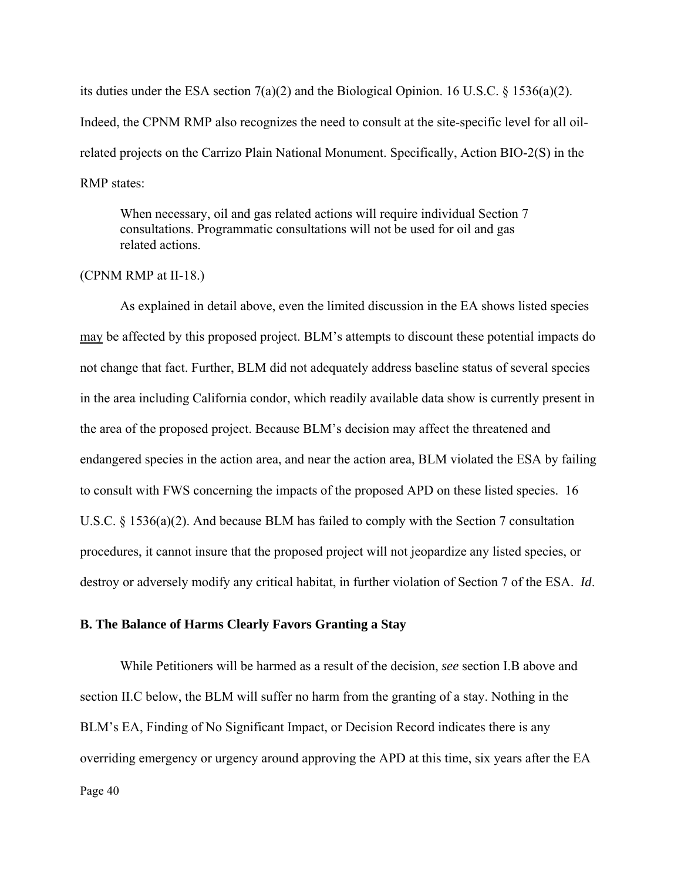its duties under the ESA section 7(a)(2) and the Biological Opinion. 16 U.S.C. § 1536(a)(2). Indeed, the CPNM RMP also recognizes the need to consult at the site-specific level for all oilrelated projects on the Carrizo Plain National Monument. Specifically, Action BIO-2(S) in the RMP states:

When necessary, oil and gas related actions will require individual Section 7 consultations. Programmatic consultations will not be used for oil and gas related actions.

## (CPNM RMP at II-18.)

As explained in detail above, even the limited discussion in the EA shows listed species may be affected by this proposed project. BLM's attempts to discount these potential impacts do not change that fact. Further, BLM did not adequately address baseline status of several species in the area including California condor, which readily available data show is currently present in the area of the proposed project. Because BLM's decision may affect the threatened and endangered species in the action area, and near the action area, BLM violated the ESA by failing to consult with FWS concerning the impacts of the proposed APD on these listed species. 16 U.S.C. § 1536(a)(2). And because BLM has failed to comply with the Section 7 consultation procedures, it cannot insure that the proposed project will not jeopardize any listed species, or destroy or adversely modify any critical habitat, in further violation of Section 7 of the ESA. *Id*.

### **B. The Balance of Harms Clearly Favors Granting a Stay**

Page 40 While Petitioners will be harmed as a result of the decision, *see* section I.B above and section II.C below, the BLM will suffer no harm from the granting of a stay. Nothing in the BLM's EA, Finding of No Significant Impact, or Decision Record indicates there is any overriding emergency or urgency around approving the APD at this time, six years after the EA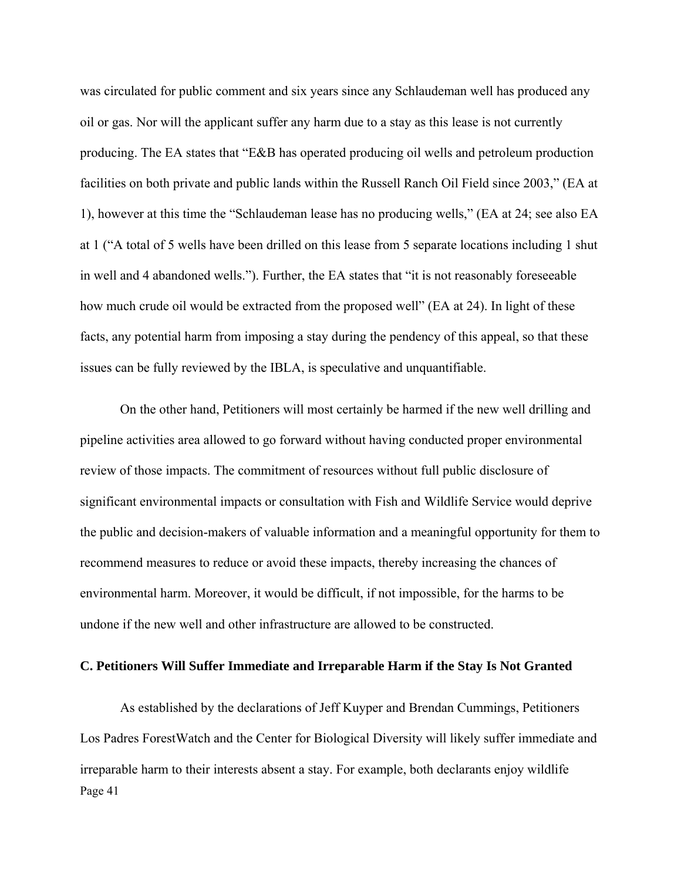was circulated for public comment and six years since any Schlaudeman well has produced any oil or gas. Nor will the applicant suffer any harm due to a stay as this lease is not currently producing. The EA states that "E&B has operated producing oil wells and petroleum production facilities on both private and public lands within the Russell Ranch Oil Field since 2003," (EA at 1), however at this time the "Schlaudeman lease has no producing wells," (EA at 24; see also EA at 1 ("A total of 5 wells have been drilled on this lease from 5 separate locations including 1 shut in well and 4 abandoned wells."). Further, the EA states that "it is not reasonably foreseeable how much crude oil would be extracted from the proposed well" (EA at 24). In light of these facts, any potential harm from imposing a stay during the pendency of this appeal, so that these issues can be fully reviewed by the IBLA, is speculative and unquantifiable.

On the other hand, Petitioners will most certainly be harmed if the new well drilling and pipeline activities area allowed to go forward without having conducted proper environmental review of those impacts. The commitment of resources without full public disclosure of significant environmental impacts or consultation with Fish and Wildlife Service would deprive the public and decision-makers of valuable information and a meaningful opportunity for them to recommend measures to reduce or avoid these impacts, thereby increasing the chances of environmental harm. Moreover, it would be difficult, if not impossible, for the harms to be undone if the new well and other infrastructure are allowed to be constructed.

#### **C. Petitioners Will Suffer Immediate and Irreparable Harm if the Stay Is Not Granted**

Page 41 As established by the declarations of Jeff Kuyper and Brendan Cummings, Petitioners Los Padres ForestWatch and the Center for Biological Diversity will likely suffer immediate and irreparable harm to their interests absent a stay. For example, both declarants enjoy wildlife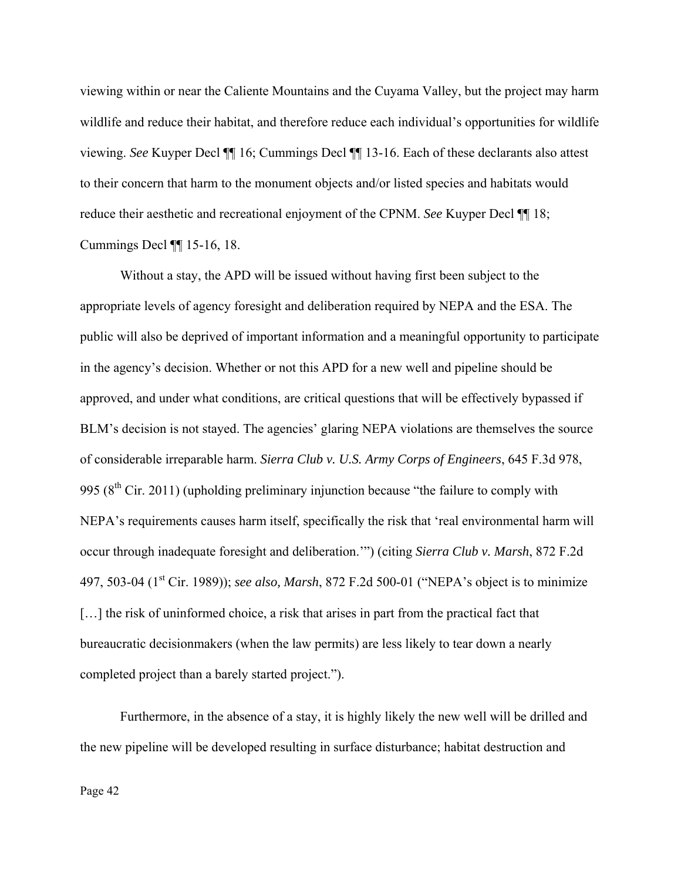viewing within or near the Caliente Mountains and the Cuyama Valley, but the project may harm wildlife and reduce their habitat, and therefore reduce each individual's opportunities for wildlife viewing. *See* Kuyper Decl ¶¶ 16; Cummings Decl ¶¶ 13-16. Each of these declarants also attest to their concern that harm to the monument objects and/or listed species and habitats would reduce their aesthetic and recreational enjoyment of the CPNM. *See* Kuyper Decl ¶¶ 18; Cummings Decl ¶¶ 15-16, 18.

Without a stay, the APD will be issued without having first been subject to the appropriate levels of agency foresight and deliberation required by NEPA and the ESA. The public will also be deprived of important information and a meaningful opportunity to participate in the agency's decision. Whether or not this APD for a new well and pipeline should be approved, and under what conditions, are critical questions that will be effectively bypassed if BLM's decision is not stayed. The agencies' glaring NEPA violations are themselves the source of considerable irreparable harm. *Sierra Club v. U.S. Army Corps of Engineers*, 645 F.3d 978, 995  $(8<sup>th</sup> Cir. 2011)$  (upholding preliminary injunction because "the failure to comply with NEPA's requirements causes harm itself, specifically the risk that 'real environmental harm will occur through inadequate foresight and deliberation.'") (citing *Sierra Club v. Marsh*, 872 F.2d 497, 503-04 (1<sup>st</sup> Cir. 1989)); *see also, Marsh*, 872 F.2d 500-01 ("NEPA's object is to minimize [...] the risk of uninformed choice, a risk that arises in part from the practical fact that bureaucratic decisionmakers (when the law permits) are less likely to tear down a nearly completed project than a barely started project.").

 Furthermore, in the absence of a stay, it is highly likely the new well will be drilled and the new pipeline will be developed resulting in surface disturbance; habitat destruction and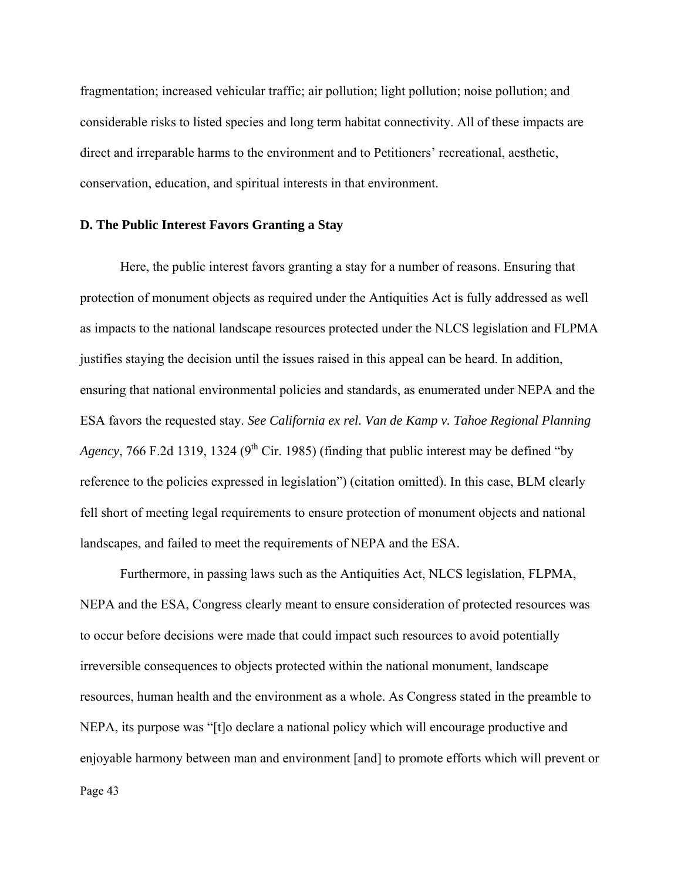fragmentation; increased vehicular traffic; air pollution; light pollution; noise pollution; and considerable risks to listed species and long term habitat connectivity. All of these impacts are direct and irreparable harms to the environment and to Petitioners' recreational, aesthetic, conservation, education, and spiritual interests in that environment.

#### **D. The Public Interest Favors Granting a Stay**

Here, the public interest favors granting a stay for a number of reasons. Ensuring that protection of monument objects as required under the Antiquities Act is fully addressed as well as impacts to the national landscape resources protected under the NLCS legislation and FLPMA justifies staying the decision until the issues raised in this appeal can be heard. In addition, ensuring that national environmental policies and standards, as enumerated under NEPA and the ESA favors the requested stay. *See California ex rel. Van de Kamp v. Tahoe Regional Planning Agency*, 766 F.2d 1319, 1324 (9<sup>th</sup> Cir. 1985) (finding that public interest may be defined "by reference to the policies expressed in legislation") (citation omitted). In this case, BLM clearly fell short of meeting legal requirements to ensure protection of monument objects and national landscapes, and failed to meet the requirements of NEPA and the ESA.

Furthermore, in passing laws such as the Antiquities Act, NLCS legislation, FLPMA, NEPA and the ESA, Congress clearly meant to ensure consideration of protected resources was to occur before decisions were made that could impact such resources to avoid potentially irreversible consequences to objects protected within the national monument, landscape resources, human health and the environment as a whole. As Congress stated in the preamble to NEPA, its purpose was "[t]o declare a national policy which will encourage productive and enjoyable harmony between man and environment [and] to promote efforts which will prevent or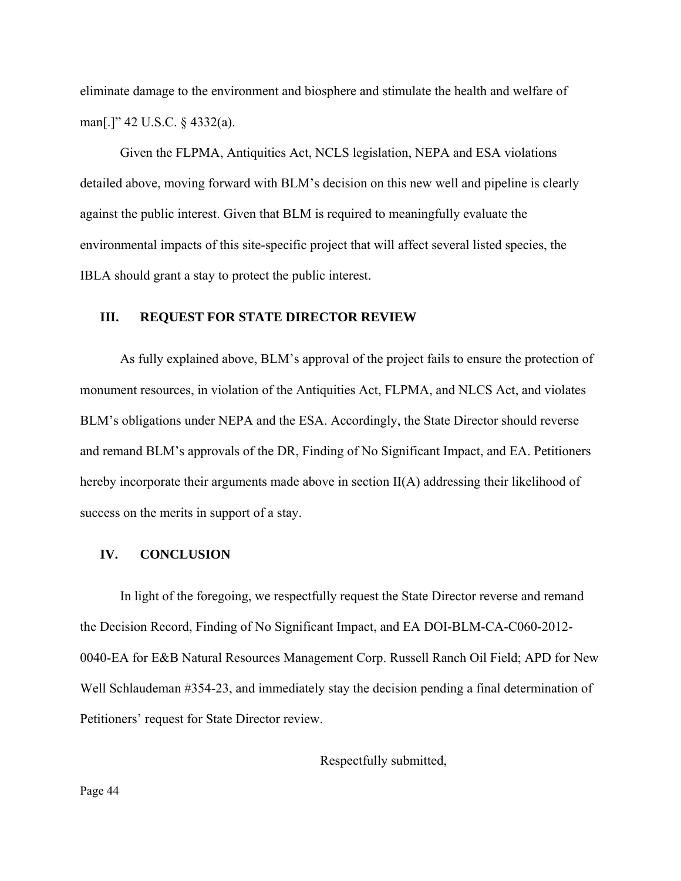eliminate damage to the environment and biosphere and stimulate the health and welfare of man[.]" 42 U.S.C. § 4332(a).

Given the FLPMA, Antiquities Act, NCLS legislation, NEPA and ESA violations detailed above, moving forward with BLM's decision on this new well and pipeline is clearly against the public interest. Given that BLM is required to meaningfully evaluate the environmental impacts of this site-specific project that will affect several listed species, the IBLA should grant a stay to protect the public interest.

#### **III. REQUEST FOR STATE DIRECTOR REVIEW**

As fully explained above, BLM's approval of the project fails to ensure the protection of monument resources, in violation of the Antiquities Act, FLPMA, and NLCS Act, and violates BLM's obligations under NEPA and the ESA. Accordingly, the State Director should reverse and remand BLM's approvals of the DR, Finding of No Significant Impact, and EA. Petitioners hereby incorporate their arguments made above in section II(A) addressing their likelihood of success on the merits in support of a stay.

### **IV. CONCLUSION**

In light of the foregoing, we respectfully request the State Director reverse and remand the Decision Record, Finding of No Significant Impact, and EA DOI-BLM-CA-C060-2012- 0040-EA for E&B Natural Resources Management Corp. Russell Ranch Oil Field; APD for New Well Schlaudeman #354-23, and immediately stay the decision pending a final determination of Petitioners' request for State Director review.

Respectfully submitted,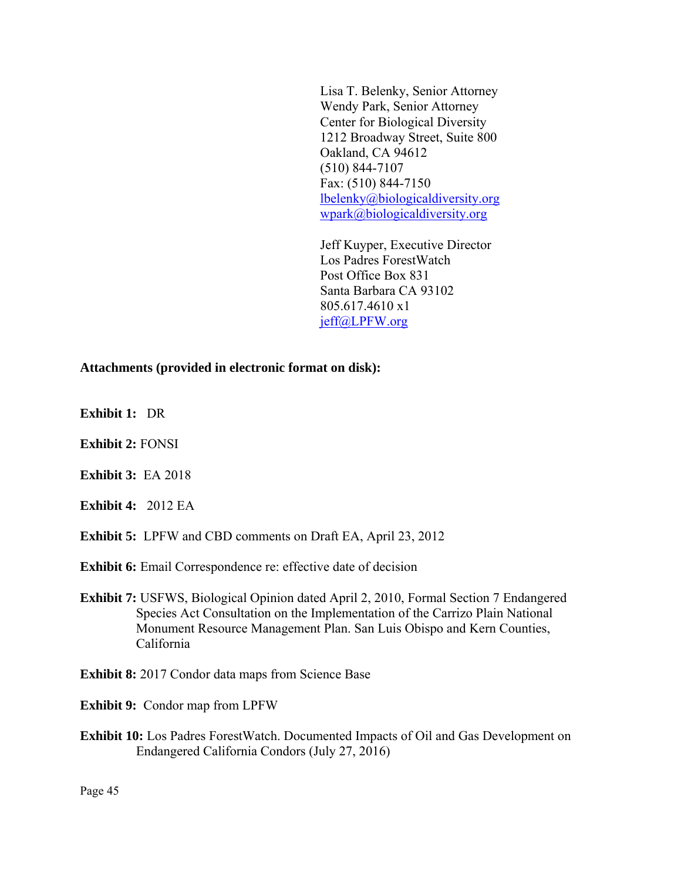Lisa T. Belenky, Senior Attorney Wendy Park, Senior Attorney Center for Biological Diversity 1212 Broadway Street, Suite 800 Oakland, CA 94612 (510) 844-7107 Fax: (510) 844-7150 lbelenky@biologicaldiversity.org wpark@biologicaldiversity.org

Jeff Kuyper, Executive Director Los Padres ForestWatch Post Office Box 831 Santa Barbara CA 93102 805.617.4610 x1 jeff@LPFW.org

#### **Attachments (provided in electronic format on disk):**

- **Exhibit 1:** DR
- **Exhibit 2:** FONSI
- **Exhibit 3:** EA 2018
- **Exhibit 4:** 2012 EA
- **Exhibit 5:** LPFW and CBD comments on Draft EA, April 23, 2012
- **Exhibit 6:** Email Correspondence re: effective date of decision
- **Exhibit 7:** USFWS, Biological Opinion dated April 2, 2010, Formal Section 7 Endangered Species Act Consultation on the Implementation of the Carrizo Plain National Monument Resource Management Plan. San Luis Obispo and Kern Counties, California
- **Exhibit 8:** 2017 Condor data maps from Science Base
- **Exhibit 9:** Condor map from LPFW
- **Exhibit 10:** Los Padres ForestWatch. Documented Impacts of Oil and Gas Development on Endangered California Condors (July 27, 2016)

Page 45